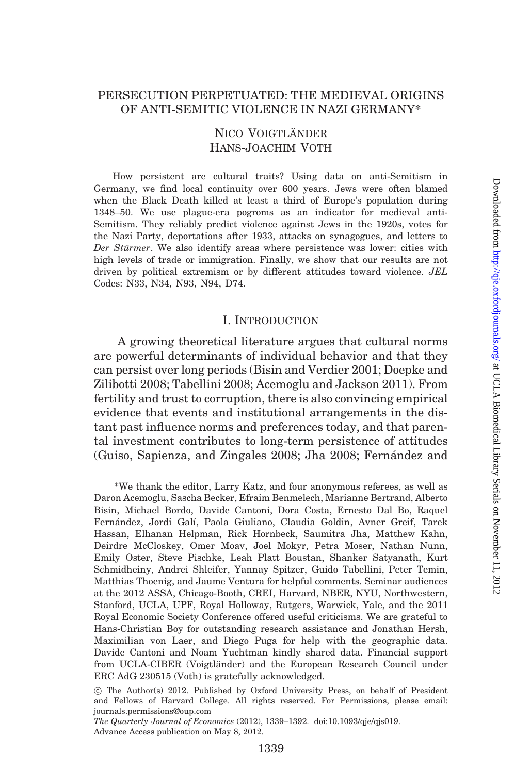# PERSECUTION PERPETUATED: THE MEDIEVAL ORIGINS OF ANTI-SEMITIC VIOLENCE IN NAZI GERMANY\*

# NICO VOIGTLÄNDER Hans-Joachim Voth

How persistent are cultural traits? Using data on anti-Semitism in Germany, we find local continuity over 600 years. Jews were often blamed when the Black Death killed at least a third of Europe's population during 1348–50. We use plague-era pogroms as an indicator for medieval anti-Semitism. They reliably predict violence against Jews in the 1920s, votes for the Nazi Party, deportations after 1933, attacks on synagogues, and letters to Der Stürmer. We also identify areas where persistence was lower: cities with high levels of trade or immigration. Finally, we show that our results are not driven by political extremism or by different attitudes toward violence. JEL Codes: N33, N34, N93, N94, D74.

### I. INTRODUCTION

A growing theoretical literature argues that cultural norms are powerful determinants of individual behavior and that they can persist over long periods ([Bisin and Verdier 2001](#page-50-0); [Doepke and](#page-50-0) [Zilibotti 2008;](#page-50-0) [Tabellini 2008;](#page-53-0) [Acemoglu and Jackson 2011](#page-49-0)). From fertility and trust to corruption, there is also convincing empirical evidence that events and institutional arrangements in the distant past influence norms and preferences today, and that parental investment contributes to long-term persistence of attitudes [\(Guiso, Sapienza, and Zingales 2008](#page-51-0); Jha 2008; Fernandez and

\*We thank the editor, Larry Katz, and four anonymous referees, as well as Daron Acemoglu, Sascha Becker, Efraim Benmelech, Marianne Bertrand, Alberto Bisin, Michael Bordo, Davide Cantoni, Dora Costa, Ernesto Dal Bo, Raquel Fernández, Jordi Galí, Paola Giuliano, Claudia Goldin, Avner Greif, Tarek Hassan, Elhanan Helpman, Rick Hornbeck, Saumitra Jha, Matthew Kahn, Deirdre McCloskey, Omer Moav, Joel Mokyr, Petra Moser, Nathan Nunn, Emily Oster, Steve Pischke, Leah Platt Boustan, Shanker Satyanath, Kurt Schmidheiny, Andrei Shleifer, Yannay Spitzer, Guido Tabellini, Peter Temin, Matthias Thoenig, and Jaume Ventura for helpful comments. Seminar audiences at the 2012 ASSA, Chicago-Booth, CREI, Harvard, NBER, NYU, Northwestern, Stanford, UCLA, UPF, Royal Holloway, Rutgers, Warwick, Yale, and the 2011 Royal Economic Society Conference offered useful criticisms. We are grateful to Hans-Christian Boy for outstanding research assistance and Jonathan Hersh, Maximilian von Laer, and Diego Puga for help with the geographic data. Davide Cantoni and Noam Yuchtman kindly shared data. Financial support from UCLA-CIBER (Voigtländer) and the European Research Council under ERC AdG 230515 (Voth) is gratefully acknowledged.

The Quarterly Journal of Economics (2012), 1339–1392. doi:10.1093/qje/qjs019. Advance Access publication on May 8, 2012.

<sup>!</sup> The Author(s) 2012. Published by Oxford University Press, on behalf of President and Fellows of Harvard College. All rights reserved. For Permissions, please email: journals.permissions@oup.com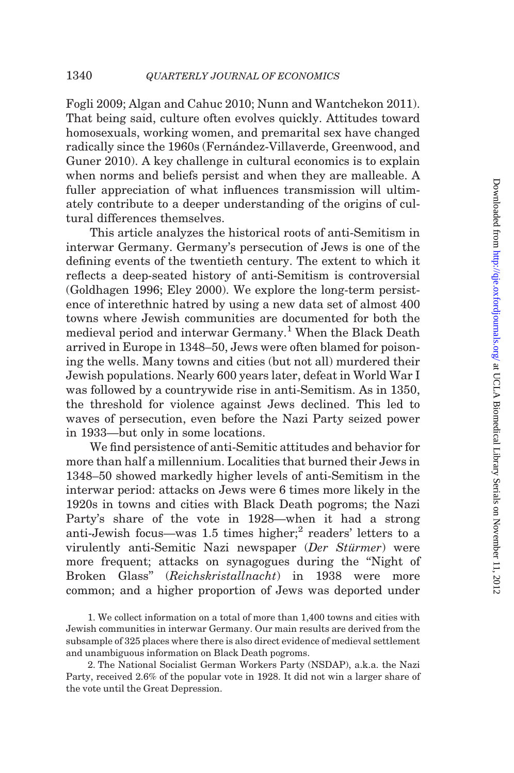[Fogli 2009;](#page-51-0) [Algan and Cahuc 2010;](#page-49-0) [Nunn and Wantchekon 2011](#page-52-0)). That being said, culture often evolves quickly. Attitudes toward homosexuals, working women, and premarital sex have changed radically since the 1960s (Fernández-Villaverde, Greenwood, and [Guner 2010\)](#page-51-0). A key challenge in cultural economics is to explain when norms and beliefs persist and when they are malleable. A fuller appreciation of what influences transmission will ultimately contribute to a deeper understanding of the origins of cultural differences themselves.

This article analyzes the historical roots of anti-Semitism in interwar Germany. Germany's persecution of Jews is one of the defining events of the twentieth century. The extent to which it reflects a deep-seated history of anti-Semitism is controversial ([Goldhagen 1996;](#page-51-0) [Eley 2000](#page-50-0)). We explore the long-term persistence of interethnic hatred by using a new data set of almost 400 towns where Jewish communities are documented for both the medieval period and interwar Germany.<sup>1</sup> When the Black Death arrived in Europe in 1348–50, Jews were often blamed for poisoning the wells. Many towns and cities (but not all) murdered their Jewish populations. Nearly 600 years later, defeat in World War I was followed by a countrywide rise in anti-Semitism. As in 1350, the threshold for violence against Jews declined. This led to waves of persecution, even before the Nazi Party seized power in 1933—but only in some locations.

We find persistence of anti-Semitic attitudes and behavior for more than half a millennium. Localities that burned their Jews in 1348–50 showed markedly higher levels of anti-Semitism in the interwar period: attacks on Jews were 6 times more likely in the 1920s in towns and cities with Black Death pogroms; the Nazi Party's share of the vote in 1928—when it had a strong anti-Jewish focus—was 1.5 times higher;<sup>2</sup> readers' letters to a virulently anti-Semitic Nazi newspaper (Der Stürmer) were more frequent; attacks on synagogues during the "Night of Broken Glass'' (Reichskristallnacht) in 1938 were more common; and a higher proportion of Jews was deported under

1. We collect information on a total of more than 1,400 towns and cities with Jewish communities in interwar Germany. Our main results are derived from the subsample of 325 places where there is also direct evidence of medieval settlement and unambiguous information on Black Death pogroms.

2. The National Socialist German Workers Party (NSDAP), a.k.a. the Nazi Party, received 2.6% of the popular vote in 1928. It did not win a larger share of the vote until the Great Depression.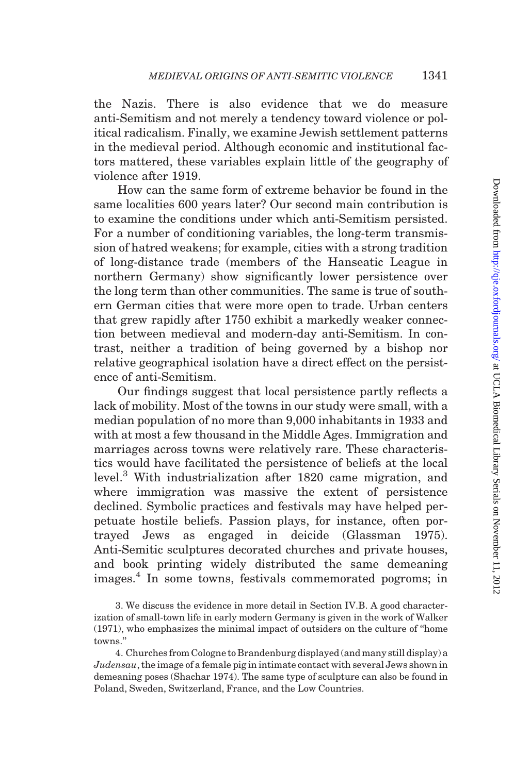the Nazis. There is also evidence that we do measure anti-Semitism and not merely a tendency toward violence or political radicalism. Finally, we examine Jewish settlement patterns in the medieval period. Although economic and institutional factors mattered, these variables explain little of the geography of violence after 1919.

How can the same form of extreme behavior be found in the same localities 600 years later? Our second main contribution is to examine the conditions under which anti-Semitism persisted. For a number of conditioning variables, the long-term transmission of hatred weakens; for example, cities with a strong tradition of long-distance trade (members of the Hanseatic League in northern Germany) show significantly lower persistence over the long term than other communities. The same is true of southern German cities that were more open to trade. Urban centers that grew rapidly after 1750 exhibit a markedly weaker connection between medieval and modern-day anti-Semitism. In contrast, neither a tradition of being governed by a bishop nor relative geographical isolation have a direct effect on the persistence of anti-Semitism.

Our findings suggest that local persistence partly reflects a lack of mobility. Most of the towns in our study were small, with a median population of no more than 9,000 inhabitants in 1933 and with at most a few thousand in the Middle Ages. Immigration and marriages across towns were relatively rare. These characteristics would have facilitated the persistence of beliefs at the local level.<sup>3</sup> With industrialization after 1820 came migration, and where immigration was massive the extent of persistence declined. Symbolic practices and festivals may have helped perpetuate hostile beliefs. Passion plays, for instance, often portrayed Jews as engaged in deicide [\(Glassman 1975](#page-51-0)). Anti-Semitic sculptures decorated churches and private houses, and book printing widely distributed the same demeaning images.<sup>4</sup> In some towns, festivals commemorated pogroms; in

<sup>3.</sup> We discuss the evidence in more detail in [Section IV.B](#page-37-0). A good characterization of small-town life in early modern Germany is given in the work of [Walker](#page-53-0) [\(1971\),](#page-53-0) who emphasizes the minimal impact of outsiders on the culture of ''home towns.''

<sup>4.</sup> Churches from Cologne to Brandenburg displayed (and many still display) a  $Judensau$ , the image of a female pig in intimate contact with several Jews shown in demeaning poses ([Shachar 1974](#page-52-0)). The same type of sculpture can also be found in Poland, Sweden, Switzerland, France, and the Low Countries.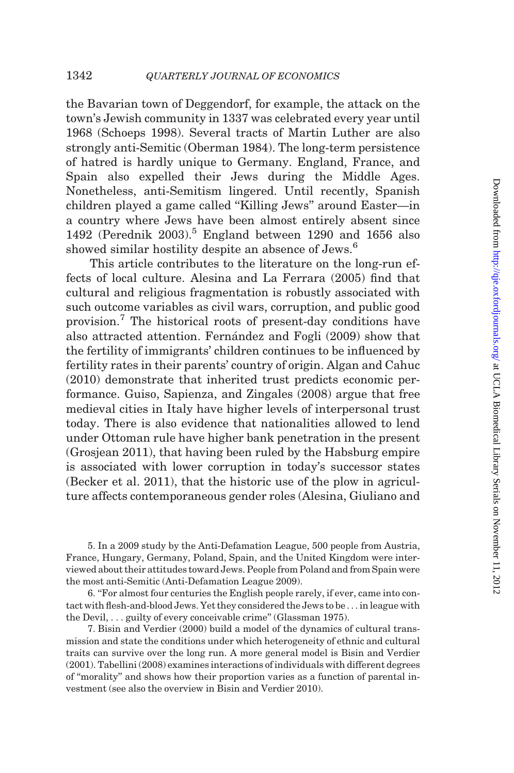the Bavarian town of Deggendorf, for example, the attack on the town's Jewish community in 1337 was celebrated every year until 1968 [\(Schoeps 1998](#page-52-0)). Several tracts of Martin Luther are also strongly anti-Semitic [\(Oberman 1984\)](#page-52-0). The long-term persistence of hatred is hardly unique to Germany. England, France, and Spain also expelled their Jews during the Middle Ages. Nonetheless, anti-Semitism lingered. Until recently, Spanish children played a game called ''Killing Jews'' around Easter—in a country where Jews have been almost entirely absent since 1492 ([Perednik 2003\)](#page-52-0).<sup>5</sup> England between 1290 and 1656 also showed similar hostility despite an absence of Jews.<sup>6</sup>

This article contributes to the literature on the long-run effects of local culture. [Alesina and La Ferrara \(2005\)](#page-49-0) find that cultural and religious fragmentation is robustly associated with such outcome variables as civil wars, corruption, and public good provision.<sup>7</sup> The historical roots of present-day conditions have also attracted attention. Fernandez and Fogli (2009) show that the fertility of immigrants' children continues to be influenced by fertility rates in their parents' country of origin. [Algan and Cahuc](#page-49-0) [\(2010\)](#page-49-0) demonstrate that inherited trust predicts economic performance. [Guiso, Sapienza, and Zingales \(2008\)](#page-51-0) argue that free medieval cities in Italy have higher levels of interpersonal trust today. There is also evidence that nationalities allowed to lend under Ottoman rule have higher bank penetration in the present ([Grosjean 2011\)](#page-51-0), that having been ruled by the Habsburg empire is associated with lower corruption in today's successor states ([Becker et al. 2011\)](#page-50-0), that the historic use of the plow in agriculture affects contemporaneous gender roles [\(Alesina, Giuliano and](#page-49-0)

5. In a 2009 study by the Anti-Defamation League, 500 people from Austria, France, Hungary, Germany, Poland, Spain, and the United Kingdom were interviewed about their attitudes toward Jews. People from Poland and from Spain were the most anti-Semitic ([Anti-Defamation League 2009](#page-49-0)).

6. ''For almost four centuries the English people rarely, if ever, came into contact with flesh-and-blood Jews. Yet they considered the Jews to be . . . in league with the Devil, . . . guilty of every conceivable crime'' [\(Glassman 1975](#page-51-0)).

7. [Bisin and Verdier \(2000\)](#page-50-0) build a model of the dynamics of cultural transmission and state the conditions under which heterogeneity of ethnic and cultural traits can survive over the long run. A more general model is [Bisin and Verdier](#page-50-0) [\(2001\)](#page-50-0). [Tabellini \(2008\)](#page-53-0) examines interactions of individuals with different degrees of ''morality'' and shows how their proportion varies as a function of parental investment (see also the overview in [Bisin and Verdier 2010](#page-50-0)).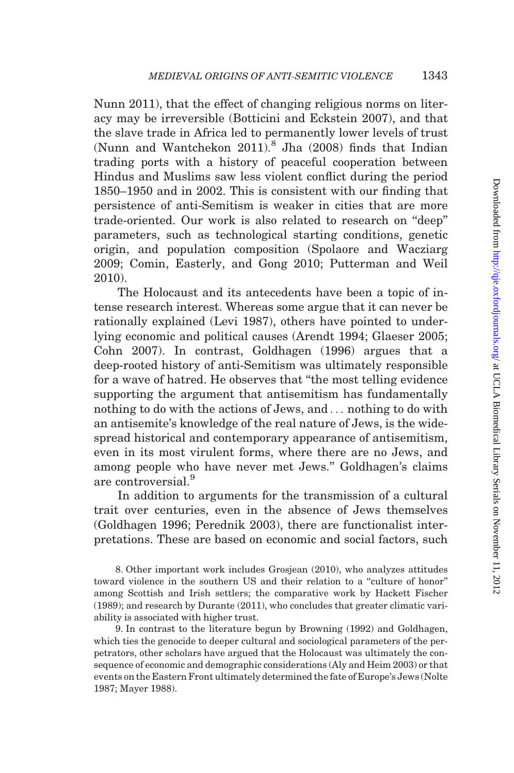[Nunn 2011](#page-49-0)), that the effect of changing religious norms on literacy may be irreversible [\(Botticini and Eckstein 2007\)](#page-50-0), and that the slave trade in Africa led to permanently lower levels of trust [\(Nunn and Wantchekon 2011](#page-52-0)).<sup>8</sup> [Jha \(2008\)](#page-51-0) finds that Indian trading ports with a history of peaceful cooperation between Hindus and Muslims saw less violent conflict during the period 1850–1950 and in 2002. This is consistent with our finding that persistence of anti-Semitism is weaker in cities that are more trade-oriented. Our work is also related to research on ''deep'' parameters, such as technological starting conditions, genetic origin, and population composition [\(Spolaore and Wacziarg](#page-52-0) [2009;](#page-52-0) [Comin, Easterly, and Gong 2010](#page-50-0); [Putterman and Weil](#page-52-0) [2010\)](#page-52-0).

The Holocaust and its antecedents have been a topic of intense research interest. Whereas some argue that it can never be rationally explained [\(Levi 1987](#page-52-0)), others have pointed to underlying economic and political causes [\(Arendt 1994;](#page-50-0) [Glaeser 2005;](#page-51-0) [Cohn 2007\)](#page-50-0). In contrast, [Goldhagen \(1996\)](#page-51-0) argues that a deep-rooted history of anti-Semitism was ultimately responsible for a wave of hatred. He observes that ''the most telling evidence supporting the argument that antisemitism has fundamentally nothing to do with the actions of Jews, and ... nothing to do with an antisemite's knowledge of the real nature of Jews, is the widespread historical and contemporary appearance of antisemitism, even in its most virulent forms, where there are no Jews, and among people who have never met Jews.'' Goldhagen's claims are controversial.<sup>9</sup>

In addition to arguments for the transmission of a cultural trait over centuries, even in the absence of Jews themselves [\(Goldhagen 1996](#page-51-0); [Perednik 2003](#page-52-0)), there are functionalist interpretations. These are based on economic and social factors, such

8. Other important work includes [Grosjean \(2010\)](#page-51-0), who analyzes attitudes toward violence in the southern US and their relation to a ''culture of honor'' among Scottish and Irish settlers; the comparative work by [Hackett Fischer](#page-51-0) [\(1989\);](#page-51-0) and research by [Durante \(2011\),](#page-50-0) who concludes that greater climatic variability is associated with higher trust.

9. In contrast to the literature begun by [Browning \(1992\)](#page-50-0) and Goldhagen, which ties the genocide to deeper cultural and sociological parameters of the perpetrators, other scholars have argued that the Holocaust was ultimately the consequence of economic and demographic considerations [\(Aly and Heim 2003\)](#page-49-0) or that events on the Eastern Front ultimately determined the fate of Europe's Jews ([Nolte](#page-52-0) [1987](#page-52-0); [Mayer 1988\)](#page-52-0).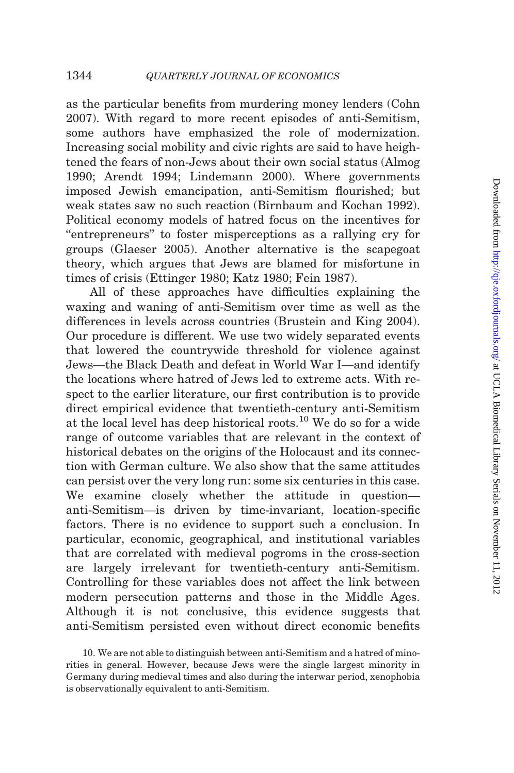as the particular benefits from murdering money lenders ([Cohn](#page-50-0) [2007](#page-50-0)). With regard to more recent episodes of anti-Semitism, some authors have emphasized the role of modernization. Increasing social mobility and civic rights are said to have heightened the fears of non-Jews about their own social status ([Almog](#page-49-0) [1990](#page-49-0); [Arendt 1994](#page-50-0); [Lindemann 2000\)](#page-52-0). Where governments imposed Jewish emancipation, anti-Semitism flourished; but weak states saw no such reaction ([Birnbaum and Kochan 1992](#page-50-0)). Political economy models of hatred focus on the incentives for ''entrepreneurs'' to foster misperceptions as a rallying cry for groups [\(Glaeser 2005\)](#page-51-0). Another alternative is the scapegoat theory, which argues that Jews are blamed for misfortune in times of crisis ([Ettinger 1980](#page-50-0); [Katz 1980](#page-51-0); [Fein 1987\)](#page-51-0).

All of these approaches have difficulties explaining the waxing and waning of anti-Semitism over time as well as the differences in levels across countries [\(Brustein and King 2004](#page-50-0)). Our procedure is different. We use two widely separated events that lowered the countrywide threshold for violence against Jews—the Black Death and defeat in World War I—and identify the locations where hatred of Jews led to extreme acts. With respect to the earlier literature, our first contribution is to provide direct empirical evidence that twentieth-century anti-Semitism at the local level has deep historical roots.<sup>10</sup> We do so for a wide range of outcome variables that are relevant in the context of historical debates on the origins of the Holocaust and its connection with German culture. We also show that the same attitudes can persist over the very long run: some six centuries in this case. We examine closely whether the attitude in question anti-Semitism—is driven by time-invariant, location-specific factors. There is no evidence to support such a conclusion. In particular, economic, geographical, and institutional variables that are correlated with medieval pogroms in the cross-section are largely irrelevant for twentieth-century anti-Semitism. Controlling for these variables does not affect the link between modern persecution patterns and those in the Middle Ages. Although it is not conclusive, this evidence suggests that anti-Semitism persisted even without direct economic benefits

<sup>10.</sup> We are not able to distinguish between anti-Semitism and a hatred of minorities in general. However, because Jews were the single largest minority in Germany during medieval times and also during the interwar period, xenophobia is observationally equivalent to anti-Semitism.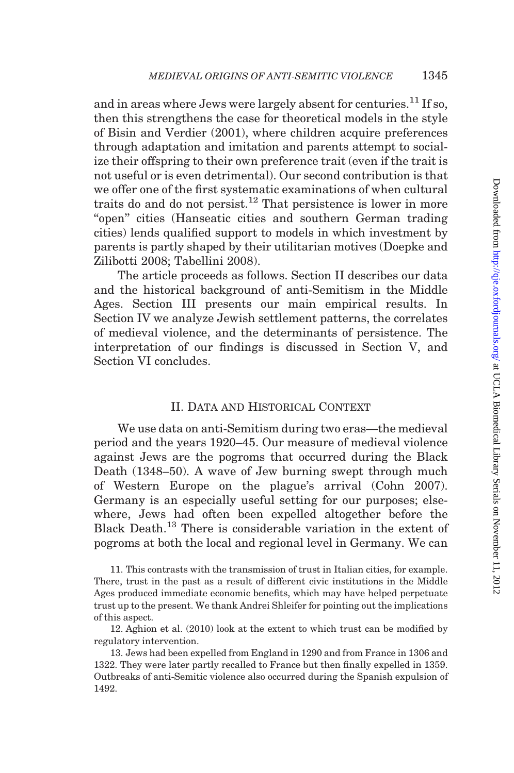<span id="page-6-0"></span>and in areas where Jews were largely absent for centuries.<sup>11</sup> If so, then this strengthens the case for theoretical models in the style of [Bisin and Verdier \(2001\),](#page-50-0) where children acquire preferences through adaptation and imitation and parents attempt to socialize their offspring to their own preference trait (even if the trait is not useful or is even detrimental). Our second contribution is that we offer one of the first systematic examinations of when cultural traits do and do not persist.<sup>12</sup> That persistence is lower in more "open" cities (Hanseatic cities and southern German trading cities) lends qualified support to models in which investment by parents is partly shaped by their utilitarian motives ([Doepke and](#page-50-0) [Zilibotti 2008](#page-50-0); [Tabellini 2008](#page-53-0)).

The article proceeds as follows. Section II describes our data and the historical background of anti-Semitism in the Middle Ages. [Section III](#page-22-0) presents our main empirical results. In [Section IV](#page-34-0) we analyze Jewish settlement patterns, the correlates of medieval violence, and the determinants of persistence. The interpretation of our findings is discussed in [Section V,](#page-43-0) and [Section VI](#page-46-0) concludes.

### II. Data and Historical Context

We use data on anti-Semitism during two eras—the medieval period and the years 1920–45. Our measure of medieval violence against Jews are the pogroms that occurred during the Black Death (1348–50). A wave of Jew burning swept through much of Western Europe on the plague's arrival ([Cohn 2007](#page-50-0)). Germany is an especially useful setting for our purposes; elsewhere, Jews had often been expelled altogether before the Black Death.13 There is considerable variation in the extent of pogroms at both the local and regional level in Germany. We can

12. [Aghion et al. \(2010\)](#page-49-0) look at the extent to which trust can be modified by regulatory intervention.

13. Jews had been expelled from England in 1290 and from France in 1306 and 1322. They were later partly recalled to France but then finally expelled in 1359. Outbreaks of anti-Semitic violence also occurred during the Spanish expulsion of 1492.

<sup>11.</sup> This contrasts with the transmission of trust in Italian cities, for example. There, trust in the past as a result of different civic institutions in the Middle Ages produced immediate economic benefits, which may have helped perpetuate trust up to the present. We thank Andrei Shleifer for pointing out the implications of this aspect.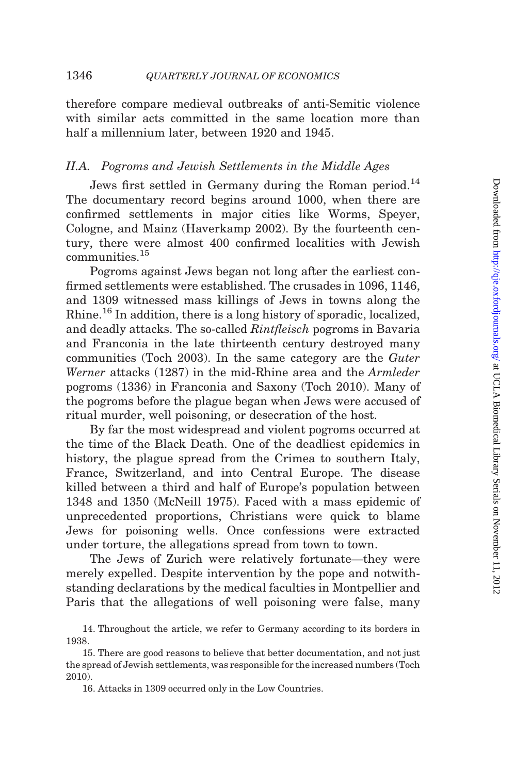therefore compare medieval outbreaks of anti-Semitic violence with similar acts committed in the same location more than half a millennium later, between 1920 and 1945.

# II.A. Pogroms and Jewish Settlements in the Middle Ages

Jews first settled in Germany during the Roman period.<sup>14</sup> The documentary record begins around 1000, when there are confirmed settlements in major cities like Worms, Speyer, Cologne, and Mainz ([Haverkamp 2002](#page-51-0)). By the fourteenth century, there were almost 400 confirmed localities with Jewish communities.<sup>15</sup>

Pogroms against Jews began not long after the earliest confirmed settlements were established. The crusades in 1096, 1146, and 1309 witnessed mass killings of Jews in towns along the Rhine.<sup>16</sup> In addition, there is a long history of sporadic, localized, and deadly attacks. The so-called Rintfleisch pogroms in Bavaria and Franconia in the late thirteenth century destroyed many communities [\(Toch 2003\)](#page-53-0). In the same category are the Guter Werner attacks (1287) in the mid-Rhine area and the Armleder pogroms (1336) in Franconia and Saxony ([Toch 2010\)](#page-53-0). Many of the pogroms before the plague began when Jews were accused of ritual murder, well poisoning, or desecration of the host.

By far the most widespread and violent pogroms occurred at the time of the Black Death. One of the deadliest epidemics in history, the plague spread from the Crimea to southern Italy, France, Switzerland, and into Central Europe. The disease killed between a third and half of Europe's population between 1348 and 1350 [\(McNeill 1975\)](#page-52-0). Faced with a mass epidemic of unprecedented proportions, Christians were quick to blame Jews for poisoning wells. Once confessions were extracted under torture, the allegations spread from town to town.

The Jews of Zurich were relatively fortunate—they were merely expelled. Despite intervention by the pope and notwithstanding declarations by the medical faculties in Montpellier and Paris that the allegations of well poisoning were false, many

<sup>14.</sup> Throughout the article, we refer to Germany according to its borders in 1938.

<sup>15.</sup> There are good reasons to believe that better documentation, and not just the spread of Jewish settlements, was responsible for the increased numbers [\(Toch](#page-53-0) [2010\)](#page-53-0).

<sup>16.</sup> Attacks in 1309 occurred only in the Low Countries.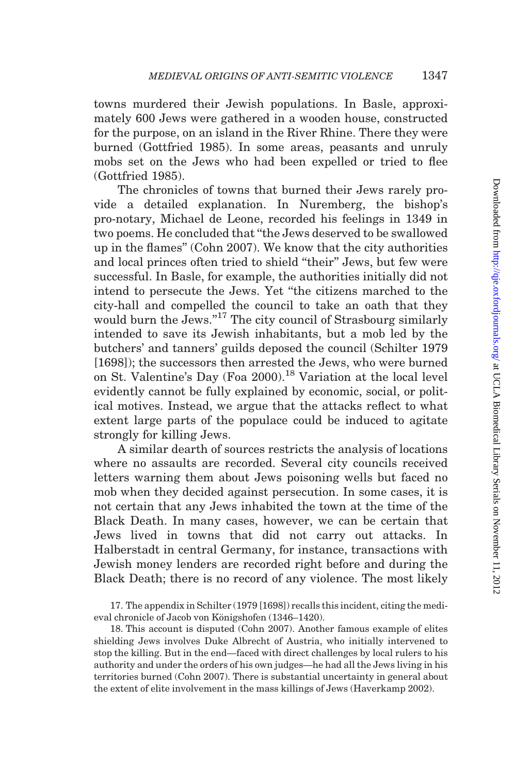towns murdered their Jewish populations. In Basle, approximately 600 Jews were gathered in a wooden house, constructed for the purpose, on an island in the River Rhine. There they were burned ([Gottfried 1985\)](#page-51-0). In some areas, peasants and unruly mobs set on the Jews who had been expelled or tried to flee [\(Gottfried 1985](#page-51-0)).

The chronicles of towns that burned their Jews rarely provide a detailed explanation. In Nuremberg, the bishop's pro-notary, Michael de Leone, recorded his feelings in 1349 in two poems. He concluded that ''the Jews deserved to be swallowed up in the flames'' ([Cohn 2007](#page-50-0)). We know that the city authorities and local princes often tried to shield ''their'' Jews, but few were successful. In Basle, for example, the authorities initially did not intend to persecute the Jews. Yet ''the citizens marched to the city-hall and compelled the council to take an oath that they would burn the Jews."<sup>17</sup> The city council of Strasbourg similarly intended to save its Jewish inhabitants, but a mob led by the butchers' and tanners' guilds deposed the council ([Schilter 1979](#page-52-0) [1698]); the successors then arrested the Jews, who were burned on St. Valentine's Day [\(Foa 2000\)](#page-51-0).<sup>18</sup> Variation at the local level evidently cannot be fully explained by economic, social, or political motives. Instead, we argue that the attacks reflect to what extent large parts of the populace could be induced to agitate strongly for killing Jews.

A similar dearth of sources restricts the analysis of locations where no assaults are recorded. Several city councils received letters warning them about Jews poisoning wells but faced no mob when they decided against persecution. In some cases, it is not certain that any Jews inhabited the town at the time of the Black Death. In many cases, however, we can be certain that Jews lived in towns that did not carry out attacks. In Halberstadt in central Germany, for instance, transactions with Jewish money lenders are recorded right before and during the Black Death; there is no record of any violence. The most likely

17. The appendix in Schilter [\(1979](#page-52-0) [1698]) recalls this incident, citing the medieval chronicle of Jacob von Königshofen (1346–1420).

18. This account is disputed [\(Cohn 2007](#page-50-0)). Another famous example of elites shielding Jews involves Duke Albrecht of Austria, who initially intervened to stop the killing. But in the end—faced with direct challenges by local rulers to his authority and under the orders of his own judges—he had all the Jews living in his territories burned [\(Cohn 2007](#page-50-0)). There is substantial uncertainty in general about the extent of elite involvement in the mass killings of Jews [\(Haverkamp 2002\)](#page-51-0).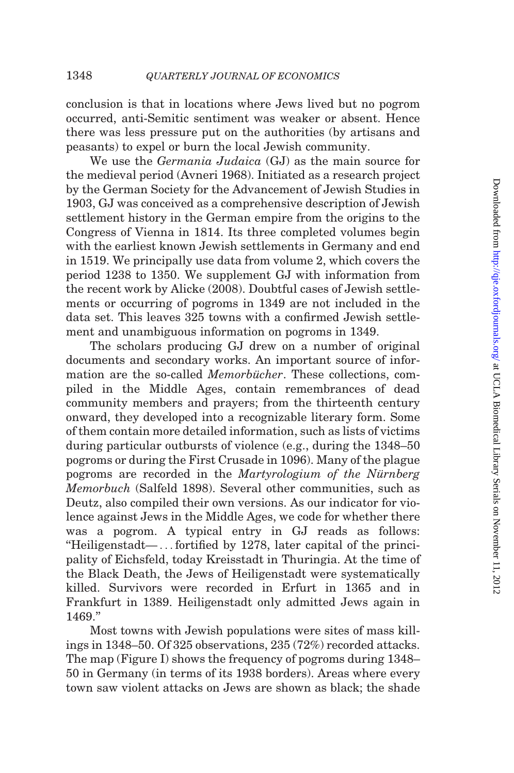conclusion is that in locations where Jews lived but no pogrom occurred, anti-Semitic sentiment was weaker or absent. Hence there was less pressure put on the authorities (by artisans and peasants) to expel or burn the local Jewish community.

We use the Germania Judaica (GJ) as the main source for the medieval period ([Avneri 1968](#page-50-0)). Initiated as a research project by the German Society for the Advancement of Jewish Studies in 1903, GJ was conceived as a comprehensive description of Jewish settlement history in the German empire from the origins to the Congress of Vienna in 1814. Its three completed volumes begin with the earliest known Jewish settlements in Germany and end in 1519. We principally use data from volume 2, which covers the period 1238 to 1350. We supplement GJ with information from the recent work by [Alicke \(2008\)](#page-49-0). Doubtful cases of Jewish settlements or occurring of pogroms in 1349 are not included in the data set. This leaves 325 towns with a confirmed Jewish settlement and unambiguous information on pogroms in 1349.

The scholars producing GJ drew on a number of original documents and secondary works. An important source of information are the so-called *Memorbücher*. These collections, compiled in the Middle Ages, contain remembrances of dead community members and prayers; from the thirteenth century onward, they developed into a recognizable literary form. Some of them contain more detailed information, such as lists of victims during particular outbursts of violence (e.g., during the 1348–50 pogroms or during the First Crusade in 1096). Many of the plague pogroms are recorded in the *Martyrologium of the Nürnberg* Memorbuch ([Salfeld 1898\)](#page-52-0). Several other communities, such as Deutz, also compiled their own versions. As our indicator for violence against Jews in the Middle Ages, we code for whether there was a pogrom. A typical entry in GJ reads as follows: ''Heiligenstadt— ... fortified by 1278, later capital of the principality of Eichsfeld, today Kreisstadt in Thuringia. At the time of the Black Death, the Jews of Heiligenstadt were systematically killed. Survivors were recorded in Erfurt in 1365 and in Frankfurt in 1389. Heiligenstadt only admitted Jews again in 1469.''

Most towns with Jewish populations were sites of mass killings in 1348–50. Of 325 observations, 235 (72%) recorded attacks. The map [\(Figure I](#page-10-0)) shows the frequency of pogroms during 1348– 50 in Germany (in terms of its 1938 borders). Areas where every town saw violent attacks on Jews are shown as black; the shade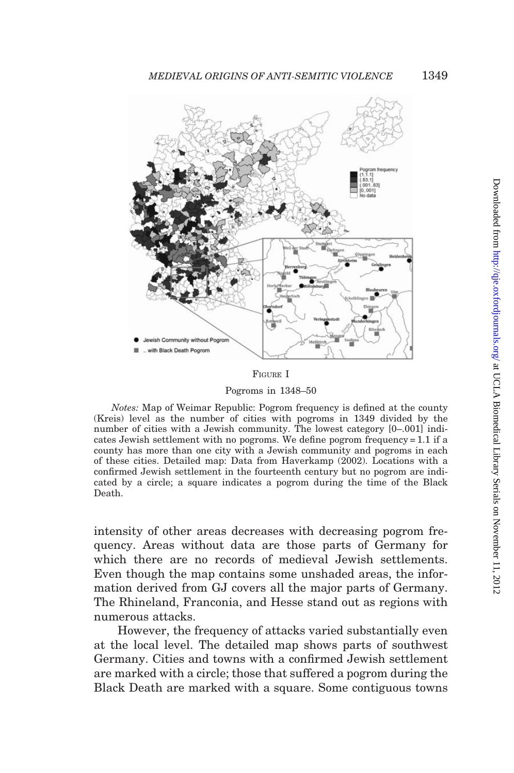<span id="page-10-0"></span>

FIGURE I

Pogroms in 1348–50

Notes: Map of Weimar Republic: Pogrom frequency is defined at the county (Kreis) level as the number of cities with pogroms in 1349 divided by the number of cities with a Jewish community. The lowest category [0–.001] indicates Jewish settlement with no pogroms. We define pogrom frequency = 1.1 if a county has more than one city with a Jewish community and pogroms in each of these cities. Detailed map: Data from [Haverkamp \(2002\)](#page-51-0). Locations with a confirmed Jewish settlement in the fourteenth century but no pogrom are indicated by a circle; a square indicates a pogrom during the time of the Black Death.

intensity of other areas decreases with decreasing pogrom frequency. Areas without data are those parts of Germany for which there are no records of medieval Jewish settlements. Even though the map contains some unshaded areas, the information derived from GJ covers all the major parts of Germany. The Rhineland, Franconia, and Hesse stand out as regions with numerous attacks.

However, the frequency of attacks varied substantially even at the local level. The detailed map shows parts of southwest Germany. Cities and towns with a confirmed Jewish settlement are marked with a circle; those that suffered a pogrom during the Black Death are marked with a square. Some contiguous towns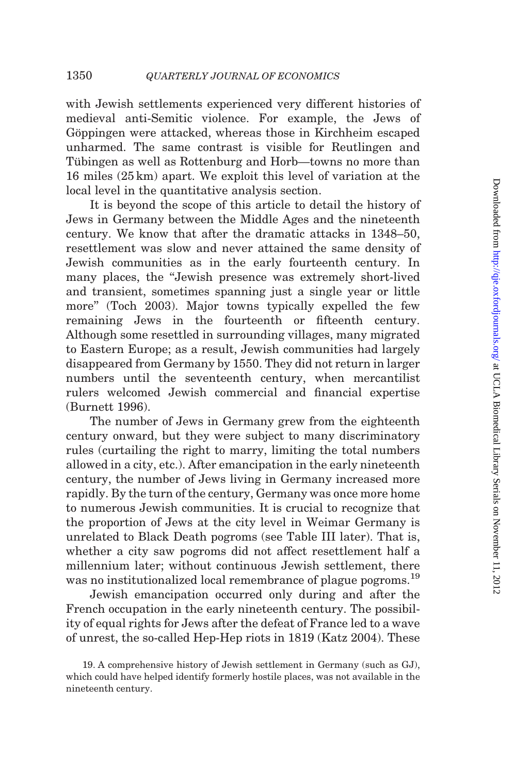with Jewish settlements experienced very different histories of medieval anti-Semitic violence. For example, the Jews of Göppingen were attacked, whereas those in Kirchheim escaped unharmed. The same contrast is visible for Reutlingen and Tübingen as well as Rottenburg and Horb—towns no more than 16 miles (25 km) apart. We exploit this level of variation at the local level in the quantitative analysis section.

It is beyond the scope of this article to detail the history of Jews in Germany between the Middle Ages and the nineteenth century. We know that after the dramatic attacks in 1348–50, resettlement was slow and never attained the same density of Jewish communities as in the early fourteenth century. In many places, the "Jewish presence was extremely short-lived and transient, sometimes spanning just a single year or little more'' ([Toch 2003](#page-53-0)). Major towns typically expelled the few remaining Jews in the fourteenth or fifteenth century. Although some resettled in surrounding villages, many migrated to Eastern Europe; as a result, Jewish communities had largely disappeared from Germany by 1550. They did not return in larger numbers until the seventeenth century, when mercantilist rulers welcomed Jewish commercial and financial expertise ([Burnett 1996](#page-50-0)).

The number of Jews in Germany grew from the eighteenth century onward, but they were subject to many discriminatory rules (curtailing the right to marry, limiting the total numbers allowed in a city, etc.). After emancipation in the early nineteenth century, the number of Jews living in Germany increased more rapidly. By the turn of the century, Germany was once more home to numerous Jewish communities. It is crucial to recognize that the proportion of Jews at the city level in Weimar Germany is unrelated to Black Death pogroms (see [Table III](#page-21-0) later). That is, whether a city saw pogroms did not affect resettlement half a millennium later; without continuous Jewish settlement, there was no institutionalized local remembrance of plague pogroms.<sup>19</sup>

Jewish emancipation occurred only during and after the French occupation in the early nineteenth century. The possibility of equal rights for Jews after the defeat of France led to a wave of unrest, the so-called Hep-Hep riots in 1819 ([Katz 2004](#page-51-0)). These

<sup>19.</sup> A comprehensive history of Jewish settlement in Germany (such as GJ), which could have helped identify formerly hostile places, was not available in the nineteenth century.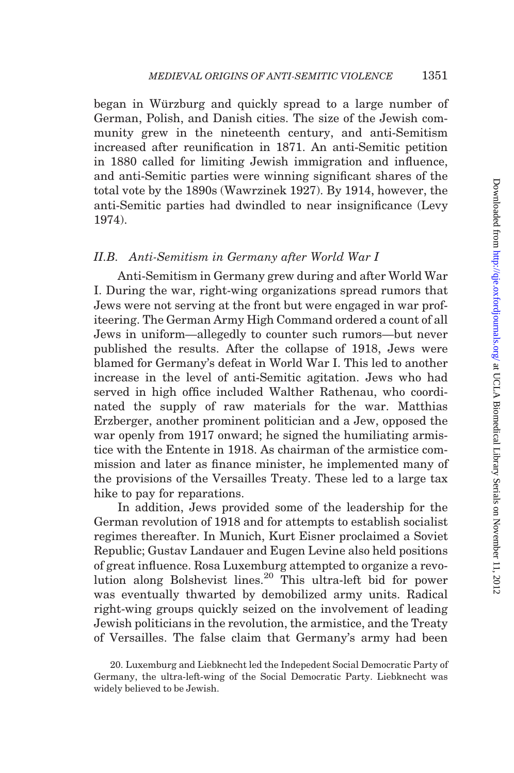began in Würzburg and quickly spread to a large number of German, Polish, and Danish cities. The size of the Jewish community grew in the nineteenth century, and anti-Semitism increased after reunification in 1871. An anti-Semitic petition in 1880 called for limiting Jewish immigration and influence, and anti-Semitic parties were winning significant shares of the total vote by the 1890s [\(Wawrzinek 1927](#page-53-0)). By 1914, however, the anti-Semitic parties had dwindled to near insignificance [\(Levy](#page-52-0) [1974\)](#page-52-0).

#### II.B. Anti-Semitism in Germany after World War I

Anti-Semitism in Germany grew during and after World War I. During the war, right-wing organizations spread rumors that Jews were not serving at the front but were engaged in war profiteering. The German Army High Command ordered a count of all Jews in uniform—allegedly to counter such rumors—but never published the results. After the collapse of 1918, Jews were blamed for Germany's defeat in World War I. This led to another increase in the level of anti-Semitic agitation. Jews who had served in high office included Walther Rathenau, who coordinated the supply of raw materials for the war. Matthias Erzberger, another prominent politician and a Jew, opposed the war openly from 1917 onward; he signed the humiliating armistice with the Entente in 1918. As chairman of the armistice commission and later as finance minister, he implemented many of the provisions of the Versailles Treaty. These led to a large tax hike to pay for reparations.

In addition, Jews provided some of the leadership for the German revolution of 1918 and for attempts to establish socialist regimes thereafter. In Munich, Kurt Eisner proclaimed a Soviet Republic; Gustav Landauer and Eugen Levine also held positions of great influence. Rosa Luxemburg attempted to organize a revolution along Bolshevist lines.<sup>20</sup> This ultra-left bid for power was eventually thwarted by demobilized army units. Radical right-wing groups quickly seized on the involvement of leading Jewish politicians in the revolution, the armistice, and the Treaty of Versailles. The false claim that Germany's army had been

<sup>20.</sup> Luxemburg and Liebknecht led the Indepedent Social Democratic Party of Germany, the ultra-left-wing of the Social Democratic Party. Liebknecht was widely believed to be Jewish.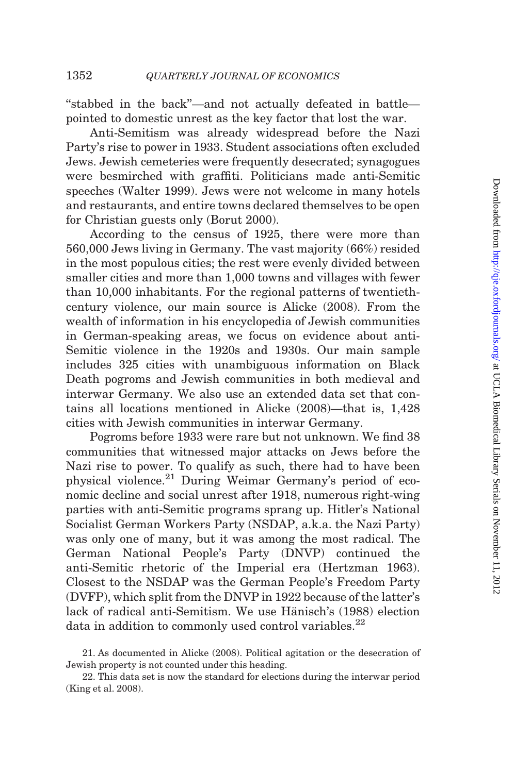''stabbed in the back''—and not actually defeated in battle pointed to domestic unrest as the key factor that lost the war.

Anti-Semitism was already widespread before the Nazi Party's rise to power in 1933. Student associations often excluded Jews. Jewish cemeteries were frequently desecrated; synagogues were besmirched with graffiti. Politicians made anti-Semitic speeches ([Walter 1999\)](#page-53-0). Jews were not welcome in many hotels and restaurants, and entire towns declared themselves to be open for Christian guests only ([Borut 2000](#page-50-0)).

According to the census of 1925, there were more than 560,000 Jews living in Germany. The vast majority (66%) resided in the most populous cities; the rest were evenly divided between smaller cities and more than 1,000 towns and villages with fewer than 10,000 inhabitants. For the regional patterns of twentiethcentury violence, our main source is [Alicke \(2008\).](#page-49-0) From the wealth of information in his encyclopedia of Jewish communities in German-speaking areas, we focus on evidence about anti-Semitic violence in the 1920s and 1930s. Our main sample includes 325 cities with unambiguous information on Black Death pogroms and Jewish communities in both medieval and interwar Germany. We also use an extended data set that contains all locations mentioned in [Alicke \(2008\)](#page-49-0)—that is, 1,428 cities with Jewish communities in interwar Germany.

Pogroms before 1933 were rare but not unknown. We find 38 communities that witnessed major attacks on Jews before the Nazi rise to power. To qualify as such, there had to have been physical violence.21 During Weimar Germany's period of economic decline and social unrest after 1918, numerous right-wing parties with anti-Semitic programs sprang up. Hitler's National Socialist German Workers Party (NSDAP, a.k.a. the Nazi Party) was only one of many, but it was among the most radical. The German National People's Party (DNVP) continued the anti-Semitic rhetoric of the Imperial era ([Hertzman 1963](#page-51-0)). Closest to the NSDAP was the German People's Freedom Party (DVFP), which split from the DNVP in 1922 because of the latter's lack of radical anti-Semitism. We use Hänisch's (1988) election data in addition to commonly used control variables.<sup>22</sup>

<sup>21.</sup> As documented in [Alicke \(2008\).](#page-49-0) Political agitation or the desecration of Jewish property is not counted under this heading.

<sup>22.</sup> This data set is now the standard for elections during the interwar period [\(King et al. 2008](#page-52-0)).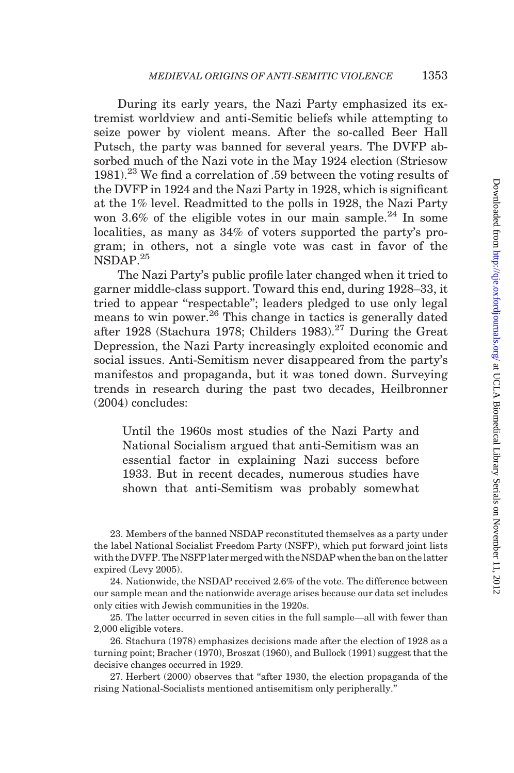During its early years, the Nazi Party emphasized its extremist worldview and anti-Semitic beliefs while attempting to seize power by violent means. After the so-called Beer Hall Putsch, the party was banned for several years. The DVFP absorbed much of the Nazi vote in the May 1924 election ([Striesow](#page-52-0) [1981\)](#page-52-0).<sup>23</sup> We find a correlation of .59 between the voting results of the DVFP in 1924 and the Nazi Party in 1928, which is significant at the 1% level. Readmitted to the polls in 1928, the Nazi Party won 3.6% of the eligible votes in our main sample.<sup>24</sup> In some localities, as many as 34% of voters supported the party's program; in others, not a single vote was cast in favor of the NSDAP.<sup>25</sup>

The Nazi Party's public profile later changed when it tried to garner middle-class support. Toward this end, during 1928–33, it tried to appear "respectable"; leaders pledged to use only legal means to win power.26 This change in tactics is generally dated after 1928 [\(Stachura 1978;](#page-52-0) [Childers 1983\)](#page-50-0).<sup>27</sup> During the Great Depression, the Nazi Party increasingly exploited economic and social issues. Anti-Semitism never disappeared from the party's manifestos and propaganda, but it was toned down. Surveying trends in research during the past two decades, [Heilbronner](#page-51-0) [\(2004\)](#page-51-0) concludes:

Until the 1960s most studies of the Nazi Party and National Socialism argued that anti-Semitism was an essential factor in explaining Nazi success before 1933. But in recent decades, numerous studies have shown that anti-Semitism was probably somewhat

23. Members of the banned NSDAP reconstituted themselves as a party under the label National Socialist Freedom Party (NSFP), which put forward joint lists with the DVFP. The NSFP later merged with the NSDAP when the ban on the latter expired ([Levy 2005](#page-52-0)).

24. Nationwide, the NSDAP received 2.6% of the vote. The difference between our sample mean and the nationwide average arises because our data set includes only cities with Jewish communities in the 1920s.

25. The latter occurred in seven cities in the full sample—all with fewer than 2,000 eligible voters.

26. [Stachura \(1978\)](#page-52-0) emphasizes decisions made after the election of 1928 as a turning point; [Bracher \(1970\)](#page-50-0), [Broszat \(1960\),](#page-50-0) and [Bullock \(1991\)](#page-50-0) suggest that the decisive changes occurred in 1929.

27. [Herbert \(2000\)](#page-51-0) observes that ''after 1930, the election propaganda of the rising National-Socialists mentioned antisemitism only peripherally.''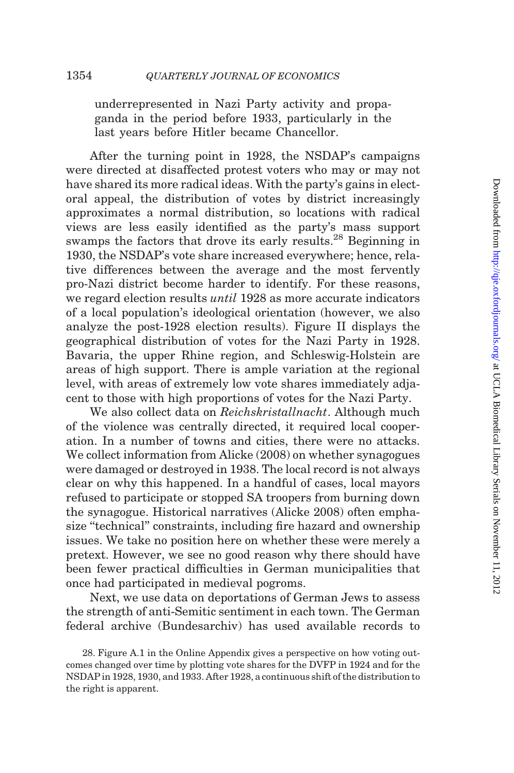underrepresented in Nazi Party activity and propaganda in the period before 1933, particularly in the last years before Hitler became Chancellor.

After the turning point in 1928, the NSDAP's campaigns were directed at disaffected protest voters who may or may not have shared its more radical ideas. With the party's gains in electoral appeal, the distribution of votes by district increasingly approximates a normal distribution, so locations with radical views are less easily identified as the party's mass support swamps the factors that drove its early results.<sup>28</sup> Beginning in 1930, the NSDAP's vote share increased everywhere; hence, relative differences between the average and the most fervently pro-Nazi district become harder to identify. For these reasons, we regard election results until 1928 as more accurate indicators of a local population's ideological orientation (however, we also analyze the post-1928 election results). [Figure II](#page-16-0) displays the geographical distribution of votes for the Nazi Party in 1928. Bavaria, the upper Rhine region, and Schleswig-Holstein are areas of high support. There is ample variation at the regional level, with areas of extremely low vote shares immediately adjacent to those with high proportions of votes for the Nazi Party.

We also collect data on Reichskristallnacht. Although much of the violence was centrally directed, it required local cooperation. In a number of towns and cities, there were no attacks. We collect information from [Alicke \(2008\)](#page-49-0) on whether synagogues were damaged or destroyed in 1938. The local record is not always clear on why this happened. In a handful of cases, local mayors refused to participate or stopped SA troopers from burning down the synagogue. Historical narratives ([Alicke 2008\)](#page-49-0) often emphasize "technical" constraints, including fire hazard and ownership issues. We take no position here on whether these were merely a pretext. However, we see no good reason why there should have been fewer practical difficulties in German municipalities that once had participated in medieval pogroms.

Next, we use data on deportations of German Jews to assess the strength of anti-Semitic sentiment in each town. The German federal archive (Bundesarchiv) has used available records to

<sup>28.</sup> Figure A.1 in the Online Appendix gives a perspective on how voting outcomes changed over time by plotting vote shares for the DVFP in 1924 and for the NSDAP in 1928, 1930, and 1933. After 1928, a continuous shift of the distribution to the right is apparent.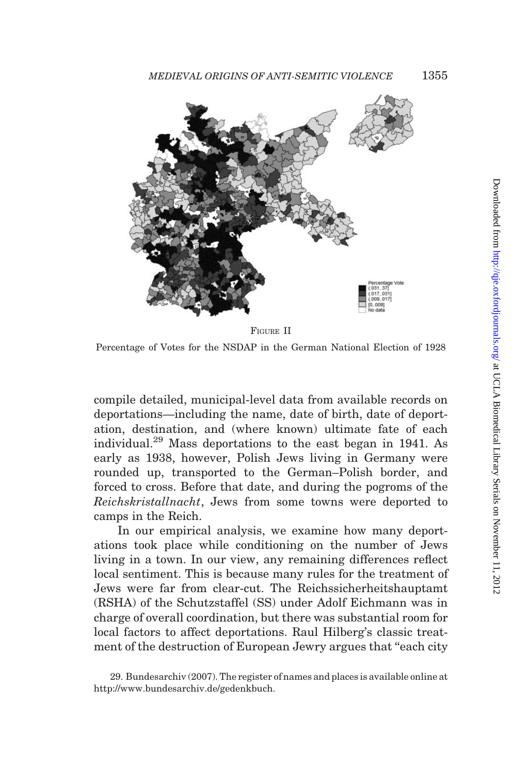<span id="page-16-0"></span>

FIGURE II

Percentage of Votes for the NSDAP in the German National Election of 1928

compile detailed, municipal-level data from available records on deportations—including the name, date of birth, date of deportation, destination, and (where known) ultimate fate of each individual.<sup>29</sup> Mass deportations to the east began in 1941. As early as 1938, however, Polish Jews living in Germany were rounded up, transported to the German–Polish border, and forced to cross. Before that date, and during the pogroms of the Reichskristallnacht, Jews from some towns were deported to camps in the Reich.

In our empirical analysis, we examine how many deportations took place while conditioning on the number of Jews living in a town. In our view, any remaining differences reflect local sentiment. This is because many rules for the treatment of Jews were far from clear-cut. The Reichssicherheitshauptamt (RSHA) of the Schutzstaffel (SS) under Adolf Eichmann was in charge of overall coordination, but there was substantial room for local factors to affect deportations. Raul Hilberg's classic treatment of the destruction of European Jewry argues that "each city

<sup>29.</sup> [Bundesarchiv \(2007\).](#page-50-0) The register of names and places is available online at http://www.bundesarchiv.de/gedenkbuch.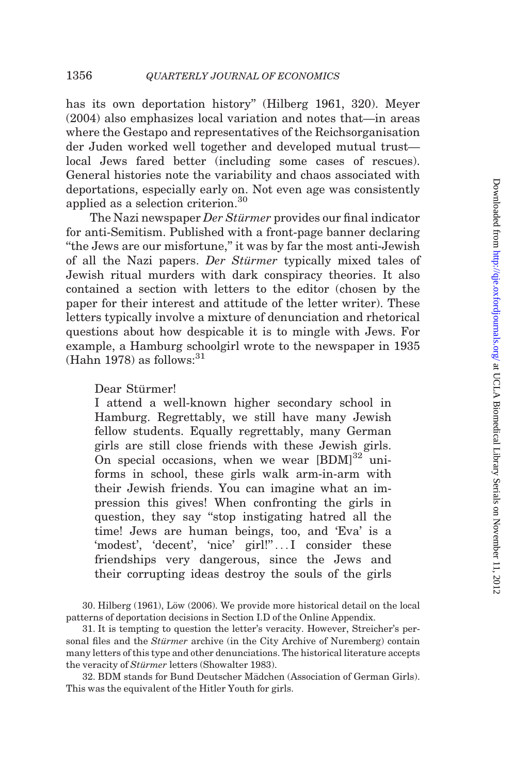has its own deportation history'' ([Hilberg 1961](#page-51-0), 320). [Meyer](#page-52-0) [\(2004\)](#page-52-0) also emphasizes local variation and notes that—in areas where the Gestapo and representatives of the Reichsorganisation der Juden worked well together and developed mutual trust local Jews fared better (including some cases of rescues). General histories note the variability and chaos associated with deportations, especially early on. Not even age was consistently applied as a selection criterion.<sup>30</sup>

The Nazi newspaper Der Stürmer provides our final indicator for anti-Semitism. Published with a front-page banner declaring ''the Jews are our misfortune,'' it was by far the most anti-Jewish of all the Nazi papers. Der Stürmer typically mixed tales of Jewish ritual murders with dark conspiracy theories. It also contained a section with letters to the editor (chosen by the paper for their interest and attitude of the letter writer). These letters typically involve a mixture of denunciation and rhetorical questions about how despicable it is to mingle with Jews. For example, a Hamburg schoolgirl wrote to the newspaper in 1935  $(Hahn 1978)$  $(Hahn 1978)$  as follows:  $31$ 

Dear Stürmer!

I attend a well-known higher secondary school in Hamburg. Regrettably, we still have many Jewish fellow students. Equally regrettably, many German girls are still close friends with these Jewish girls. On special occasions, when we wear  $[{\rm BDM}]^{32}$  uniforms in school, these girls walk arm-in-arm with their Jewish friends. You can imagine what an impression this gives! When confronting the girls in question, they say ''stop instigating hatred all the time! Jews are human beings, too, and 'Eva' is a 'modest', 'decent', 'nice' girl!"...I consider these friendships very dangerous, since the Jews and their corrupting ideas destroy the souls of the girls

30. Hilberg  $(1961)$ , Löw  $(2006)$ . We provide more historical detail on the local patterns of deportation decisions in Section I.D of the Online Appendix.

31. It is tempting to question the letter's veracity. However, Streicher's personal files and the Stürmer archive (in the City Archive of Nuremberg) contain many letters of this type and other denunciations. The historical literature accepts the veracity of Stürmer letters [\(Showalter 1983\)](#page-52-0).

32. BDM stands for Bund Deutscher Mädchen (Association of German Girls). This was the equivalent of the Hitler Youth for girls.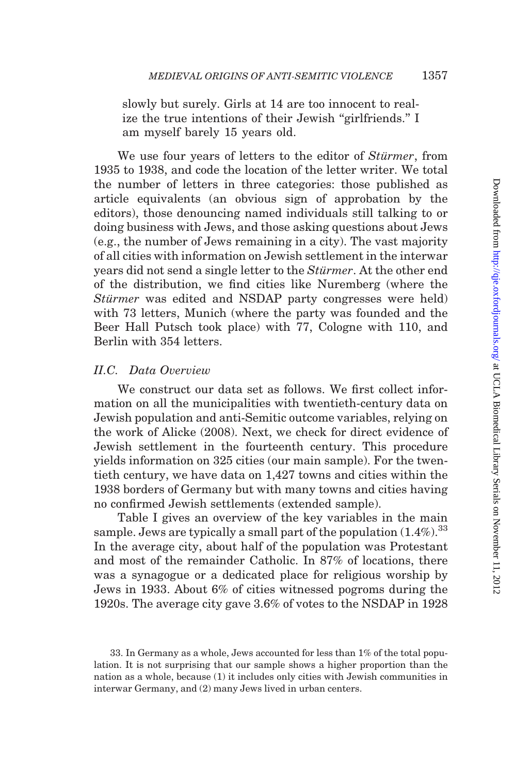slowly but surely. Girls at 14 are too innocent to realize the true intentions of their Jewish ''girlfriends.'' I am myself barely 15 years old.

We use four years of letters to the editor of *Stürmer*, from 1935 to 1938, and code the location of the letter writer. We total the number of letters in three categories: those published as article equivalents (an obvious sign of approbation by the editors), those denouncing named individuals still talking to or doing business with Jews, and those asking questions about Jews (e.g., the number of Jews remaining in a city). The vast majority of all cities with information on Jewish settlement in the interwar years did not send a single letter to the *Stürmer*. At the other end of the distribution, we find cities like Nuremberg (where the Stürmer was edited and NSDAP party congresses were held) with 73 letters, Munich (where the party was founded and the Beer Hall Putsch took place) with 77, Cologne with 110, and Berlin with 354 letters.

#### II.C. Data Overview

We construct our data set as follows. We first collect information on all the municipalities with twentieth-century data on Jewish population and anti-Semitic outcome variables, relying on the work of [Alicke \(2008\).](#page-49-0) Next, we check for direct evidence of Jewish settlement in the fourteenth century. This procedure yields information on 325 cities (our main sample). For the twentieth century, we have data on 1,427 towns and cities within the 1938 borders of Germany but with many towns and cities having no confirmed Jewish settlements (extended sample).

[Table I](#page-19-0) gives an overview of the key variables in the main sample. Jews are typically a small part of the population  $(1.4\%)$ .<sup>33</sup> In the average city, about half of the population was Protestant and most of the remainder Catholic. In 87% of locations, there was a synagogue or a dedicated place for religious worship by Jews in 1933. About 6% of cities witnessed pogroms during the 1920s. The average city gave 3.6% of votes to the NSDAP in 1928

<sup>33.</sup> In Germany as a whole, Jews accounted for less than 1% of the total population. It is not surprising that our sample shows a higher proportion than the nation as a whole, because (1) it includes only cities with Jewish communities in interwar Germany, and (2) many Jews lived in urban centers.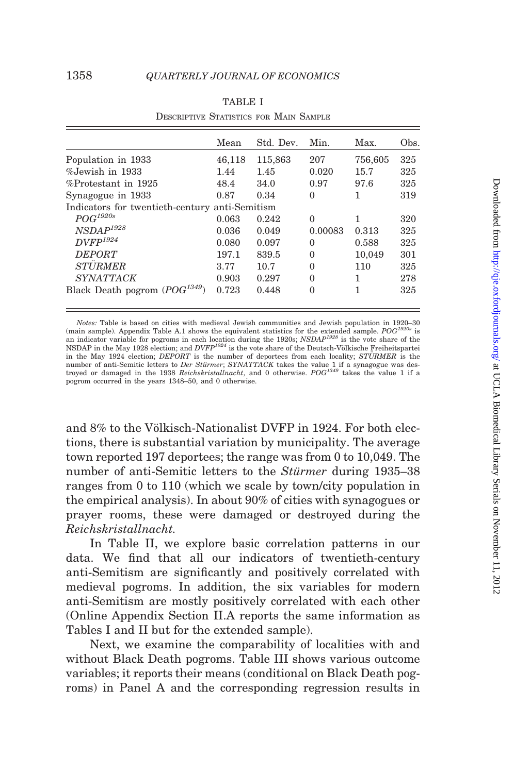<span id="page-19-0"></span>

|                                                | Mean   | Std. Dev. | Min.     | Max.    | Obs. |
|------------------------------------------------|--------|-----------|----------|---------|------|
| Population in 1933                             | 46,118 | 115,863   | 207      | 756,605 | 325  |
| $%$ Jewish in 1933                             | 1.44   | 1.45      | 0.020    | 15.7    | 325  |
| %Protestant in 1925                            | 48.4   | 34.0      | 0.97     | 97.6    | 325  |
| Synagogue in 1933                              | 0.87   | 0.34      | $\theta$ | 1       | 319  |
| Indicators for twentieth-century anti-Semitism |        |           |          |         |      |
| $POG^\mathit{1920s}$                           | 0.063  | 0.242     | $\Omega$ | 1       | 320  |
| $NSDAP^{1928}$                                 | 0.036  | 0.049     | 0.00083  | 0.313   | 325  |
| $DVFP^{1924}$                                  | 0.080  | 0.097     | $\Omega$ | 0.588   | 325  |
| <b>DEPORT</b>                                  | 197.1  | 839.5     | $\Omega$ | 10,049  | 301  |
| <b>STÜRMER</b>                                 | 3.77   | 10.7      | $\Omega$ | 110     | 325  |
| <i><b>SYNATTACK</b></i>                        | 0.903  | 0.297     | $\Omega$ | 1       | 278  |
| Black Death pogrom $(POG^{1349})$              | 0.723  | 0.448     | 0        |         | 325  |

|                                        | <b>TABLE I</b> |  |  |
|----------------------------------------|----------------|--|--|
| DESCRIPTIVE STATISTICS FOR MAIN SAMPLE |                |  |  |

Notes: Table is based on cities with medieval Jewish communities and Jewish population in 1920–30 (main sample). Appendix Table A.1 shows the equivalent statistics for the extended sample.  $POG^{1920s}$  is<br>an indicator variable for pogroms in each location during the 1920s;  $NSDAP^{1928}$  is the vote share of the<br>NSDAP in in the May 1924 election; DEPORT is the number of deportees from each locality; STÜRMER is the number of anti-Semitic letters to Der Stürmer; SYNATTACK takes the value 1 if a synagogue was destroyed or damaged in the 1938 Reichskristallnacht, and 0 otherwise. POG<sup>1349</sup> takes the value 1 if a pogrom occurred in the years 1348–50, and 0 otherwise.

and  $8\%$  to the Völkisch-Nationalist DVFP in 1924. For both elections, there is substantial variation by municipality. The average town reported 197 deportees; the range was from 0 to 10,049. The number of anti-Semitic letters to the *Stürmer* during 1935–38 ranges from 0 to 110 (which we scale by town/city population in the empirical analysis). In about 90% of cities with synagogues or prayer rooms, these were damaged or destroyed during the Reichskristallnacht.

In [Table II,](#page-20-0) we explore basic correlation patterns in our data. We find that all our indicators of twentieth-century anti-Semitism are significantly and positively correlated with medieval pogroms. In addition, the six variables for modern anti-Semitism are mostly positively correlated with each other (Online Appendix Section II.A reports the same information as Tables I and [II](#page-20-0) but for the extended sample).

Next, we examine the comparability of localities with and without Black Death pogroms. [Table III](#page-21-0) shows various outcome variables; it reports their means (conditional on Black Death pogroms) in Panel A and the corresponding regression results in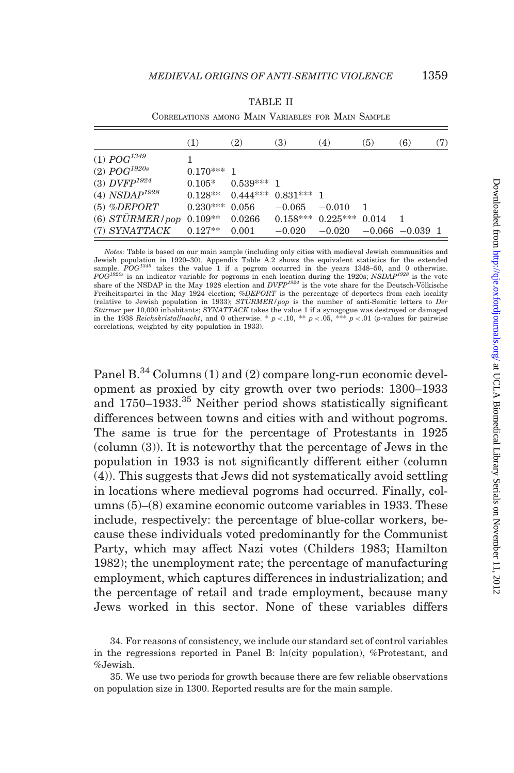<span id="page-20-0"></span>

|                             | (1)        | (2)          | <b>(3)</b>              | (4)                   | (5)   | (6)                | (7) |
|-----------------------------|------------|--------------|-------------------------|-----------------------|-------|--------------------|-----|
| (1) $POG^{1349}$            |            |              |                         |                       |       |                    |     |
| (2) $POG^{1920s}$           | $0.170***$ | -1           |                         |                       |       |                    |     |
| (3) $DVFP^{1924}$           | $0.105*$   | $0.539***$ 1 |                         |                       |       |                    |     |
| (4) $NSDAP^{1928}$          | $0.128**$  |              | $0.444***$ $0.831***$ 1 |                       |       |                    |     |
| $(5)$ %DEPORT               | $0.230***$ | 0.056        | $-0.065$                | $-0.010$              |       |                    |     |
| (6) $STURMER$ / pop 0.109** |            | 0.0266       |                         | $0.158***$ $0.225***$ | 0.014 |                    |     |
| (7) SYNATTACK               | $0.127**$  | 0.001        | $-0.020$                | $-0.020$              |       | $-0.066 - 0.039$ 1 |     |

TABLE II

CORRELATIONS AMONG MAIN VARIABLES FOR MAIN SAMPLE

Notes: Table is based on our main sample (including only cities with medieval Jewish communities and Jewish population in 1920–30). Appendix Table A.2 shows the equivalent statistics for the extended sample.  $POG^{1349}$  takes the value 1 if a pogrom occurred in the years 1348–50, and 0 otherwise.<br> $POG^{1920s}$  is an indicator variable for pogroms in each location during the 1920s;  $NSDAP^{1928}$  is the vote share of the NSD Freiheitspartei in the May 1924 election; %DEPORT is the percentage of deportees from each locality (relative to Jewish population in 1933);  $STURMER/pop$  is the number of anti-Semitic letters to Der *Stürmer* per 10,000 inhabitants; *SYNATTACK* takes the value 1 if a synagogue was destroyed or damaged<br>in the 1938 *Reichskristallnacht*, and 0 otherwise. \*  $p < .10$ , \*\*  $p < .05$ , \*\*\*  $p < .01$  (p-values for pairwise correlations, weighted by city population in 1933).

Panel B.<sup>34</sup> Columns (1) and (2) compare long-run economic development as proxied by city growth over two periods: 1300–1933 and 1750–1933.<sup>35</sup> Neither period shows statistically significant differences between towns and cities with and without pogroms. The same is true for the percentage of Protestants in 1925 (column (3)). It is noteworthy that the percentage of Jews in the population in 1933 is not significantly different either (column (4)). This suggests that Jews did not systematically avoid settling in locations where medieval pogroms had occurred. Finally, columns (5)–(8) examine economic outcome variables in 1933. These include, respectively: the percentage of blue-collar workers, because these individuals voted predominantly for the Communist Party, which may affect Nazi votes [\(Childers 1983](#page-50-0); [Hamilton](#page-51-0) [1982\)](#page-51-0); the unemployment rate; the percentage of manufacturing employment, which captures differences in industrialization; and the percentage of retail and trade employment, because many Jews worked in this sector. None of these variables differs

<sup>34.</sup> For reasons of consistency, we include our standard set of control variables in the regressions reported in Panel B: ln(city population), %Protestant, and %Jewish.

<sup>35.</sup> We use two periods for growth because there are few reliable observations on population size in 1300. Reported results are for the main sample.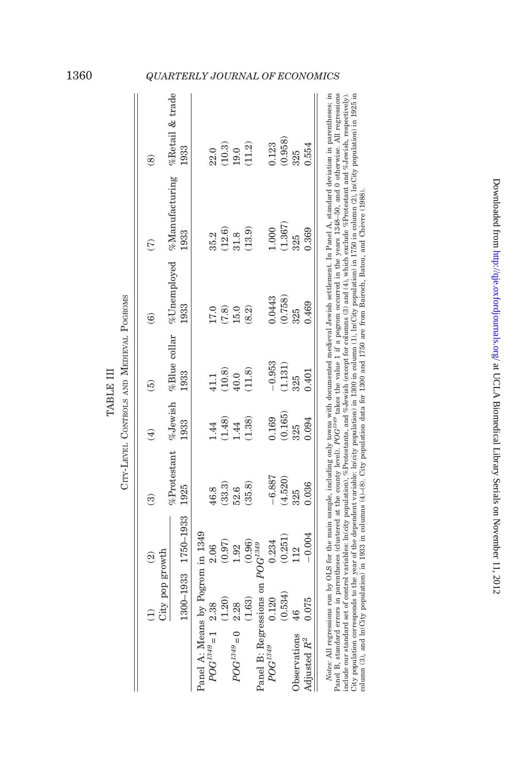|                                  |                 | $\widehat{\mathfrak{D}}$ | ම                   | $\widehat{E}$                            | $\widehat{\mathbf{e}}$                                          | $\widehat{\mathbf{e}}$ | $\widehat{C}$                                                   | $\circledast$                                                   |
|----------------------------------|-----------------|--------------------------|---------------------|------------------------------------------|-----------------------------------------------------------------|------------------------|-----------------------------------------------------------------|-----------------------------------------------------------------|
|                                  | City pop growth |                          |                     |                                          |                                                                 |                        |                                                                 |                                                                 |
|                                  |                 |                          | %Protestant %Jewish |                                          | %Blue collar                                                    | $\%$ Unemployed        | $%$ Manufacturing                                               | %Retail & trade                                                 |
|                                  |                 | 1300-1933 1750-1933      | 1925                | 1933                                     | 1933                                                            | 1933                   | 1933                                                            | 1933                                                            |
| Panel A: Means by Pogrom in 1349 |                 |                          |                     |                                          |                                                                 |                        |                                                                 |                                                                 |
| $POG^{1349} = 1$ 2.38            |                 | 2.06                     | 46.8                |                                          |                                                                 |                        |                                                                 |                                                                 |
|                                  | (1.20)          | (0.97)                   | $(33.3)$            |                                          |                                                                 |                        |                                                                 |                                                                 |
| $POG^{1349} = 0$                 | 2.28            | 1.92                     | 52.6                | $1.44$<br>$(1.48)$<br>$1.44$<br>$(1.38)$ | $\begin{array}{c} 41.1 \\ (10.8) \\ 40.0 \\ (11.8) \end{array}$ | $\frac{17.0}{(7.8)}$   | $\begin{array}{c} 35.2 \\ (12.6) \\ 31.8 \\ (13.9) \end{array}$ | $\begin{array}{c} 22.0 \\ (10.3) \\ 19.0 \\ (11.2) \end{array}$ |
|                                  | (1.63)          | (0.96)                   | (35.8)              |                                          |                                                                 | (8.2)                  |                                                                 |                                                                 |
| Panel B: Regressions on          |                 | $POG^{1349}$             |                     |                                          |                                                                 |                        |                                                                 |                                                                 |
| $POG^{1349}$                     | 0.120           | 0.234                    | $-6.887$            | 0.169                                    | $-0.953$                                                        | 0.0443                 | 1.000                                                           | 0.123                                                           |
|                                  | (0.534)         | (0.251)                  | (4.520)             | (0.165)                                  | (1.131)                                                         | (0.758)                | (1.367)                                                         | (0.958)                                                         |
| Observations                     | 46              | 112                      | 325                 | 325                                      | 325                                                             | 325                    | 325                                                             | 325                                                             |
| Adjusted $R^2$                   | 0.075           | $-0.004$                 | 0.036               | 0.094                                    | 0.401                                                           | 0.469                  | 0.369                                                           | 0.554                                                           |

| Notes: All regressions run by OLS for the main sample, including only towns with documented medieval Jewish settlement. In Panel A, standard deviation in parentheses; in<br>lumn (3), and ln(City population) in 1933 in columns (4)–(8). City population data for 1300 and 1750 are from Bairoch, Batou, and Chèvre (1988).                                                                                                                                                                                                                                              |
|----------------------------------------------------------------------------------------------------------------------------------------------------------------------------------------------------------------------------------------------------------------------------------------------------------------------------------------------------------------------------------------------------------------------------------------------------------------------------------------------------------------------------------------------------------------------------|
| Panel B, standard errors in parentheses (clustered at the county level). $POG^{134}$ takes the value 1 if a pogrom occurred in the years 1348-50, and 0 otherwise. All regressions<br>City population corresponds to the year of the dependent variable: $ln(city$ population) in 1300 in column (1), $ln(City$ population) in 1750 in column (2), $ln(City$ population) in 1925 in<br>include our standard set of control variables: In(city population), %Protestants, and %Jewish (except for columns (3) and (4), which exclude %Protestant and %Jewish, respectively) |

TABLE III

TABLE III

# <span id="page-21-0"></span>1360 QUARTERLY JOURNAL OF ECONOMICS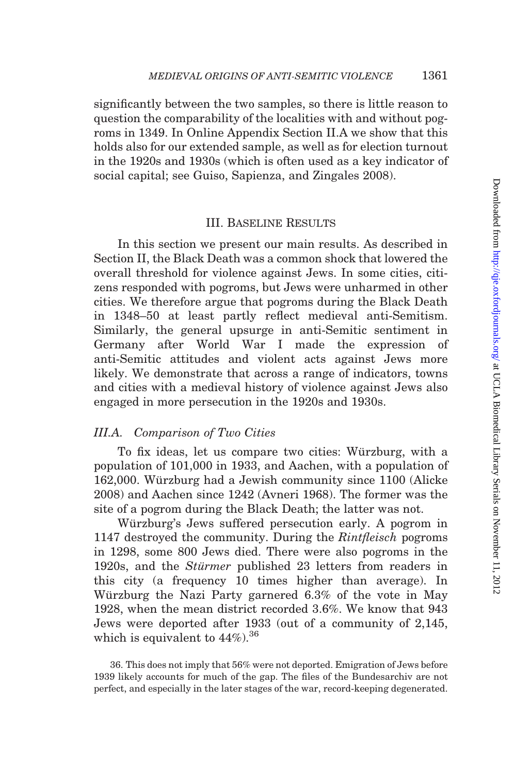<span id="page-22-0"></span>significantly between the two samples, so there is little reason to question the comparability of the localities with and without pogroms in 1349. In Online Appendix Section II.A we show that this holds also for our extended sample, as well as for election turnout in the 1920s and 1930s (which is often used as a key indicator of social capital; see [Guiso, Sapienza, and Zingales 2008](#page-51-0)).

### III. Baseline Results

In this section we present our main results. As described in [Section II,](#page-6-0) the Black Death was a common shock that lowered the overall threshold for violence against Jews. In some cities, citizens responded with pogroms, but Jews were unharmed in other cities. We therefore argue that pogroms during the Black Death in 1348–50 at least partly reflect medieval anti-Semitism. Similarly, the general upsurge in anti-Semitic sentiment in Germany after World War I made the expression of anti-Semitic attitudes and violent acts against Jews more likely. We demonstrate that across a range of indicators, towns and cities with a medieval history of violence against Jews also engaged in more persecution in the 1920s and 1930s.

### III.A. Comparison of Two Cities

To fix ideas, let us compare two cities: Würzburg, with a population of 101,000 in 1933, and Aachen, with a population of 162,000. Würzburg had a Jewish community since 1100 ([Alicke](#page-49-0) [2008\)](#page-49-0) and Aachen since 1242 [\(Avneri 1968\)](#page-50-0). The former was the site of a pogrom during the Black Death; the latter was not.

Würzburg's Jews suffered persecution early. A pogrom in 1147 destroyed the community. During the Rintfleisch pogroms in 1298, some 800 Jews died. There were also pogroms in the 1920s, and the *Stürmer* published 23 letters from readers in this city (a frequency 10 times higher than average). In Würzburg the Nazi Party garnered 6.3% of the vote in May 1928, when the mean district recorded 3.6%. We know that 943 Jews were deported after 1933 (out of a community of 2,145, which is equivalent to  $44\%$ ).<sup>36</sup>

36. This does not imply that 56% were not deported. Emigration of Jews before 1939 likely accounts for much of the gap. The files of the Bundesarchiv are not perfect, and especially in the later stages of the war, record-keeping degenerated.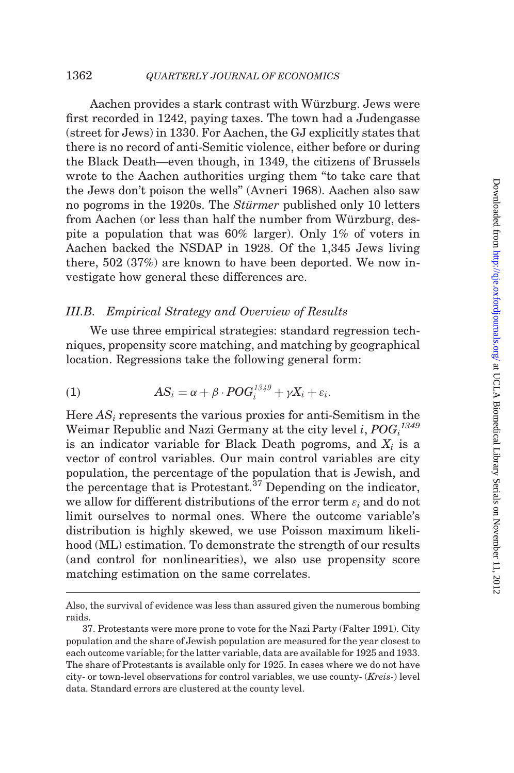#### 1362 **QUARTERLY JOURNAL OF ECONOMICS**

Aachen provides a stark contrast with Würzburg. Jews were first recorded in 1242, paying taxes. The town had a Judengasse (street for Jews) in 1330. For Aachen, the GJ explicitly states that there is no record of anti-Semitic violence, either before or during the Black Death—even though, in 1349, the citizens of Brussels wrote to the Aachen authorities urging them ''to take care that the Jews don't poison the wells'' [\(Avneri 1968](#page-50-0)). Aachen also saw no pogroms in the 1920s. The *Stürmer* published only 10 letters from Aachen (or less than half the number from Würzburg, despite a population that was 60% larger). Only 1% of voters in Aachen backed the NSDAP in 1928. Of the 1,345 Jews living there, 502 (37%) are known to have been deported. We now investigate how general these differences are.

### III.B. Empirical Strategy and Overview of Results

We use three empirical strategies: standard regression techniques, propensity score matching, and matching by geographical location. Regressions take the following general form:

(1) 
$$
AS_i = \alpha + \beta \cdot POG_i^{1349} + \gamma X_i + \varepsilon_i.
$$

Here  $AS_i$  represents the various proxies for anti-Semitism in the Weimar Republic and Nazi Germany at the city level  $i, POG_i^{\,1349}$ is an indicator variable for Black Death pogroms, and  $X_i$  is a vector of control variables. Our main control variables are city population, the percentage of the population that is Jewish, and the percentage that is Protestant. $37$  Depending on the indicator, we allow for different distributions of the error term  $\varepsilon_i$  and do not limit ourselves to normal ones. Where the outcome variable's distribution is highly skewed, we use Poisson maximum likelihood (ML) estimation. To demonstrate the strength of our results (and control for nonlinearities), we also use propensity score matching estimation on the same correlates.

Also, the survival of evidence was less than assured given the numerous bombing raids.

<sup>37.</sup> Protestants were more prone to vote for the Nazi Party [\(Falter 1991\)](#page-51-0). City population and the share of Jewish population are measured for the year closest to each outcome variable; for the latter variable, data are available for 1925 and 1933. The share of Protestants is available only for 1925. In cases where we do not have city- or town-level observations for control variables, we use county- (Kreis-) level data. Standard errors are clustered at the county level.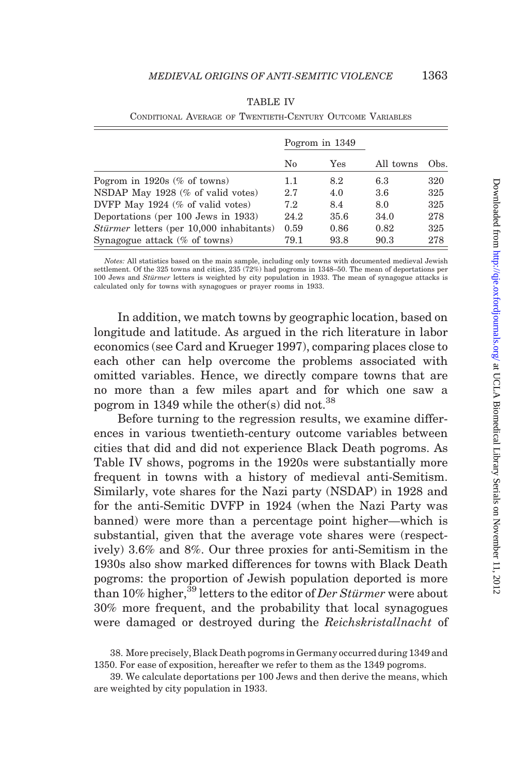|                                          |      | Pogrom in 1349 |           |      |
|------------------------------------------|------|----------------|-----------|------|
|                                          | No   | Yes            | All towns | Obs. |
| Pogrom in $1920s$ (% of towns)           | 1.1  | 8.2            | 6.3       | 320  |
| NSDAP May 1928 (% of valid votes)        | 2.7  | 4.0            | 3.6       | 325  |
| DVFP May $1924$ (% of valid votes)       | 7.2  | 8.4            | 8.0       | 325  |
| Deportations (per 100 Jews in 1933)      | 24.2 | 35.6           | 34.0      | 278  |
| Stürmer letters (per 10,000 inhabitants) | 0.59 | 0.86           | 0.82      | 325  |
| Synagogue attack $(\%$ of towns)         | 79.1 | 93.8           | 90.3      | 278  |

|  | <b>TABLE IV</b>                                            |  |
|--|------------------------------------------------------------|--|
|  | CONDITIONAL AVERAGE OF TWENTIETH-CENTURY OUTCOME VARIABLES |  |

Notes: All statistics based on the main sample, including only towns with documented medieval Jewish settlement. Of the 325 towns and cities, 235 (72%) had pogroms in 1348–50. The mean of deportations per 100 Jews and Stürmer letters is weighted by city population in 1933. The mean of synagogue attacks is calculated only for towns with synagogues or prayer rooms in 1933.

In addition, we match towns by geographic location, based on longitude and latitude. As argued in the rich literature in labor economics (see [Card and Krueger 1997\)](#page-50-0), comparing places close to each other can help overcome the problems associated with omitted variables. Hence, we directly compare towns that are no more than a few miles apart and for which one saw a pogrom in 1349 while the other(s) did not.<sup>38</sup>

Before turning to the regression results, we examine differences in various twentieth-century outcome variables between cities that did and did not experience Black Death pogroms. As Table IV shows, pogroms in the 1920s were substantially more frequent in towns with a history of medieval anti-Semitism. Similarly, vote shares for the Nazi party (NSDAP) in 1928 and for the anti-Semitic DVFP in 1924 (when the Nazi Party was banned) were more than a percentage point higher—which is substantial, given that the average vote shares were (respectively) 3.6% and 8%. Our three proxies for anti-Semitism in the 1930s also show marked differences for towns with Black Death pogroms: the proportion of Jewish population deported is more than 10% higher,<sup>39</sup> letters to the editor of Der Stürmer were about 30% more frequent, and the probability that local synagogues were damaged or destroyed during the Reichskristallnacht of

38. More precisely, Black Death pogroms in Germany occurred during 1349 and 1350. For ease of exposition, hereafter we refer to them as the 1349 pogroms.

<sup>39.</sup> We calculate deportations per 100 Jews and then derive the means, which are weighted by city population in 1933.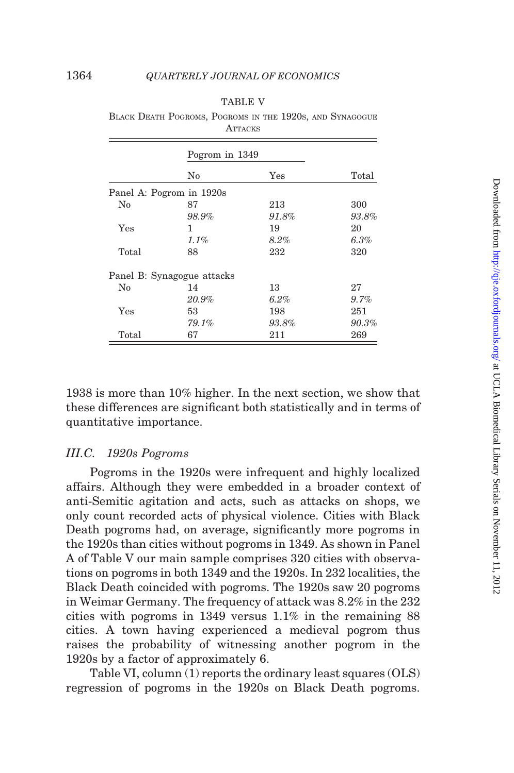|--|--|

<span id="page-25-0"></span>

| BLACK DEATH POGROMS, POGROMS IN THE 1920S, AND SYNAGOGUE |                |  |  |  |
|----------------------------------------------------------|----------------|--|--|--|
|                                                          | <b>ATTACKS</b> |  |  |  |

|       | Pogrom in 1349             |          |          |
|-------|----------------------------|----------|----------|
|       | $\rm No$                   | Yes      | Total    |
|       | Panel A: Pogrom in 1920s   |          |          |
| No    | 87                         | 213      | 300      |
|       | 98.9%                      | $91.8\%$ | 93.8%    |
| Yes   | 1                          | 19       | 20       |
|       | $1.1\%$                    | $8.2\%$  | 6.3%     |
| Total | 88                         | 232      | 320      |
|       | Panel B: Synagogue attacks |          |          |
| No    | 14                         | 13       | 27       |
|       | 20.9%                      | 6.2%     | $9.7\%$  |
| Yes   | 53                         | 198      | 251      |
|       | 79.1%                      | $93.8\%$ | $90.3\%$ |
| Total | 67                         | 211      | 269      |

1938 is more than 10% higher. In the next section, we show that these differences are significant both statistically and in terms of quantitative importance.

#### III.C. 1920s Pogroms

Pogroms in the 1920s were infrequent and highly localized affairs. Although they were embedded in a broader context of anti-Semitic agitation and acts, such as attacks on shops, we only count recorded acts of physical violence. Cities with Black Death pogroms had, on average, significantly more pogroms in the 1920s than cities without pogroms in 1349. As shown in Panel A of Table V our main sample comprises 320 cities with observations on pogroms in both 1349 and the 1920s. In 232 localities, the Black Death coincided with pogroms. The 1920s saw 20 pogroms in Weimar Germany. The frequency of attack was 8.2% in the 232 cities with pogroms in 1349 versus 1.1% in the remaining 88 cities. A town having experienced a medieval pogrom thus raises the probability of witnessing another pogrom in the 1920s by a factor of approximately 6.

[Table VI](#page-26-0), column (1) reports the ordinary least squares (OLS) regression of pogroms in the 1920s on Black Death pogroms.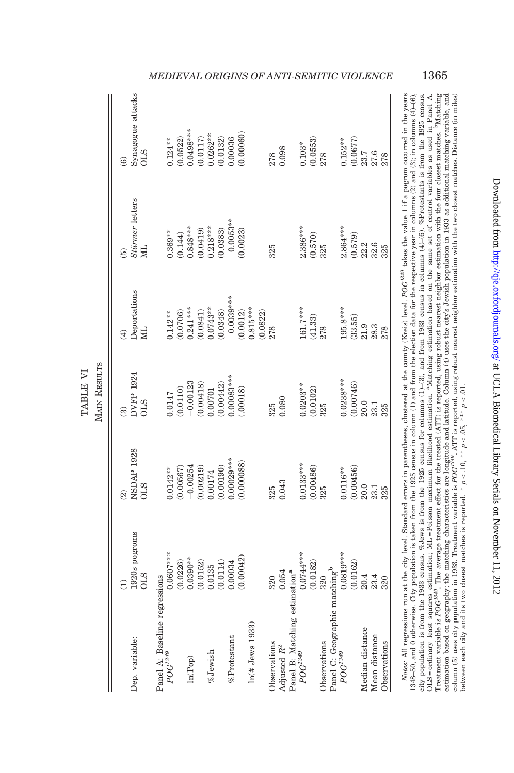<span id="page-26-0"></span>

|                                                                     | $\widehat{\Xi}$             | $\widehat{2}$                   | ම්                                                               | $\widehat{4}$                                                       | $\widehat{5}$         | ම                                                       |
|---------------------------------------------------------------------|-----------------------------|---------------------------------|------------------------------------------------------------------|---------------------------------------------------------------------|-----------------------|---------------------------------------------------------|
| Dep. variable:                                                      | 1920s pogroms<br><b>CLS</b> | <b>NSDAP 1928</b><br><b>CLS</b> | DVFP 1924<br><b>CTO</b>                                          | $\begin{array}{c} \mathrm{Deportations} \\ \mathrm{ML} \end{array}$ | Stürmer letters<br>ML | Synagogue attacks<br>OLS                                |
| Panel A: Baseline regressions                                       |                             |                                 |                                                                  |                                                                     |                       |                                                         |
| $POG^{1349}$                                                        | $0.0607***$                 | $0.0142***$                     | 0.0147                                                           | $0.142***$                                                          | $0.369**$             | $0.124***$                                              |
|                                                                     |                             |                                 |                                                                  |                                                                     |                       | (0.0522)                                                |
| ln(Pop)                                                             | $(0.0226)$<br>0.0390***     | $(0.00567)$<br>-0.00254         | $\begin{array}{c} (0.0110) \\ -0.00123 \\ (0.00418) \end{array}$ | $(0.0706)$<br>0.241 ****                                            | $(0.144)$<br>0.848*** | $0.0498***$                                             |
|                                                                     | (0.0152)                    | (0.00219)                       |                                                                  | (0.0841)                                                            | (0.0419)              | $(0.0117)$                                              |
| $\%$ Jewish                                                         | 0.0135                      | 0.00174                         | 0.00701                                                          | $0.0743**$                                                          | $0.218***$            | $0.0262***$                                             |
|                                                                     | (0.0114)                    | (0.00190)                       | (0.00442)                                                        | (0.0348)                                                            | (0.0383)              | (0.0132)                                                |
| %Protestant                                                         | 0.00034                     | $0.00029***$                    | $0.00083***$                                                     | $-0.0039***$                                                        | $-0.0053***$          | 0.00036                                                 |
|                                                                     | (0.00042)                   | (0.000088)                      | (.00018)                                                         | (0.0012)                                                            | (0.0023)              | (0.00060)                                               |
| $ln($ # Jews 1933)                                                  |                             |                                 |                                                                  | $0.815***$<br>(0.0822)                                              |                       |                                                         |
|                                                                     |                             |                                 |                                                                  |                                                                     |                       |                                                         |
| Observations                                                        | 320                         | 325                             | 325                                                              | 278                                                                 | 325                   | 278                                                     |
| Adjusted $R^2$                                                      | 0.054                       | 0.043                           | 0.080                                                            |                                                                     |                       | 0.098                                                   |
| Panel B: Matching estimation <sup>a</sup><br>$POG^{1349}$           |                             |                                 |                                                                  |                                                                     |                       |                                                         |
|                                                                     | $0.0744***$                 | $0.0133***$                     | $0.0203***$                                                      | $161.7***$                                                          | $2.386***$            | $0.103*$                                                |
|                                                                     | (0.0182)                    | $(0.00486)$<br>325              | $\left(0.0102\right)$ $\left(325\right)$                         | $(41.33)$<br>$278$                                                  | $\frac{(0.570)}{325}$ |                                                         |
| Observations                                                        | 320                         |                                 |                                                                  |                                                                     |                       | $\frac{(0.0553)}{278}$                                  |
| Panel C: Geographic matching <sup>b</sup><br>$POG^{1349}$ 0.0819*** |                             |                                 |                                                                  |                                                                     |                       |                                                         |
|                                                                     |                             | $0.0116***$                     |                                                                  | $195.8***$                                                          | $2.864***$            | $0.152***$                                              |
|                                                                     | (0.0162)                    | (0.00456)                       | $0.0238***$                                                      | (33.55)                                                             | (0.579)               |                                                         |
| Median distance                                                     | 20.4                        | $20.0\,$                        |                                                                  |                                                                     |                       | $\begin{array}{c} (0.0677) \\ 23.7 \\ 27.6 \end{array}$ |
| Mean distance                                                       | 23.4                        | 23.1                            | $20.0$<br>$23.1$                                                 | $21.9$<br>$28.3$                                                    | 22.6<br>32.6          |                                                         |
| Observations                                                        | 320                         | 325                             | 325                                                              | 278                                                                 | 325                   | 278                                                     |

RESULTS TABLE VI TABLE VI MAIN

roues. An regressions run at the city roantant errors in parentieses, custered at the county varies) level. For<br>1348-50, and 0 otherwise. City population is taken from the 1925 census in column (1) and from the leetion dat city population is from the 1933 census. %Jews is from the 1925 census for columns  $(1)$ –(3), and from 1933 census in columns  $(4)$ –(6). %Protestants is from the 1925 census.<br>OLS=ordinary least squares estimation; ML=Pois estimation based on geography; the matching characteristics are longitude and latitude. Column (4) uses the city's Jewish population in 1933 as additional matching variable, and<br>column (5) uses city population in 1933. Tr Notes: All regressions run at the city level. Standard errors in parentheses, clustered at the county (Kreis) level. POG<sup>1349</sup> takes the value 1 if a pogrom occurred in the years  $1348-50$ , and 0 otherwise. City population is taken from the 1925 census in column (1) and from the election data for the respective year in columns (2) and (3); in columns (4)–(6), city population is from the 1933 census. %Jews is from the 1925 census for columns (1)–(3), and from 1933 census in columns (4)–(6). %Protestants is from the 1925 census. OLS = ordinary least squares estimation; ML = Poisson maximum likelihood estimation. aMatching estimation based on the same set of control variables as used in Panel A. Treatment variable is POG<sup>1349</sup>. The average treatment effect for the treated (ATT) is reported, using robust nearest neighbor estimation with the four closest matches. <sup>b</sup>Matching estimation based on geography; the matching characteristics are longitude and latitude. Column (4) uses the city's Jewish population in 1933 as additional matching variable, and column (5) uses city population in 1933. Treatment variable is POG<sup>1349</sup>. ATT is reported, using robust nearest neighbor estimation with the two closest matches. Distance (in miles) between each city and its two closest matches is reported. \*  $p < 10$ , \*\*  $p < 0.5$ , \*\*\*  $p < 0.1$ .

# MEDIEVAL ORIGINS OF ANTI-SEMITIC VIOLENCE 1365

Downloaded from http://qje.oxfordjournals.org/ at UCLA Biomedical Library Serials on November 11, 2012 Downloaded from <http://qje.oxfordjournals.org/> at UCLA Biomedical Library Serials on November 11, 2012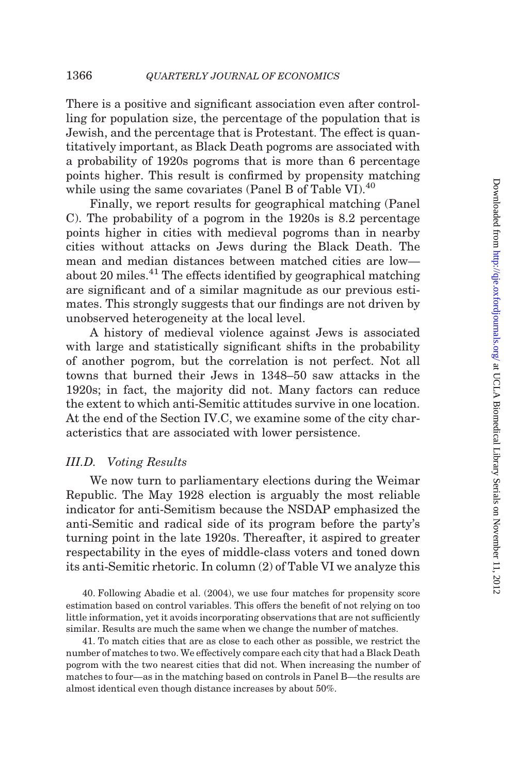There is a positive and significant association even after controlling for population size, the percentage of the population that is Jewish, and the percentage that is Protestant. The effect is quantitatively important, as Black Death pogroms are associated with a probability of 1920s pogroms that is more than 6 percentage points higher. This result is confirmed by propensity matching while using the same covariates (Panel B of [Table VI](#page-26-0)). $40$ 

Finally, we report results for geographical matching (Panel C). The probability of a pogrom in the 1920s is 8.2 percentage points higher in cities with medieval pogroms than in nearby cities without attacks on Jews during the Black Death. The mean and median distances between matched cities are low about 20 miles. $41$  The effects identified by geographical matching are significant and of a similar magnitude as our previous estimates. This strongly suggests that our findings are not driven by unobserved heterogeneity at the local level.

A history of medieval violence against Jews is associated with large and statistically significant shifts in the probability of another pogrom, but the correlation is not perfect. Not all towns that burned their Jews in 1348–50 saw attacks in the 1920s; in fact, the majority did not. Many factors can reduce the extent to which anti-Semitic attitudes survive in one location. At the end of the [Section IV.C](#page-38-0), we examine some of the city characteristics that are associated with lower persistence.

### III.D. Voting Results

We now turn to parliamentary elections during the Weimar Republic. The May 1928 election is arguably the most reliable indicator for anti-Semitism because the NSDAP emphasized the anti-Semitic and radical side of its program before the party's turning point in the late 1920s. Thereafter, it aspired to greater respectability in the eyes of middle-class voters and toned down its anti-Semitic rhetoric. In column (2) of [Table VI](#page-26-0) we analyze this

40. Following [Abadie et al. \(2004\),](#page-49-0) we use four matches for propensity score estimation based on control variables. This offers the benefit of not relying on too little information, yet it avoids incorporating observations that are not sufficiently similar. Results are much the same when we change the number of matches.

41. To match cities that are as close to each other as possible, we restrict the number of matches to two. We effectively compare each city that had a Black Death pogrom with the two nearest cities that did not. When increasing the number of matches to four—as in the matching based on controls in Panel B—the results are almost identical even though distance increases by about 50%.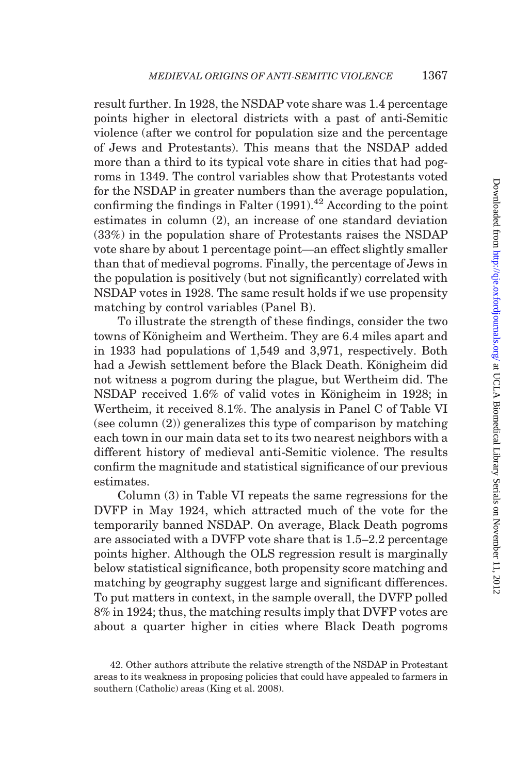result further. In 1928, the NSDAP vote share was 1.4 percentage points higher in electoral districts with a past of anti-Semitic violence (after we control for population size and the percentage of Jews and Protestants). This means that the NSDAP added more than a third to its typical vote share in cities that had pogroms in 1349. The control variables show that Protestants voted for the NSDAP in greater numbers than the average population, confirming the findings in Falter  $(1991)^{42}$  According to the point estimates in column (2), an increase of one standard deviation (33%) in the population share of Protestants raises the NSDAP vote share by about 1 percentage point—an effect slightly smaller than that of medieval pogroms. Finally, the percentage of Jews in the population is positively (but not significantly) correlated with NSDAP votes in 1928. The same result holds if we use propensity matching by control variables (Panel B).

To illustrate the strength of these findings, consider the two towns of Königheim and Wertheim. They are 6.4 miles apart and in 1933 had populations of 1,549 and 3,971, respectively. Both had a Jewish settlement before the Black Death. Königheim did not witness a pogrom during the plague, but Wertheim did. The NSDAP received 1.6% of valid votes in Königheim in 1928; in Wertheim, it received 8.1%. The analysis in Panel C of [Table VI](#page-26-0) (see column (2)) generalizes this type of comparison by matching each town in our main data set to its two nearest neighbors with a different history of medieval anti-Semitic violence. The results confirm the magnitude and statistical significance of our previous estimates.

Column (3) in [Table VI](#page-26-0) repeats the same regressions for the DVFP in May 1924, which attracted much of the vote for the temporarily banned NSDAP. On average, Black Death pogroms are associated with a DVFP vote share that is 1.5–2.2 percentage points higher. Although the OLS regression result is marginally below statistical significance, both propensity score matching and matching by geography suggest large and significant differences. To put matters in context, in the sample overall, the DVFP polled 8% in 1924; thus, the matching results imply that DVFP votes are about a quarter higher in cities where Black Death pogroms

<sup>42.</sup> Other authors attribute the relative strength of the NSDAP in Protestant areas to its weakness in proposing policies that could have appealed to farmers in southern (Catholic) areas [\(King et al. 2008](#page-52-0)).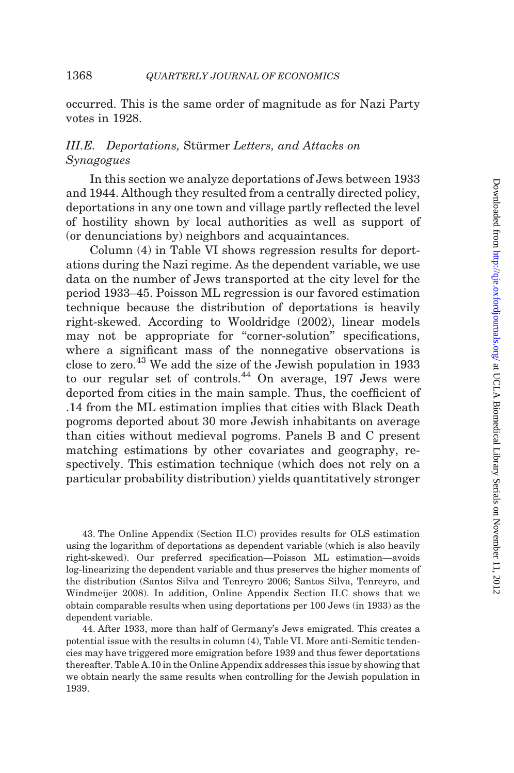occurred. This is the same order of magnitude as for Nazi Party votes in 1928.

# III.E. Deportations, Stürmer Letters, and Attacks on Synagogues

In this section we analyze deportations of Jews between 1933 and 1944. Although they resulted from a centrally directed policy, deportations in any one town and village partly reflected the level of hostility shown by local authorities as well as support of (or denunciations by) neighbors and acquaintances.

Column (4) in [Table VI](#page-26-0) shows regression results for deportations during the Nazi regime. As the dependent variable, we use data on the number of Jews transported at the city level for the period 1933–45. Poisson ML regression is our favored estimation technique because the distribution of deportations is heavily right-skewed. According to [Wooldridge \(2002\),](#page-53-0) linear models may not be appropriate for "corner-solution" specifications, where a significant mass of the nonnegative observations is close to zero.<sup>43</sup> We add the size of the Jewish population in 1933 to our regular set of controls.<sup>44</sup> On average, 197 Jews were deported from cities in the main sample. Thus, the coefficient of .14 from the ML estimation implies that cities with Black Death pogroms deported about 30 more Jewish inhabitants on average than cities without medieval pogroms. Panels B and C present matching estimations by other covariates and geography, respectively. This estimation technique (which does not rely on a particular probability distribution) yields quantitatively stronger

43. The Online Appendix (Section II.C) provides results for OLS estimation using the logarithm of deportations as dependent variable (which is also heavily right-skewed). Our preferred specification—Poisson ML estimation—avoids log-linearizing the dependent variable and thus preserves the higher moments of the distribution [\(Santos Silva and Tenreyro 2006; Santos Silva, Tenreyro, and](#page-52-0) [Windmeijer 2008](#page-52-0)). In addition, Online Appendix Section II.C shows that we obtain comparable results when using deportations per 100 Jews (in 1933) as the dependent variable.

44. After 1933, more than half of Germany's Jews emigrated. This creates a potential issue with the results in column (4), [Table VI.](#page-26-0) More anti-Semitic tendencies may have triggered more emigration before 1939 and thus fewer deportations thereafter. Table A.10 in the Online Appendix addresses this issue by showing that we obtain nearly the same results when controlling for the Jewish population in 1939.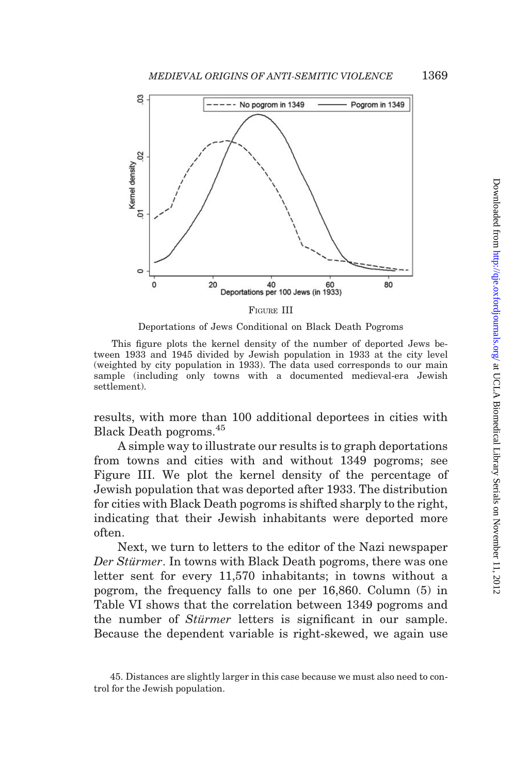

FIGURE III

Deportations of Jews Conditional on Black Death Pogroms

This figure plots the kernel density of the number of deported Jews between 1933 and 1945 divided by Jewish population in 1933 at the city level (weighted by city population in 1933). The data used corresponds to our main sample (including only towns with a documented medieval-era Jewish settlement).

results, with more than 100 additional deportees in cities with Black Death pogroms.<sup>45</sup>

A simple way to illustrate our results is to graph deportations from towns and cities with and without 1349 pogroms; see Figure III. We plot the kernel density of the percentage of Jewish population that was deported after 1933. The distribution for cities with Black Death pogroms is shifted sharply to the right, indicating that their Jewish inhabitants were deported more often.

Next, we turn to letters to the editor of the Nazi newspaper Der Stürmer. In towns with Black Death pogroms, there was one letter sent for every 11,570 inhabitants; in towns without a pogrom, the frequency falls to one per 16,860. Column (5) in [Table VI](#page-26-0) shows that the correlation between 1349 pogroms and the number of *Stürmer* letters is significant in our sample. Because the dependent variable is right-skewed, we again use

<sup>45.</sup> Distances are slightly larger in this case because we must also need to control for the Jewish population.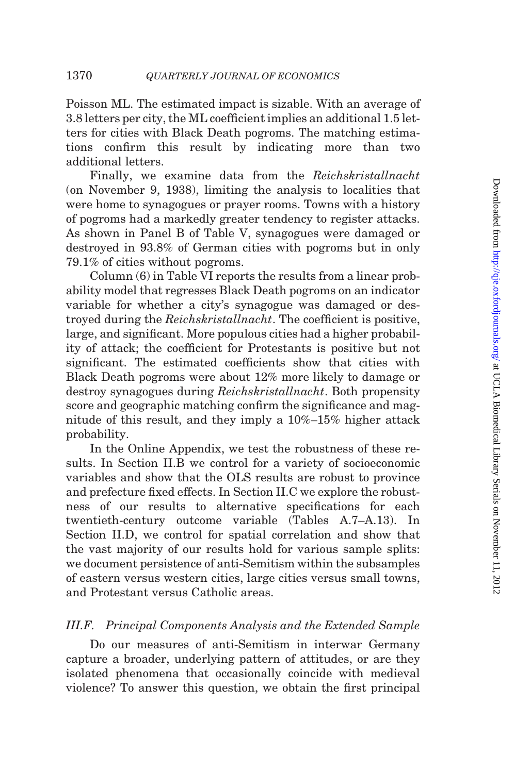<span id="page-31-0"></span>Poisson ML. The estimated impact is sizable. With an average of 3.8 letters per city, the ML coefficient implies an additional 1.5 letters for cities with Black Death pogroms. The matching estimations confirm this result by indicating more than two additional letters.

Finally, we examine data from the Reichskristallnacht (on November 9, 1938), limiting the analysis to localities that were home to synagogues or prayer rooms. Towns with a history of pogroms had a markedly greater tendency to register attacks. As shown in Panel B of [Table V,](#page-25-0) synagogues were damaged or destroyed in 93.8% of German cities with pogroms but in only 79.1% of cities without pogroms.

Column (6) in [Table VI](#page-26-0) reports the results from a linear probability model that regresses Black Death pogroms on an indicator variable for whether a city's synagogue was damaged or destroyed during the Reichskristallnacht. The coefficient is positive, large, and significant. More populous cities had a higher probability of attack; the coefficient for Protestants is positive but not significant. The estimated coefficients show that cities with Black Death pogroms were about 12% more likely to damage or destroy synagogues during Reichskristallnacht. Both propensity score and geographic matching confirm the significance and magnitude of this result, and they imply a 10%–15% higher attack probability.

In the Online Appendix, we test the robustness of these results. In Section II.B we control for a variety of socioeconomic variables and show that the OLS results are robust to province and prefecture fixed effects. In Section II.C we explore the robustness of our results to alternative specifications for each twentieth-century outcome variable (Tables A.7–A.13). In Section II.D, we control for spatial correlation and show that the vast majority of our results hold for various sample splits: we document persistence of anti-Semitism within the subsamples of eastern versus western cities, large cities versus small towns, and Protestant versus Catholic areas.

# III.F. Principal Components Analysis and the Extended Sample

Do our measures of anti-Semitism in interwar Germany capture a broader, underlying pattern of attitudes, or are they isolated phenomena that occasionally coincide with medieval violence? To answer this question, we obtain the first principal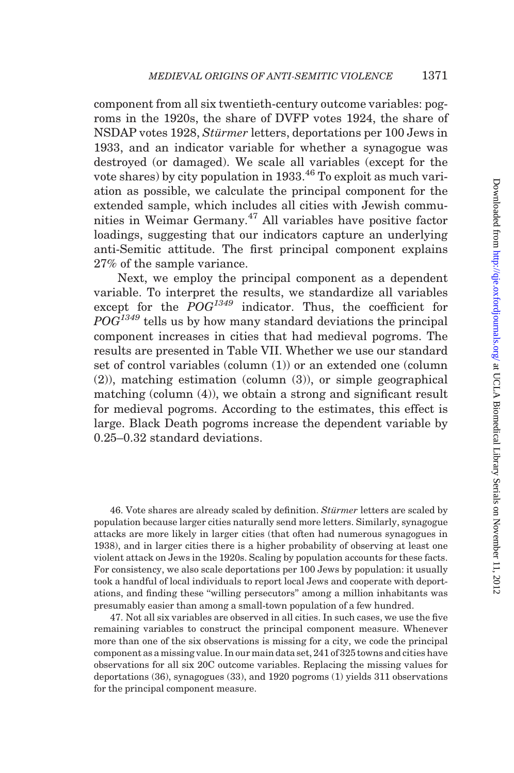component from all six twentieth-century outcome variables: pogroms in the 1920s, the share of DVFP votes 1924, the share of NSDAP votes 1928, Stürmer letters, deportations per 100 Jews in 1933, and an indicator variable for whether a synagogue was destroyed (or damaged). We scale all variables (except for the vote shares) by city population in  $1933<sup>46</sup>$  To exploit as much variation as possible, we calculate the principal component for the extended sample, which includes all cities with Jewish communities in Weimar Germany.<sup>47</sup> All variables have positive factor loadings, suggesting that our indicators capture an underlying anti-Semitic attitude. The first principal component explains 27% of the sample variance.

Next, we employ the principal component as a dependent variable. To interpret the results, we standardize all variables except for the  $POG^{1349}$  indicator. Thus, the coefficient for  $POG<sup>1349</sup>$  tells us by how many standard deviations the principal component increases in cities that had medieval pogroms. The results are presented in [Table VII.](#page-33-0) Whether we use our standard set of control variables (column (1)) or an extended one (column (2)), matching estimation (column (3)), or simple geographical matching (column (4)), we obtain a strong and significant result for medieval pogroms. According to the estimates, this effect is large. Black Death pogroms increase the dependent variable by 0.25–0.32 standard deviations.

46. Vote shares are already scaled by definition. Stürmer letters are scaled by population because larger cities naturally send more letters. Similarly, synagogue attacks are more likely in larger cities (that often had numerous synagogues in 1938), and in larger cities there is a higher probability of observing at least one violent attack on Jews in the 1920s. Scaling by population accounts for these facts. For consistency, we also scale deportations per 100 Jews by population: it usually took a handful of local individuals to report local Jews and cooperate with deportations, and finding these ''willing persecutors'' among a million inhabitants was presumably easier than among a small-town population of a few hundred.

47. Not all six variables are observed in all cities. In such cases, we use the five remaining variables to construct the principal component measure. Whenever more than one of the six observations is missing for a city, we code the principal component as a missing value. In our main data set, 241 of 325 towns and cities have observations for all six 20C outcome variables. Replacing the missing values for deportations (36), synagogues (33), and 1920 pogroms (1) yields 311 observations for the principal component measure.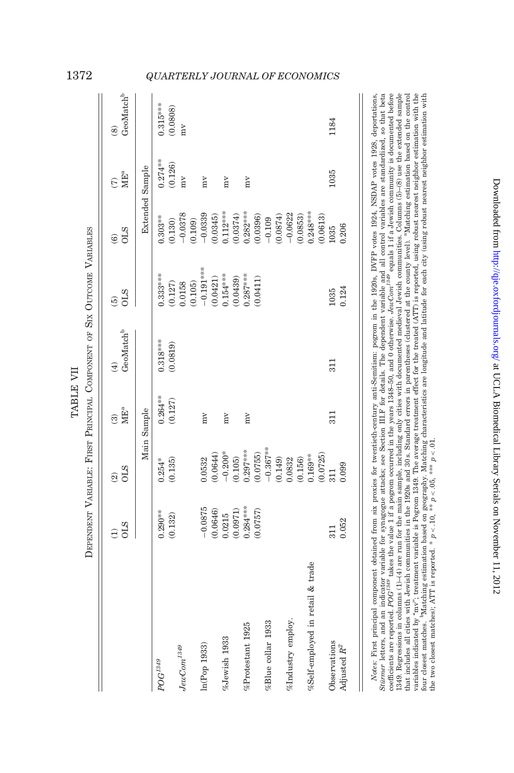|                                  |                               |                                        |                                   | DEPENDENT VARIABLE: FIRST PRINCIPAL COMPONENT OF SIX OUTCOME VARIABLES |                             |                                      |                              |                                                   |
|----------------------------------|-------------------------------|----------------------------------------|-----------------------------------|------------------------------------------------------------------------|-----------------------------|--------------------------------------|------------------------------|---------------------------------------------------|
|                                  | <b>OLS</b><br>$\widehat{\Xi}$ | <b>OLS</b><br>$\widehat{\mathfrak{D}}$ | $MIE^a$<br>$\widehat{\mathbf{e}}$ | $\mathrm{GeoMatch}^{\mathrm{b}}$<br>$\bigoplus$                        | <b>OLS</b><br>$\widehat{5}$ | <b>OLS</b><br>$\widehat{\mathbf{e}}$ | $\rm{ME}^a$<br>$\widehat{C}$ | $\mathrm{GeoMatch}^{\mathrm{b}}$<br>$\circledast$ |
|                                  |                               |                                        | Main Sample                       |                                                                        |                             |                                      | <b>Extended Sample</b>       |                                                   |
| $POG^{1349}$                     | $0.290***$                    | $0.254*$                               | $0.264***$                        | $0.318***$                                                             | $0.333***$                  | $0.303***$                           | $0.274***$                   | $0.315***$                                        |
| $JewCom^{1349}$                  | (0.132)                       | (0.135)                                | (0.127)                           | (0.0819)                                                               | (0.127)                     | (0.130)                              | (0.126)                      | (0.0808)                                          |
|                                  |                               |                                        |                                   |                                                                        | 0.0158<br>(0.105)           | $-0.0378$<br>(0.109)                 | mV                           | $\sum_{i=1}^{n}$                                  |
| In(Pop 1933)                     | $-0.0875$                     | 0.0532                                 | $m_{\rm V}$                       |                                                                        | $-0.191***$                 | $-0.0339$                            | $m_{\rm V}$                  |                                                   |
|                                  | (0.0646)                      | (0.0644)                               |                                   |                                                                        | (0.0421)                    | (0.0345)                             |                              |                                                   |
| %Jewish 1933                     | 0.0215                        | $-0.200*$                              | mV                                |                                                                        | $0.154***$                  | $0.112***$                           | mv                           |                                                   |
|                                  | (0.0971)                      | (0.105)                                |                                   |                                                                        | (0.0439)                    | (0.0374)                             |                              |                                                   |
| %Protestant 1925                 | $0.284***$                    | $0.297***$                             | $\sum_{i=1}^{n}$                  |                                                                        | $0.287***$                  | $0.282***$                           | $\sum_{i=1}^{n}$             |                                                   |
|                                  | (0.0757)                      | (0.0755)                               |                                   |                                                                        | (0.0411)                    | (0.0396)                             |                              |                                                   |
| %Blue collar 1933                |                               | $-0.367***$                            |                                   |                                                                        |                             | $-0.109$                             |                              |                                                   |
|                                  |                               | (0.149)                                |                                   |                                                                        |                             | (0.0874)                             |                              |                                                   |
| %Industry employ.                |                               | 0.0832                                 |                                   |                                                                        |                             | $-0.0622$                            |                              |                                                   |
|                                  |                               | (0.156)                                |                                   |                                                                        |                             | (0.0853)                             |                              |                                                   |
| %Self-employed in retail & trade |                               | $0.169***$                             |                                   |                                                                        |                             | $0.248***$                           |                              |                                                   |
|                                  |                               | (0.0725)                               |                                   |                                                                        |                             | (0.0613)                             |                              |                                                   |
| Observations                     | 311                           |                                        | 311                               | 311                                                                    | 1035                        | 1035                                 | 1035                         | 1184                                              |
| Adjusted $R^2$                   | 0.052                         | 0.099                                  |                                   |                                                                        | 0.124                       | 0.206                                |                              |                                                   |
|                                  |                               |                                        |                                   |                                                                        |                             |                                      |                              |                                                   |

Notes: First principal component obtained from six proxies for twentieth-century anti-Semitism: pogrom in the 1920s, DYFP votes 1924, NSDAP votes 1928, deportations, Stürmer letters, and an indicator variable for synagogue attacks; see Section III.F for details. The dependent variable and all control variables are standardized, so that beta coefficients are reported.  $POG^{134}$  takes the value 1 if a pogrom occurred in the years 1348–50, and 0 otherwise. JewCom<sup>2439</sup> equals 1 if a Jewish community is documented before 1349. Regressions in columns (1)-(4) are run for the main sample, including only cities with documented medieval Jewish communities. Columns (5)-(8) use the extended sample that includes all cities with Jewish communities in the 1920s and 30 s. Standard errors in parentheses (clustered at the county level). "Matching estimation based on the control variables indicated by "mv"; treatment variable is Pogrom 1349. The average treatment effect for the treated (ATT) is reported, using robust nearest neighbor estimation with the four closest matches. "Matching estimation Notes: First principal component obtained from six proxies for twentieth-century anti-Semitism: pogrom in the 1920s, DVFP votes 1924, NSDAP votes 1928, deportations, Stürmer letters, and an indicator variable for synagogue attacks; see [Section](#page-31-0) III.F for details. The dependent variable and all control variables are standardized, so that beta coefficients are reported. POG<sup>1349</sup> takes the value 1 if a pogrom occurred in the years 1348–50, and 0 otherwise. JewCom<sup>1349</sup> equals 1 if a Jewish community is documented before 1349. Regressions in columns (1)–(4) are run for the main sample, including only cities with documented medieval Jewish communities. Columns (5)–(8) use the extended sample that includes all cities with Jewish communities in the 1920s and 30 s. Standard errors in parentheses (clustered at the county level). "Matching estimation based on the control variables indicated by ''mv''; treatment variable is Pogrom 1349. The average treatment effect for the treated (ATT) is reported, using robust nearest neighbor estimation with the four closest matches. bMatching estimation based on geography. Matching characteristics are longitude and latitude for each city (using robust nearest neighbor estimation with the two closest matches); ATT is reported. \*  $p < 10$ , \*\*  $p < 0.05$ , \*\*\*  $p < 0.1$ 

Downloaded from <http://qje.oxfordjournals.org/> at UCLA Biomedical Library Serials on November 11, 2012

Downloaded from http://qje.oxfordjournals.org/ at UCLA Biomedical Library Serials on November 11, 2012

TABLE VII

TABLE VII

# <span id="page-33-0"></span>1372 QUARTERLY JOURNAL OF ECONOMICS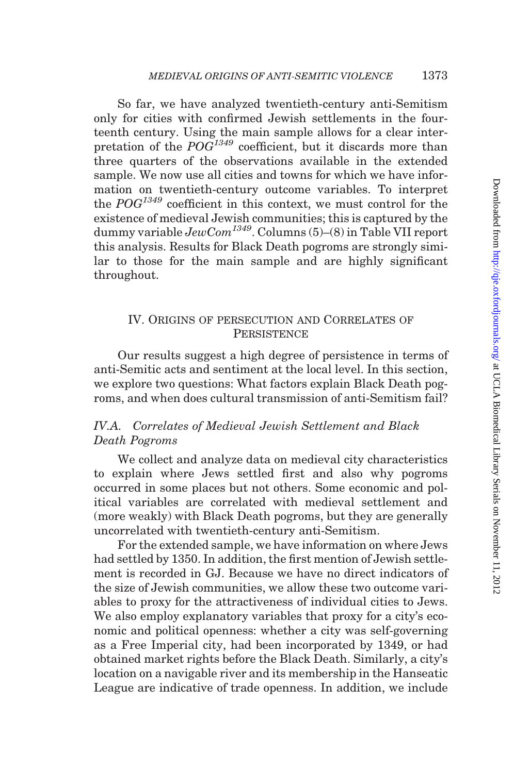<span id="page-34-0"></span>So far, we have analyzed twentieth-century anti-Semitism only for cities with confirmed Jewish settlements in the fourteenth century. Using the main sample allows for a clear interpretation of the  $POG^{1349}$  coefficient, but it discards more than three quarters of the observations available in the extended sample. We now use all cities and towns for which we have information on twentieth-century outcome variables. To interpret the  $POG^{1349}$  coefficient in this context, we must control for the existence of medieval Jewish communities; this is captured by the dummy variable  $JewCom<sup>1349</sup>$ . Columns (5)–(8) in [Table VII](#page-33-0) report this analysis. Results for Black Death pogroms are strongly similar to those for the main sample and are highly significant throughout.

## IV. ORIGINS OF PERSECUTION AND CORRELATES OF **PERSISTENCE**

Our results suggest a high degree of persistence in terms of anti-Semitic acts and sentiment at the local level. In this section, we explore two questions: What factors explain Black Death pogroms, and when does cultural transmission of anti-Semitism fail?

# IV.A. Correlates of Medieval Jewish Settlement and Black Death Pogroms

We collect and analyze data on medieval city characteristics to explain where Jews settled first and also why pogroms occurred in some places but not others. Some economic and political variables are correlated with medieval settlement and (more weakly) with Black Death pogroms, but they are generally uncorrelated with twentieth-century anti-Semitism.

For the extended sample, we have information on where Jews had settled by 1350. In addition, the first mention of Jewish settlement is recorded in GJ. Because we have no direct indicators of the size of Jewish communities, we allow these two outcome variables to proxy for the attractiveness of individual cities to Jews. We also employ explanatory variables that proxy for a city's economic and political openness: whether a city was self-governing as a Free Imperial city, had been incorporated by 1349, or had obtained market rights before the Black Death. Similarly, a city's location on a navigable river and its membership in the Hanseatic League are indicative of trade openness. In addition, we include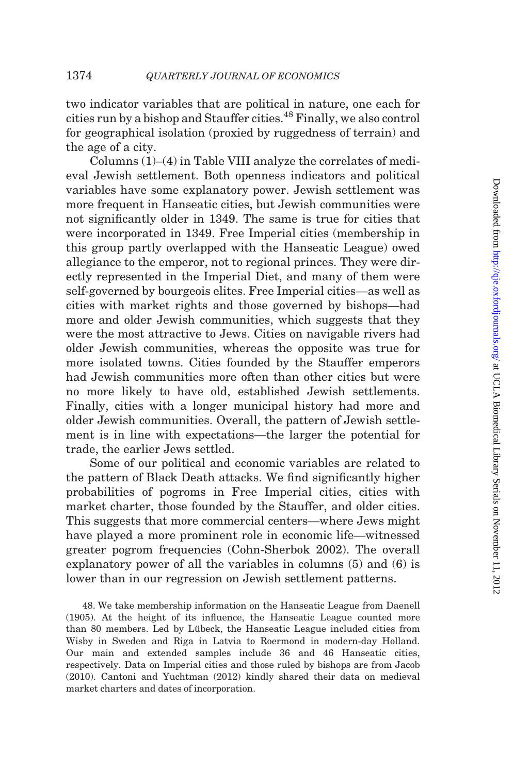two indicator variables that are political in nature, one each for cities run by a bishop and Stauffer cities.48 Finally, we also control for geographical isolation (proxied by ruggedness of terrain) and the age of a city.

Columns (1)–(4) in [Table VIII](#page-36-0) analyze the correlates of medieval Jewish settlement. Both openness indicators and political variables have some explanatory power. Jewish settlement was more frequent in Hanseatic cities, but Jewish communities were not significantly older in 1349. The same is true for cities that were incorporated in 1349. Free Imperial cities (membership in this group partly overlapped with the Hanseatic League) owed allegiance to the emperor, not to regional princes. They were directly represented in the Imperial Diet, and many of them were self-governed by bourgeois elites. Free Imperial cities—as well as cities with market rights and those governed by bishops—had more and older Jewish communities, which suggests that they were the most attractive to Jews. Cities on navigable rivers had older Jewish communities, whereas the opposite was true for more isolated towns. Cities founded by the Stauffer emperors had Jewish communities more often than other cities but were no more likely to have old, established Jewish settlements. Finally, cities with a longer municipal history had more and older Jewish communities. Overall, the pattern of Jewish settlement is in line with expectations—the larger the potential for trade, the earlier Jews settled.

Some of our political and economic variables are related to the pattern of Black Death attacks. We find significantly higher probabilities of pogroms in Free Imperial cities, cities with market charter, those founded by the Stauffer, and older cities. This suggests that more commercial centers—where Jews might have played a more prominent role in economic life—witnessed greater pogrom frequencies [\(Cohn-Sherbok 2002\)](#page-50-0). The overall explanatory power of all the variables in columns (5) and (6) is lower than in our regression on Jewish settlement patterns.

48. We take membership information on the Hanseatic League from [Daenell](#page-50-0) [\(1905\)](#page-50-0). At the height of its influence, the Hanseatic League counted more than 80 members. Led by Lübeck, the Hanseatic League included cities from Wisby in Sweden and Riga in Latvia to Roermond in modern-day Holland. Our main and extended samples include 36 and 46 Hanseatic cities, respectively. Data on Imperial cities and those ruled by bishops are from Jacob (2010). [Cantoni and Yuchtman \(2012\)](#page-50-0) kindly shared their data on medieval market charters and dates of incorporation.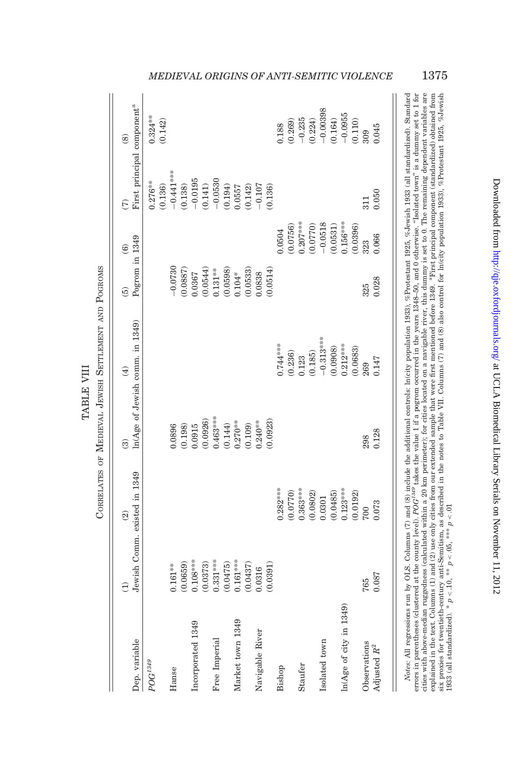<span id="page-36-0"></span>

|                            | $\widehat{\Xi}$              | $\widehat{\mathfrak{A}}$ | $\widehat{\mathcal{E}}$ | $\widehat{E}$                     | $\widehat{6}$                                                                                         | $\widehat{\mathbf{e}}$ | $\widehat{\mathcal{E}}$                | $\circledcirc$        |
|----------------------------|------------------------------|--------------------------|-------------------------|-----------------------------------|-------------------------------------------------------------------------------------------------------|------------------------|----------------------------------------|-----------------------|
| Dep. variable              | Jewish Comm. existed in 1349 |                          |                         | $ln(Age$ of Jewish comm. in 1349) | Pogrom in 1349                                                                                        |                        | First principal component <sup>a</sup> |                       |
| $POG^{1349}$               |                              |                          |                         |                                   |                                                                                                       |                        | $0.276**$                              | $0.324***$            |
|                            |                              |                          |                         |                                   |                                                                                                       |                        | (0.136)                                | (0.142)               |
| Hanse                      | $0.161***$                   |                          | 0.0896                  |                                   | $-0.0730$                                                                                             |                        | $-0.441***$                            |                       |
|                            | (0.0659)                     |                          | (0.198)                 |                                   | (0.0887)                                                                                              |                        | (0.138)                                |                       |
| Incorporated 1349          | $0.108***$                   |                          | 0.0915                  |                                   |                                                                                                       |                        | $-0.0195$                              |                       |
|                            | (0.0373)                     |                          | (0.0926)                |                                   | $\begin{array}{c} 0.0367 \\ (0.0544) \\ 0.131^{***} \\ (0.0598) \\ (0.0598) \\ 0.104^{*} \end{array}$ |                        | (0.141)                                |                       |
| Free Imperial              | $0.331***$                   |                          | $0.463***$              |                                   |                                                                                                       |                        | $-0.0530$                              |                       |
|                            | (0.0475)                     |                          | (0.144)                 |                                   |                                                                                                       |                        | (0.194)                                |                       |
| Market town 1349           | $0.161***$                   |                          | $0.270***$              |                                   |                                                                                                       |                        | 0.0557                                 |                       |
|                            | (0.0437)                     |                          | (0.109)                 |                                   | (0.0533)                                                                                              |                        | (0.142)                                |                       |
| Navigable River            | 0.0316                       |                          | $0.240**$               |                                   | 0.0838                                                                                                |                        | $-0.107$                               |                       |
|                            | (0.0391)                     |                          | (0.0923)                |                                   | (0.0514)                                                                                              |                        | 0.136)                                 |                       |
| Bishop                     |                              | $0.282***$               |                         | $0.744***$                        |                                                                                                       | 0.0504                 |                                        | 0.188                 |
|                            |                              | (0.0770)                 |                         | (0.236)                           |                                                                                                       | (0.0756)               |                                        | (0.269)               |
| Staufer                    |                              | $0.363***$               |                         | 0.123                             |                                                                                                       | $0.207***$             |                                        | $-0.235$              |
|                            |                              | (0.0802)                 |                         | (0.185)                           |                                                                                                       | (0.0770)               |                                        |                       |
| Isolated town              |                              | 0.0301                   |                         | $-0.313***$                       |                                                                                                       | $-0.0518$              |                                        | $(0.224)$<br>-0.00398 |
|                            |                              |                          |                         | (0.0908)                          |                                                                                                       | (0.0531)               |                                        | (0.164)               |
| $ln(Age$ of city in $1349$ |                              | $(0.0485)$<br>0.123***   |                         | $0.212***$                        |                                                                                                       | $0.156***$             |                                        |                       |
|                            |                              | (0.0192)                 |                         | (0.0683)                          |                                                                                                       | (0.0396)               |                                        | $-0.0955$<br>(0.110)  |
| Observations               | 765                          | 700                      | 298                     | 269                               | 325                                                                                                   | 323                    | 311                                    | 309                   |
| Adjusted $\mathbb{R}^2$    | 0.087                        | 0.073                    | 0.128                   | 0.147                             | 0.028                                                                                                 | 0.066                  | 0.050                                  | 0.045                 |

TABLE VIII

TABLE VIII

cities with above-median ruggedness (calculated within a 20 km perimeter); for cities located on a navigable river, this dummy is set to 0. The remaining dependent variables are six proxies for twentieth-century anti-Semitism, as described in the notes to Table VII. Columns (7) and (8) also control for In(city population 1933), %Protestant 1925, %Jewish 1933 (all standardized). \*  $p < .10$ , \*\*  $p < .$ Notes: All regressions run by OLS. Columns (7) and (8) include the additional controls: In(city population 1933), %Protestant 1925, %Jewish 1933 (all standardized). Standard errors in parentheses (clustered at the county explained in the text. Columns (1) and (2) use only cities from our extended sample that were first mentioned before 1349. <sup>a</sup>First principal component (standardized) obtained from Notes: All regressions run by OLS. Columns (7) and (8) include the additional controls: ln(city population 1933), %Protestant 1925, %Jewish 1933 (all standardized). Standard errors in parentheses (clustered at the county level). POG<sup>1349</sup> takes the value 1 if a pogrom occurred in the years 1348–50, and 0 otherwise. "Isolated town" is a dummy set to 1 for explained in the text. Columns (1) and (2) use only cities from our extended sample that were first mentioned before 1349. <sup>a</sup>First principal component (standardized) obtained from six proxies for twentieth-century anti-Semitism, as described in the notes to [Table](#page-33-0) VII. Columns (7) and (8) also control for ln(city population 1933), %Protestant 1925, %Jewish cities with above-median ruggedness (calculated within a 20 km perimeter); for cities located on a navigable river, this dummy is set to 0. The remaining dependent variables are 1933 (all standardized). \* p < .10, \*\* p < .05, \*\*\* p < .01

# MEDIEVAL ORIGINS OF ANTI-SEMITIC VIOLENCE 1375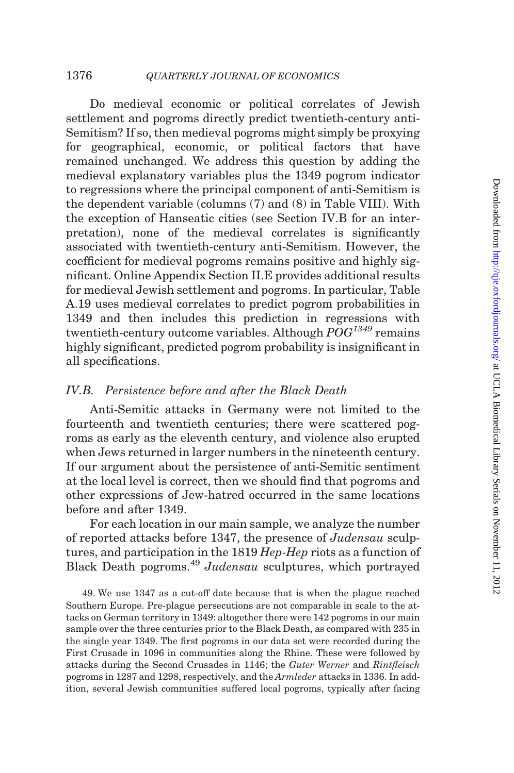<span id="page-37-0"></span>Do medieval economic or political correlates of Jewish settlement and pogroms directly predict twentieth-century anti-Semitism? If so, then medieval pogroms might simply be proxying for geographical, economic, or political factors that have remained unchanged. We address this question by adding the medieval explanatory variables plus the 1349 pogrom indicator to regressions where the principal component of anti-Semitism is the dependent variable (columns (7) and (8) in [Table VIII](#page-36-0)). With the exception of Hanseatic cities (see Section IV.B for an interpretation), none of the medieval correlates is significantly associated with twentieth-century anti-Semitism. However, the coefficient for medieval pogroms remains positive and highly significant. Online Appendix Section II.E provides additional results for medieval Jewish settlement and pogroms. In particular, Table A.19 uses medieval correlates to predict pogrom probabilities in 1349 and then includes this prediction in regressions with twentieth-century outcome variables. Although  $POG^{1349}$  remains highly significant, predicted pogrom probability is insignificant in all specifications.

### IV.B. Persistence before and after the Black Death

Anti-Semitic attacks in Germany were not limited to the fourteenth and twentieth centuries; there were scattered pogroms as early as the eleventh century, and violence also erupted when Jews returned in larger numbers in the nineteenth century. If our argument about the persistence of anti-Semitic sentiment at the local level is correct, then we should find that pogroms and other expressions of Jew-hatred occurred in the same locations before and after 1349.

For each location in our main sample, we analyze the number of reported attacks before 1347, the presence of Judensau sculptures, and participation in the 1819 Hep-Hep riots as a function of Black Death pogroms.<sup>49</sup> Judensau sculptures, which portrayed

49. We use 1347 as a cut-off date because that is when the plague reached Southern Europe. Pre-plague persecutions are not comparable in scale to the attacks on German territory in 1349: altogether there were 142 pogroms in our main sample over the three centuries prior to the Black Death, as compared with 235 in the single year 1349. The first pogroms in our data set were recorded during the First Crusade in 1096 in communities along the Rhine. These were followed by attacks during the Second Crusades in 1146; the Guter Werner and Rintfleisch pogroms in 1287 and 1298, respectively, and the Armleder attacks in 1336. In addition, several Jewish communities suffered local pogroms, typically after facing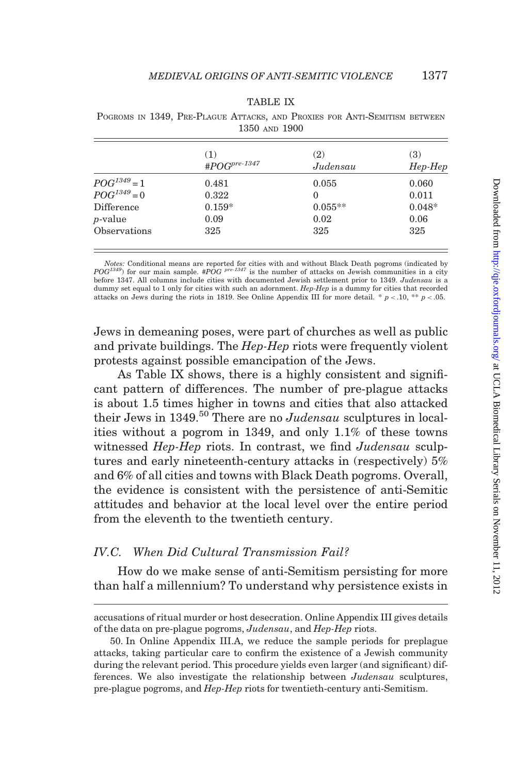| BL<br>×.<br> |  |
|--------------|--|
|--------------|--|

<span id="page-38-0"></span>

|  |               |  | POGROMS IN 1349, PRE-PLAGUE ATTACKS, AND PROXIES FOR ANTI-SEMITISM BETWEEN |  |
|--|---------------|--|----------------------------------------------------------------------------|--|
|  | 1350 AND 1900 |  |                                                                            |  |

|                  | (1)                       | (2)       | (3)       |
|------------------|---------------------------|-----------|-----------|
|                  | # $POG^{pre\text{-}1347}$ | Judensau  | $Hep-Hep$ |
| $POG^{1349} = 1$ | 0.481                     | 0.055     | 0.060     |
| $POG^{1349} = 0$ | 0.322                     | $\Omega$  | 0.011     |
| Difference       | $0.159*$                  | $0.055**$ | $0.048*$  |
| <i>p</i> -value  | 0.09                      | 0.02      | 0.06      |
| Observations     | 325                       | 325       | 325       |

*Notes:* Conditional means are reported for cities with and without Black Death pogroms (indicated by  $POG^{1349}$ ) for our main sample. # $POG^{1947}$  is the number of attacks on Jewish communities in a city before 1347. All columns include cities with documented Jewish settlement prior to 1349. Judensau is a dummy set equal to 1 only for cities with such an adornment. Hep-Hep is a dummy for cities that recorded attacks on Jews during the riots in 1819. See Online Appendix III for more detail. \*  $p < 0.10$ , \*\*  $p < 0.05$ .

Jews in demeaning poses, were part of churches as well as public and private buildings. The Hep-Hep riots were frequently violent protests against possible emancipation of the Jews.

As Table IX shows, there is a highly consistent and significant pattern of differences. The number of pre-plague attacks is about 1.5 times higher in towns and cities that also attacked their Jews in 1349.<sup>50</sup> There are no Judensau sculptures in localities without a pogrom in 1349, and only 1.1% of these towns witnessed Hep-Hep riots. In contrast, we find Judensau sculptures and early nineteenth-century attacks in (respectively) 5% and 6% of all cities and towns with Black Death pogroms. Overall, the evidence is consistent with the persistence of anti-Semitic attitudes and behavior at the local level over the entire period from the eleventh to the twentieth century.

# IV.C. When Did Cultural Transmission Fail?

How do we make sense of anti-Semitism persisting for more than half a millennium? To understand why persistence exists in

accusations of ritual murder or host desecration. Online Appendix III gives details of the data on pre-plague pogroms, Judensau, and Hep-Hep riots.

<sup>50.</sup> In Online Appendix III.A, we reduce the sample periods for preplague attacks, taking particular care to confirm the existence of a Jewish community during the relevant period. This procedure yields even larger (and significant) differences. We also investigate the relationship between Judensau sculptures, pre-plague pogroms, and Hep-Hep riots for twentieth-century anti-Semitism.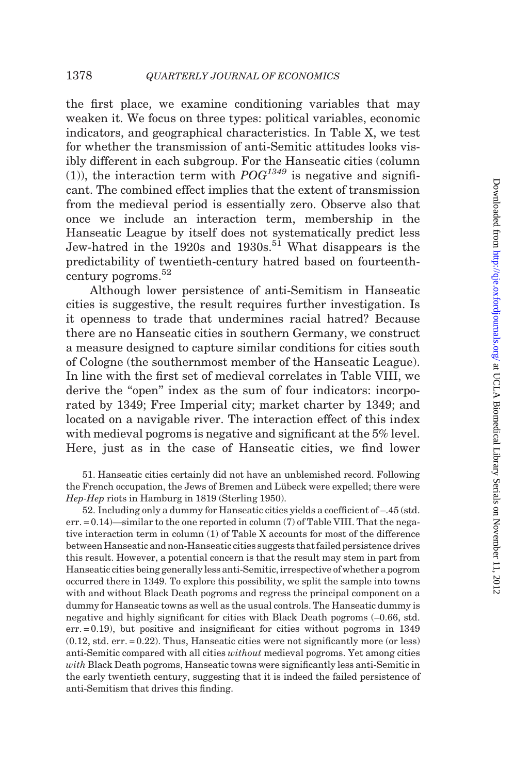the first place, we examine conditioning variables that may weaken it. We focus on three types: political variables, economic indicators, and geographical characteristics. In [Table X,](#page-40-0) we test for whether the transmission of anti-Semitic attitudes looks visibly different in each subgroup. For the Hanseatic cities (column (1)), the interaction term with  $POG<sup>1349</sup>$  is negative and significant. The combined effect implies that the extent of transmission from the medieval period is essentially zero. Observe also that once we include an interaction term, membership in the Hanseatic League by itself does not systematically predict less Jew-hatred in the  $1920s$  and  $1930s$ .<sup>51</sup> What disappears is the predictability of twentieth-century hatred based on fourteenthcentury pogroms.<sup>52</sup>

Although lower persistence of anti-Semitism in Hanseatic cities is suggestive, the result requires further investigation. Is it openness to trade that undermines racial hatred? Because there are no Hanseatic cities in southern Germany, we construct a measure designed to capture similar conditions for cities south of Cologne (the southernmost member of the Hanseatic League). In line with the first set of medieval correlates in [Table VIII,](#page-36-0) we derive the "open" index as the sum of four indicators: incorporated by 1349; Free Imperial city; market charter by 1349; and located on a navigable river. The interaction effect of this index with medieval pogroms is negative and significant at the 5% level. Here, just as in the case of Hanseatic cities, we find lower

51. Hanseatic cities certainly did not have an unblemished record. Following the French occupation, the Jews of Bremen and Lübeck were expelled; there were Hep-Hep riots in Hamburg in 1819 [\(Sterling 1950\)](#page-52-0).

52. Including only a dummy for Hanseatic cities yields a coefficient of –.45 (std. err. = 0.14)—similar to the one reported in column (7) of [Table VIII](#page-36-0). That the negative interaction term in column (1) of [Table X](#page-40-0) accounts for most of the difference between Hanseatic and non-Hanseatic cities suggests that failed persistence drives this result. However, a potential concern is that the result may stem in part from Hanseatic cities being generally less anti-Semitic, irrespective of whether a pogrom occurred there in 1349. To explore this possibility, we split the sample into towns with and without Black Death pogroms and regress the principal component on a dummy for Hanseatic towns as well as the usual controls. The Hanseatic dummy is negative and highly significant for cities with Black Death pogroms (–0.66, std.  $err = 0.19$ , but positive and insignificant for cities without pogroms in 1349  $(0.12, std. err. = 0.22)$ . Thus, Hanseatic cities were not significantly more (or less) anti-Semitic compared with all cities without medieval pogroms. Yet among cities with Black Death pogroms, Hanseatic towns were significantly less anti-Semitic in the early twentieth century, suggesting that it is indeed the failed persistence of anti-Semitism that drives this finding.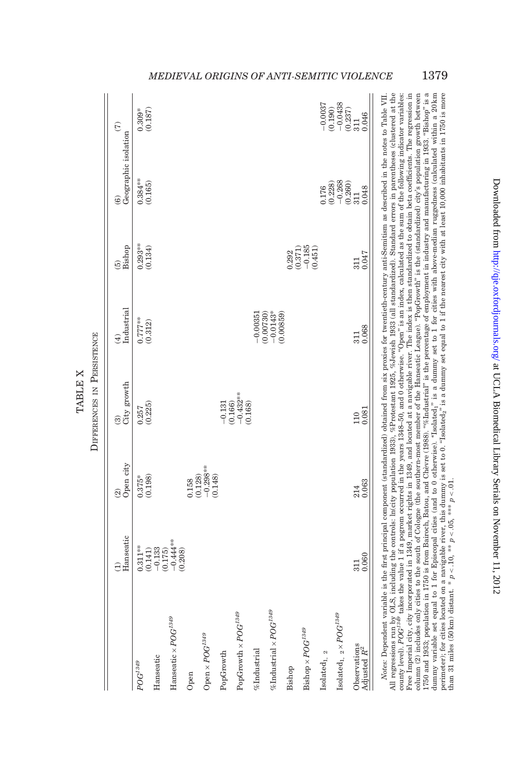<span id="page-40-0"></span>

|                                               | $\widehat{\Theta}$                                                                                               | $\widehat{\mathfrak{A}}$                                                   | $\widehat{\mathfrak{B}}$            | $\widehat{E}$                                                                  | $\widetilde{5}$                                                    | $\widehat{6}$                                                      | $\widehat{E}$                                                       |
|-----------------------------------------------|------------------------------------------------------------------------------------------------------------------|----------------------------------------------------------------------------|-------------------------------------|--------------------------------------------------------------------------------|--------------------------------------------------------------------|--------------------------------------------------------------------|---------------------------------------------------------------------|
|                                               | Hanseatic                                                                                                        | Open city                                                                  | City growth                         | Industrial                                                                     | Bishop                                                             | Geographic isolation                                               |                                                                     |
| $POG^{1349}$                                  |                                                                                                                  | $0.375*$                                                                   | $\frac{0.257}{(0.225)}$             | $0.777***$<br>(0.312)                                                          | $0.293***$<br>$(0.134)$                                            | $0.384***$<br>(0.165)                                              | $0.309*$                                                            |
|                                               |                                                                                                                  | (0.198)                                                                    |                                     |                                                                                |                                                                    |                                                                    | (0.187)                                                             |
| Hanseatic                                     |                                                                                                                  |                                                                            |                                     |                                                                                |                                                                    |                                                                    |                                                                     |
| Hanseatic $\times POG^{1349}$                 | $\begin{array}{l} 0.311^{***} \\ (0.141) \\ (0.141) \\ (0.175) \\ (0.175) \\ (0.444^{**} \\ (0.208) \end{array}$ |                                                                            |                                     |                                                                                |                                                                    |                                                                    |                                                                     |
|                                               |                                                                                                                  |                                                                            |                                     |                                                                                |                                                                    |                                                                    |                                                                     |
| Open                                          |                                                                                                                  |                                                                            |                                     |                                                                                |                                                                    |                                                                    |                                                                     |
| $\mathrm{Open}\times POG^{1349}$              |                                                                                                                  | $\begin{array}{c} 0.158 \\ (0.128) \\ -0.298^{***} \\ (0.148) \end{array}$ |                                     |                                                                                |                                                                    |                                                                    |                                                                     |
| ${\tt PopGrowth}$                             |                                                                                                                  |                                                                            | $-0.131$                            |                                                                                |                                                                    |                                                                    |                                                                     |
|                                               |                                                                                                                  |                                                                            |                                     |                                                                                |                                                                    |                                                                    |                                                                     |
| $\operatorname{PopGroup}$ $\times POG^{1349}$ |                                                                                                                  |                                                                            | $(0.166)$<br>$-0.432***$<br>(0.168) |                                                                                |                                                                    |                                                                    |                                                                     |
| $%$ Industrial                                |                                                                                                                  |                                                                            |                                     |                                                                                |                                                                    |                                                                    |                                                                     |
| %Industrial × $POG^{1349}$                    |                                                                                                                  |                                                                            |                                     | $\begin{array}{c} -0.00351 \\ (0.00730) \\ -0.0143^* \\ (0.00859) \end{array}$ |                                                                    |                                                                    |                                                                     |
|                                               |                                                                                                                  |                                                                            |                                     |                                                                                |                                                                    |                                                                    |                                                                     |
| Bishop                                        |                                                                                                                  |                                                                            |                                     |                                                                                |                                                                    |                                                                    |                                                                     |
| $\ensuremath{{\rm Bishop}}\times POG^{1349}$  |                                                                                                                  |                                                                            |                                     |                                                                                | $\begin{array}{c} 0.292 \\ 0.371) \\ -0.185 \\ 0.451) \end{array}$ |                                                                    |                                                                     |
| Isolated $_{\rm 1,~2}$                        |                                                                                                                  |                                                                            |                                     |                                                                                |                                                                    | 0.176                                                              | $-0.0037$                                                           |
|                                               |                                                                                                                  |                                                                            |                                     |                                                                                |                                                                    |                                                                    |                                                                     |
| Isolated <sub>1, 2</sub> × $POG^{1349}$       |                                                                                                                  |                                                                            |                                     |                                                                                |                                                                    | $\begin{array}{c} (0.228) \\ -0.268 \\ (0.260) \\ 311 \end{array}$ | $\begin{array}{c} (0.190) \\ -0.0438 \\ (0.237) \\ 311 \end{array}$ |
| Observations                                  | 311                                                                                                              | 214                                                                        | 110                                 | 311                                                                            | 311                                                                |                                                                    |                                                                     |
| Adjusted $\mathbb{R}^2$                       | 0.060                                                                                                            | 0.063                                                                      | 0.081                               | 0.068                                                                          | 0.047                                                              | 0.048                                                              | 0.046                                                               |

All regressions run by OLS, including the controls: In(city population 1933), %Protestant 1925, %Jewish 1933 (all standardized). Standard errors in parentheses (clustered at the county level). POG<sup>138</sup> takes the value 1 i Free Imperial city, city incorporated in 1349, market rights in 1349, and located at a navigable river. The index is then standardized to obtain beta coefficients. The regression in 1750 and 1833; population in 1750 is from Bairoch, Batou, and Chèvre (1988). "%Industrial" is the percentage of employment in industry and manufacturing in 1933. "Bishop" is a dummy variable set equal to 1 for Episcopal cities (and to 0 otherwise). "Isolated," is a dummy set to 1 for cities with above-median ruggedness (calculated within a 20 km<br>perimeter) for cities located on a navigable river column (2) includes only cities to the south of Cologne (the southern-most member of the Hanseatic League). "PopGrowth" is the (standardized) city's population growth between All regressions run by OLS, including the controls: ln(city population 1933), %Protestant 1925, %Jewish 1933 (all standardized). Standard errors in parentheses (clustered at the Free Imperial city, city incorporated in 1349, market rights in 1349, and located at a navigable river. The index is then standardized to obtain beta coefficients. The regression in column (2) includes only cities to the south of Cologne (the southern-most member of the Hanseatic League). "PopGrowth" is the (standardized) city's population growth between 1750 and 1933; population in 1750 is from [Bairoch,](#page-50-0) Batou, and Chèvre (1988). ''%Industrial'' is the percentage of employment in industry and manufacturing in 1933. ''Bishop'' is a dummy variable set equal to 1 for Episcopal cities (and to 0 otherwise). ''Isolated1'' is a dummy set to 1 for cities with above-median ruggedness (calculated within a 20 km perimeter); for cities located on a navigable river, this dummy is set to 0. ''Isolated2'' is a dummy set equal to 1 if the nearest city with at least 10,000 inhabitants in 1750 is more Notes: Dependent variable is the first principal component (standardized) obtained from six proxies for twentieth-century anti-Semitism as described in the notes to [Table](#page-33-0) VII. county level). POG<sup>1349</sup> takes the value 1 if a pogrom occurred in the years 1348–50, and 0 otherwise. "Open" is an index, calculated as the sum of the following indicator variables than 31 miles (50 km) distant. \*  $p < .10$ , \*\*  $p < .05$ , \*\*\*  $p < .01$ . than 31 miles (50 km) distant. \*  $p < 10$ , \*\*  $p < 0.05$ , \*\*\*  $p < 0.1$ .

# MEDIEVAL ORIGINS OF ANTI-SEMITIC VIOLENCE 1379

DIFFERENCES IN PERSISTENCE **PERSISTENCE** TABLE X TABLE X DIFFERENCES IN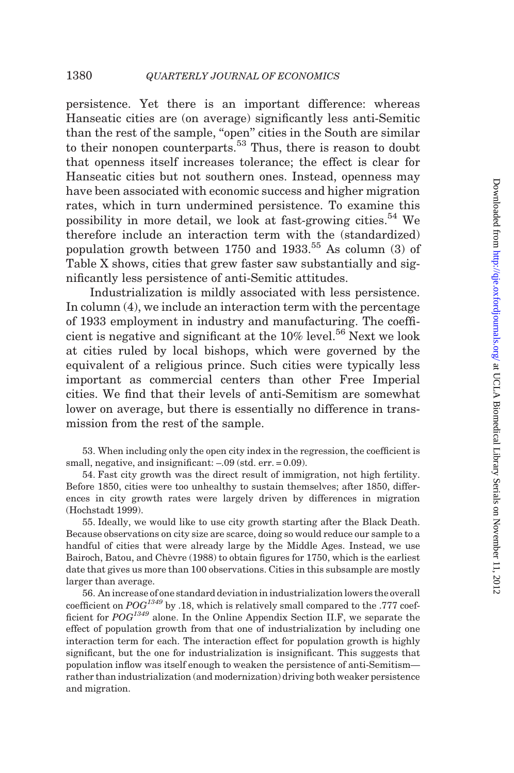persistence. Yet there is an important difference: whereas Hanseatic cities are (on average) significantly less anti-Semitic than the rest of the sample, "open" cities in the South are similar to their nonopen counterparts.<sup>53</sup> Thus, there is reason to doubt that openness itself increases tolerance; the effect is clear for Hanseatic cities but not southern ones. Instead, openness may have been associated with economic success and higher migration rates, which in turn undermined persistence. To examine this possibility in more detail, we look at fast-growing cities.<sup>54</sup> We therefore include an interaction term with the (standardized) population growth between  $1750$  and  $1933<sup>55</sup>$ . As column (3) of [Table X](#page-40-0) shows, cities that grew faster saw substantially and significantly less persistence of anti-Semitic attitudes.

Industrialization is mildly associated with less persistence. In column (4), we include an interaction term with the percentage of 1933 employment in industry and manufacturing. The coefficient is negative and significant at the  $10\%$  level.<sup>56</sup> Next we look at cities ruled by local bishops, which were governed by the equivalent of a religious prince. Such cities were typically less important as commercial centers than other Free Imperial cities. We find that their levels of anti-Semitism are somewhat lower on average, but there is essentially no difference in transmission from the rest of the sample.

53. When including only the open city index in the regression, the coefficient is small, negative, and insignificant:  $-.09$  (std. err. = 0.09).

54. Fast city growth was the direct result of immigration, not high fertility. Before 1850, cities were too unhealthy to sustain themselves; after 1850, differences in city growth rates were largely driven by differences in migration [\(Hochstadt 1999](#page-51-0)).

55. Ideally, we would like to use city growth starting after the Black Death. Because observations on city size are scarce, doing so would reduce our sample to a handful of cities that were already large by the Middle Ages. Instead, we use Bairoch, Batou, and Chèvre (1988) to obtain figures for 1750, which is the earliest date that gives us more than 100 observations. Cities in this subsample are mostly larger than average.

56. An increase of one standard deviation in industrialization lowers the overall coefficient on  $POG^{1349}$  by .18, which is relatively small compared to the .777 coefficient for POG1349 alone. In the Online Appendix Section II.F, we separate the effect of population growth from that one of industrialization by including one interaction term for each. The interaction effect for population growth is highly significant, but the one for industrialization is insignificant. This suggests that population inflow was itself enough to weaken the persistence of anti-Semitism rather than industrialization (and modernization) driving both weaker persistence and migration.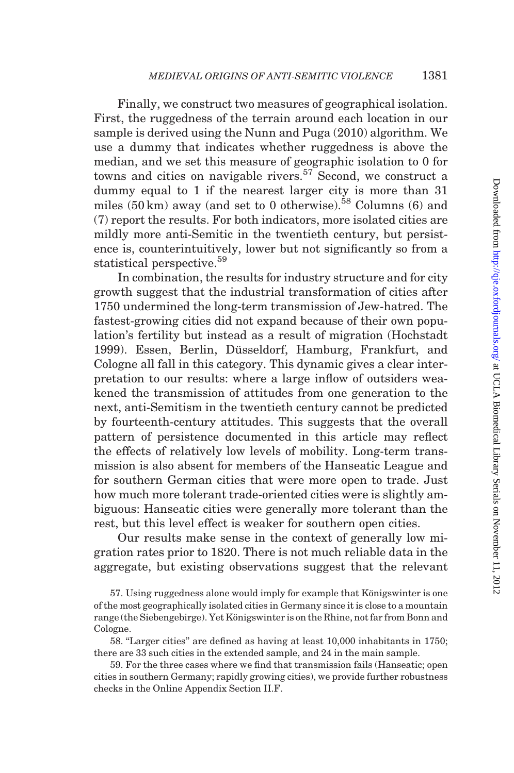Finally, we construct two measures of geographical isolation. First, the ruggedness of the terrain around each location in our sample is derived using the [Nunn and Puga \(2010\)](#page-52-0) algorithm. We use a dummy that indicates whether ruggedness is above the median, and we set this measure of geographic isolation to 0 for towns and cities on navigable rivers.<sup>57</sup> Second, we construct a dummy equal to 1 if the nearest larger city is more than 31 miles  $(50 \text{ km})$  away (and set to 0 otherwise).<sup>58</sup> Columns  $(6)$  and (7) report the results. For both indicators, more isolated cities are mildly more anti-Semitic in the twentieth century, but persistence is, counterintuitively, lower but not significantly so from a statistical perspective.<sup>59</sup>

In combination, the results for industry structure and for city growth suggest that the industrial transformation of cities after 1750 undermined the long-term transmission of Jew-hatred. The fastest-growing cities did not expand because of their own population's fertility but instead as a result of migration [\(Hochstadt](#page-51-0) [1999\)](#page-51-0). Essen, Berlin, Düsseldorf, Hamburg, Frankfurt, and Cologne all fall in this category. This dynamic gives a clear interpretation to our results: where a large inflow of outsiders weakened the transmission of attitudes from one generation to the next, anti-Semitism in the twentieth century cannot be predicted by fourteenth-century attitudes. This suggests that the overall pattern of persistence documented in this article may reflect the effects of relatively low levels of mobility. Long-term transmission is also absent for members of the Hanseatic League and for southern German cities that were more open to trade. Just how much more tolerant trade-oriented cities were is slightly ambiguous: Hanseatic cities were generally more tolerant than the rest, but this level effect is weaker for southern open cities.

Our results make sense in the context of generally low migration rates prior to 1820. There is not much reliable data in the aggregate, but existing observations suggest that the relevant

58. ''Larger cities'' are defined as having at least 10,000 inhabitants in 1750; there are 33 such cities in the extended sample, and 24 in the main sample.

59. For the three cases where we find that transmission fails (Hanseatic; open cities in southern Germany; rapidly growing cities), we provide further robustness checks in the Online Appendix Section II.F.

<sup>57.</sup> Using ruggedness alone would imply for example that Königswinter is one of the most geographically isolated cities in Germany since it is close to a mountain range (the Siebengebirge). Yet Königswinter is on the Rhine, not far from Bonn and Cologne.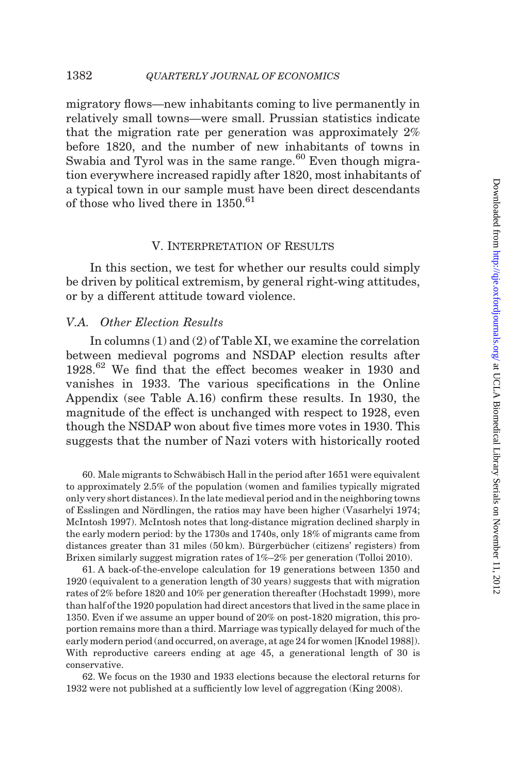<span id="page-43-0"></span>migratory flows—new inhabitants coming to live permanently in relatively small towns—were small. Prussian statistics indicate that the migration rate per generation was approximately 2% before 1820, and the number of new inhabitants of towns in Swabia and Tyrol was in the same range. $60$  Even though migration everywhere increased rapidly after 1820, most inhabitants of a typical town in our sample must have been direct descendants of those who lived there in  $1350.^{61}$ 

### V. Interpretation of Results

In this section, we test for whether our results could simply be driven by political extremism, by general right-wing attitudes, or by a different attitude toward violence.

## V.A. Other Election Results

In columns (1) and (2) of [Table XI,](#page-44-0) we examine the correlation between medieval pogroms and NSDAP election results after 1928.<sup>62</sup> We find that the effect becomes weaker in 1930 and vanishes in 1933. The various specifications in the Online Appendix (see Table A.16) confirm these results. In 1930, the magnitude of the effect is unchanged with respect to 1928, even though the NSDAP won about five times more votes in 1930. This suggests that the number of Nazi voters with historically rooted

60. Male migrants to Schwäbisch Hall in the period after 1651 were equivalent to approximately 2.5% of the population (women and families typically migrated only very short distances). In the late medieval period and in the neighboring towns of Esslingen and Nördlingen, the ratios may have been higher [\(Vasarhelyi 1974](#page-53-0); [McIntosh 1997\)](#page-52-0). McIntosh notes that long-distance migration declined sharply in the early modern period: by the 1730s and 1740s, only 18% of migrants came from distances greater than 31 miles (50 km). Bürgerbücher (citizens' registers) from Brixen similarly suggest migration rates of 1%–2% per generation (Tolloi 2010).

61. A back-of-the-envelope calculation for 19 generations between 1350 and 1920 (equivalent to a generation length of 30 years) suggests that with migration rates of 2% before 1820 and 10% per generation thereafter ([Hochstadt 1999](#page-51-0)), more than half of the 1920 population had direct ancestors that lived in the same place in 1350. Even if we assume an upper bound of 20% on post-1820 migration, this proportion remains more than a third. Marriage was typically delayed for much of the early modern period (and occurred, on average, at age 24 for women [[Knodel 1988\]](#page-52-0)). With reproductive careers ending at age 45, a generational length of 30 is conservative.

62. We focus on the 1930 and 1933 elections because the electoral returns for 1932 were not published at a sufficiently low level of aggregation ([King 2008\)](#page-52-0).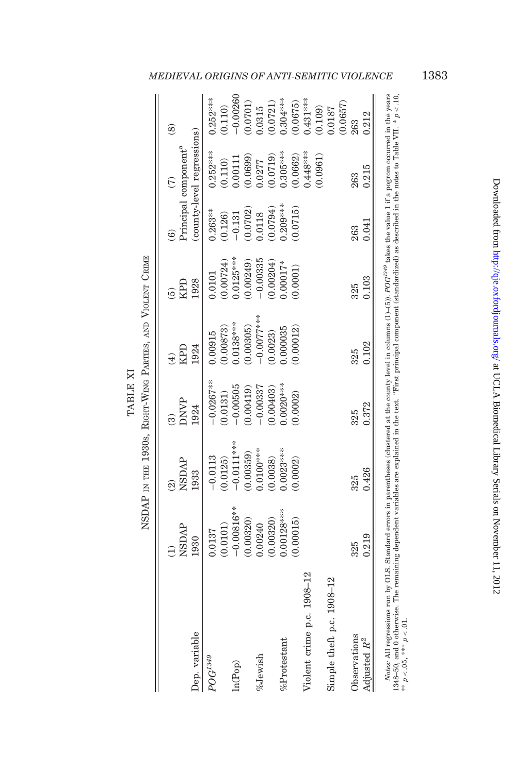|          | $\Gamma$ |
|----------|----------|
| TABLE XI |          |
|          |          |
|          | $\sim$   |

| I<br>Ì                                                                                                                                                                          |
|---------------------------------------------------------------------------------------------------------------------------------------------------------------------------------|
| <br> <br> <br>l<br>i                                                                                                                                                            |
| ŗ                                                                                                                                                                               |
|                                                                                                                                                                                 |
| ֖֖֖֖֖֖֖֧ׅׅ֪ׅ֖֖֖֚֚֚֚֚֚֚֚֚֚֚֚֚֚֚֚֚֚֚֚֚֚֚֚֚֚֚֬֝֝<br>֧֧֧֧ׅ֧֧֧֧ׅ֧֧ׅ֧֧֧֪ׅ֧֚֚֚֚֚֚֚֚֚֚֚֚֚֚֚֚֚֚֚֚֚֚֚֡֝֝֝֓֝֬֝֟֓֝֬֝֬֜֝֬֜֝֬֝<br>֖֖֖֖֧ׅ֧֖֧֖֧֚֚֚֚֚֚֚֚֚֚֚֚֚֚֚֚֚֚֚֚֚֚֚֚֚֚֚֚֚֬֝֝֬֝֓֞֝֬<br>I<br>I |
| i                                                                                                                                                                               |
| ļ<br>١<br>l                                                                                                                                                                     |
| ו<br>ו<br>i<br>ł                                                                                                                                                                |
|                                                                                                                                                                                 |

|                                                                                                                                                                                          | <b>AACISN</b> | <b>NSDAP</b> | <b>DNVP</b>  | KPD          | RБЛ         |            | <sup>2</sup> rincipal component <sup>a</sup> | @          |
|------------------------------------------------------------------------------------------------------------------------------------------------------------------------------------------|---------------|--------------|--------------|--------------|-------------|------------|----------------------------------------------|------------|
| Dep. variable                                                                                                                                                                            | 1930          | 1933         | 1924         | 1924         | 1928        |            | county-level regressions)                    |            |
| $POG^{1349}$                                                                                                                                                                             | 1.0137        | $-0.0113$    | $-0.0267***$ | 1.00915      | 0.0101      | $0.263***$ | $0.252***$                                   | $0.252***$ |
|                                                                                                                                                                                          | 0.0101)       | 0.0125)      | 0.0131)      | 0.00873)     | 0.00724)    | (0.126)    | (0.110)                                      | (0.110)    |
| ln(Pop)                                                                                                                                                                                  | $-0.00816$ *  | $-0.0111***$ | $-0.00505$   | $0.0138***$  | $0.0125***$ | $-0.131$   | 1.00111                                      | $-0.00260$ |
|                                                                                                                                                                                          | 0.00320)      | 0.00359)     | 0.00419      | 0.00305      | 0.00249)    | 0.0702     | 0.0699)                                      | 0.0701)    |
| %Jewish                                                                                                                                                                                  | 0.00240       | $0.0100***$  | $-0.00337$   | $-0.0077***$ | $-0.00335$  | 0.0118     | 0.0277                                       | 0.315      |
|                                                                                                                                                                                          | 0.00320)      | 0.0038       | 0.00403      | 0.0023)      | 0.00204)    | (6670.0)   | 0.0719)                                      | 0.0721)    |
| %Protestan!                                                                                                                                                                              | $0.00128***$  | $0.0023***$  | $0.0020***$  | 0.000035     | $0.00017*$  | $0.209***$ | $0.305***$                                   | $0.304***$ |
|                                                                                                                                                                                          | 0.00015)      | 0.0002       | 0.0002       | 0.00012      | 0.0001      | (0.0715)   | (0.0662)                                     | (0.0675)   |
| Violent crime p.c. 1908-12                                                                                                                                                               |               |              |              |              |             |            | $0.448***$                                   | $0.431***$ |
|                                                                                                                                                                                          |               |              |              |              |             |            | (0.0961)                                     | (0.109)    |
| Simple theft p.c. 1908-12                                                                                                                                                                |               |              |              |              |             |            |                                              | 0.0187     |
|                                                                                                                                                                                          |               |              |              |              |             |            |                                              | 0.0657     |
| Observations                                                                                                                                                                             | 325           | 325          | 325          | 325          | 325         | 263        | 263                                          | 263        |
| Adjusted $R^2$                                                                                                                                                                           | 0.219         | 0.426        | 0.372        | 0.102        | 0.103       | 0.041      | 0.215                                        | 0.212      |
| Notes: All regressions run by OLS. Standard errors in parentheses (clustered at the countr level in columns $(1)$ -(5)), $POG^{349}$ takes the value 1 if a pogrom occurred in the vears |               |              |              |              |             |            |                                              |            |

Notes: All regressions run by OLS. Standard errors in parentheses (clustered at the county level in columns (1)-(5)).  $POG^{2,99}$  takes the value 1 if a pogrom occurred in the years at  $248-50$ ,  $***$   $D$  c. 10,  $248-50$ ,  $***$ Notes: All regressions run by OLS. Standard errors in parentheses (clustered at the county level in columns (1)–(5)). POG<sup>1349</sup> takes the value 1 if a pogrom occurred in the years 1348–50, and 0 otherwise. The remaining dependent variables are explained in the text. <sup>a</sup>First principal component (standardized) as described in the notes to [Table](#page-33-0) VII.  $* p < 10$ , \*\*  $p < 0.05$ , \*\*\*  $p < 0.01$ .

# <span id="page-44-0"></span>MEDIEVAL ORIGINS OF ANTI-SEMITIC VIOLENCE 1383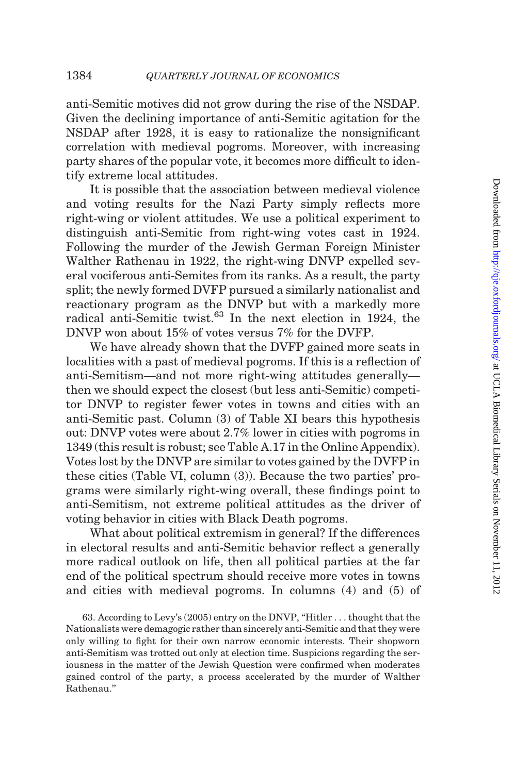anti-Semitic motives did not grow during the rise of the NSDAP. Given the declining importance of anti-Semitic agitation for the NSDAP after 1928, it is easy to rationalize the nonsignificant correlation with medieval pogroms. Moreover, with increasing party shares of the popular vote, it becomes more difficult to identify extreme local attitudes.

It is possible that the association between medieval violence and voting results for the Nazi Party simply reflects more right-wing or violent attitudes. We use a political experiment to distinguish anti-Semitic from right-wing votes cast in 1924. Following the murder of the Jewish German Foreign Minister Walther Rathenau in 1922, the right-wing DNVP expelled several vociferous anti-Semites from its ranks. As a result, the party split; the newly formed DVFP pursued a similarly nationalist and reactionary program as the DNVP but with a markedly more radical anti-Semitic twist. $63$  In the next election in 1924, the DNVP won about 15% of votes versus 7% for the DVFP.

We have already shown that the DVFP gained more seats in localities with a past of medieval pogroms. If this is a reflection of anti-Semitism—and not more right-wing attitudes generally then we should expect the closest (but less anti-Semitic) competitor DNVP to register fewer votes in towns and cities with an anti-Semitic past. Column (3) of [Table XI](#page-44-0) bears this hypothesis out: DNVP votes were about 2.7% lower in cities with pogroms in 1349 (this result is robust; see Table A.17 in the Online Appendix). Votes lost by the DNVP are similar to votes gained by the DVFP in these cities ([Table VI,](#page-26-0) column (3)). Because the two parties' programs were similarly right-wing overall, these findings point to anti-Semitism, not extreme political attitudes as the driver of voting behavior in cities with Black Death pogroms.

What about political extremism in general? If the differences in electoral results and anti-Semitic behavior reflect a generally more radical outlook on life, then all political parties at the far end of the political spectrum should receive more votes in towns and cities with medieval pogroms. In columns (4) and (5) of

63. According to [Levy's \(2005\)](#page-52-0) entry on the DNVP, ''Hitler . . . thought that the Nationalists were demagogic rather than sincerely anti-Semitic and that they were only willing to fight for their own narrow economic interests. Their shopworn anti-Semitism was trotted out only at election time. Suspicions regarding the seriousness in the matter of the Jewish Question were confirmed when moderates gained control of the party, a process accelerated by the murder of Walther Rathenau.''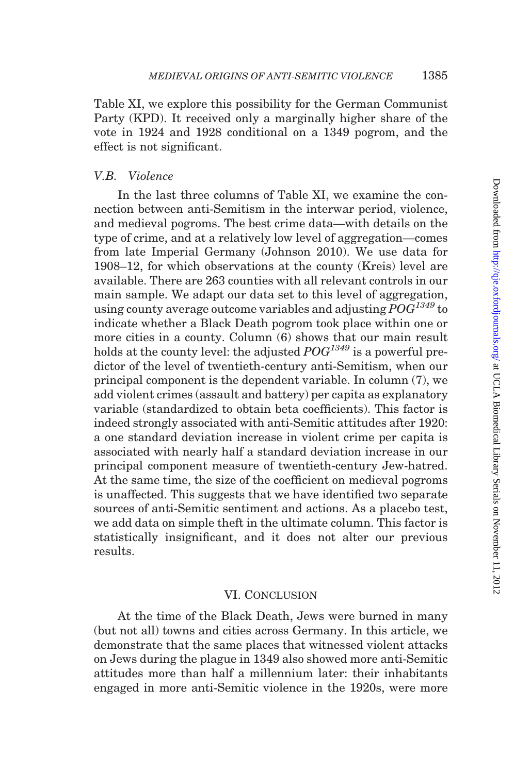<span id="page-46-0"></span>[Table XI,](#page-44-0) we explore this possibility for the German Communist Party (KPD). It received only a marginally higher share of the vote in 1924 and 1928 conditional on a 1349 pogrom, and the effect is not significant.

## V.B. Violence

In the last three columns of [Table XI](#page-44-0), we examine the connection between anti-Semitism in the interwar period, violence, and medieval pogroms. The best crime data—with details on the type of crime, and at a relatively low level of aggregation—comes from late Imperial Germany [\(Johnson 2010](#page-51-0)). We use data for 1908–12, for which observations at the county (Kreis) level are available. There are 263 counties with all relevant controls in our main sample. We adapt our data set to this level of aggregation, using county average outcome variables and adjusting  $POG^{1349}$  to indicate whether a Black Death pogrom took place within one or more cities in a county. Column (6) shows that our main result holds at the county level: the adjusted  $POG^{1349}$  is a powerful predictor of the level of twentieth-century anti-Semitism, when our principal component is the dependent variable. In column (7), we add violent crimes (assault and battery) per capita as explanatory variable (standardized to obtain beta coefficients). This factor is indeed strongly associated with anti-Semitic attitudes after 1920: a one standard deviation increase in violent crime per capita is associated with nearly half a standard deviation increase in our principal component measure of twentieth-century Jew-hatred. At the same time, the size of the coefficient on medieval pogroms is unaffected. This suggests that we have identified two separate sources of anti-Semitic sentiment and actions. As a placebo test, we add data on simple theft in the ultimate column. This factor is statistically insignificant, and it does not alter our previous results.

#### VI. Conclusion

At the time of the Black Death, Jews were burned in many (but not all) towns and cities across Germany. In this article, we demonstrate that the same places that witnessed violent attacks on Jews during the plague in 1349 also showed more anti-Semitic attitudes more than half a millennium later: their inhabitants engaged in more anti-Semitic violence in the 1920s, were more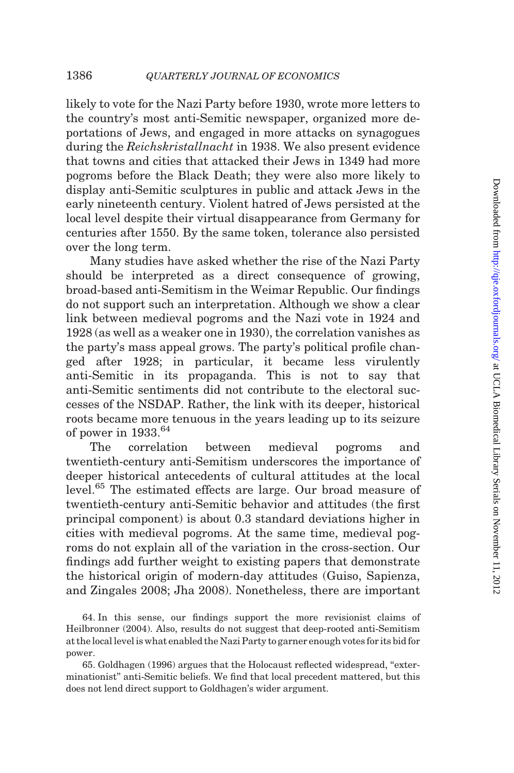likely to vote for the Nazi Party before 1930, wrote more letters to the country's most anti-Semitic newspaper, organized more deportations of Jews, and engaged in more attacks on synagogues during the Reichskristallnacht in 1938. We also present evidence that towns and cities that attacked their Jews in 1349 had more pogroms before the Black Death; they were also more likely to display anti-Semitic sculptures in public and attack Jews in the early nineteenth century. Violent hatred of Jews persisted at the local level despite their virtual disappearance from Germany for centuries after 1550. By the same token, tolerance also persisted over the long term.

Many studies have asked whether the rise of the Nazi Party should be interpreted as a direct consequence of growing, broad-based anti-Semitism in the Weimar Republic. Our findings do not support such an interpretation. Although we show a clear link between medieval pogroms and the Nazi vote in 1924 and 1928 (as well as a weaker one in 1930), the correlation vanishes as the party's mass appeal grows. The party's political profile changed after 1928; in particular, it became less virulently anti-Semitic in its propaganda. This is not to say that anti-Semitic sentiments did not contribute to the electoral successes of the NSDAP. Rather, the link with its deeper, historical roots became more tenuous in the years leading up to its seizure of power in  $1933.64$ 

The correlation between medieval pogroms and twentieth-century anti-Semitism underscores the importance of deeper historical antecedents of cultural attitudes at the local level.<sup>65</sup> The estimated effects are large. Our broad measure of twentieth-century anti-Semitic behavior and attitudes (the first principal component) is about 0.3 standard deviations higher in cities with medieval pogroms. At the same time, medieval pogroms do not explain all of the variation in the cross-section. Our findings add further weight to existing papers that demonstrate the historical origin of modern-day attitudes ([Guiso, Sapienza,](#page-51-0) [and Zingales 2008](#page-51-0); [Jha 2008](#page-51-0)). Nonetheless, there are important

64. In this sense, our findings support the more revisionist claims of [Heilbronner \(2004\).](#page-51-0) Also, results do not suggest that deep-rooted anti-Semitism at the local level is what enabled the Nazi Party to garner enough votes for its bid for power.

65. [Goldhagen \(1996\)](#page-51-0) argues that the Holocaust reflected widespread, ''exterminationist'' anti-Semitic beliefs. We find that local precedent mattered, but this does not lend direct support to Goldhagen's wider argument.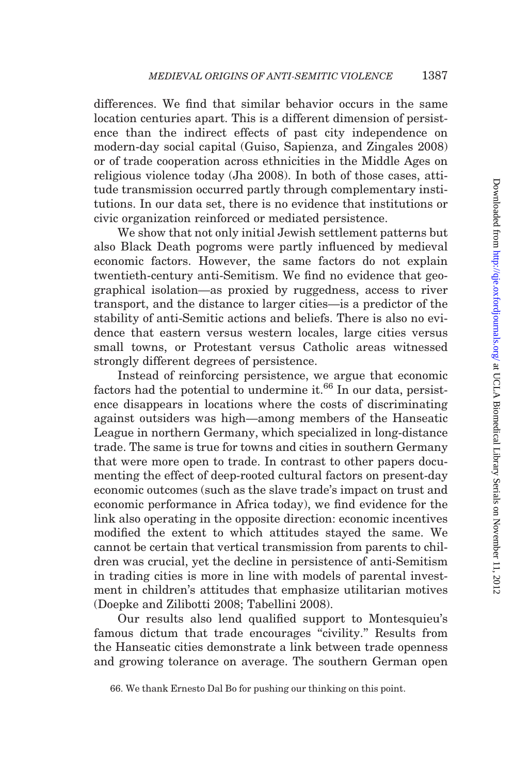differences. We find that similar behavior occurs in the same location centuries apart. This is a different dimension of persistence than the indirect effects of past city independence on modern-day social capital [\(Guiso, Sapienza, and Zingales 2008](#page-51-0)) or of trade cooperation across ethnicities in the Middle Ages on religious violence today [\(Jha 2008\)](#page-51-0). In both of those cases, attitude transmission occurred partly through complementary institutions. In our data set, there is no evidence that institutions or civic organization reinforced or mediated persistence.

We show that not only initial Jewish settlement patterns but also Black Death pogroms were partly influenced by medieval economic factors. However, the same factors do not explain twentieth-century anti-Semitism. We find no evidence that geographical isolation—as proxied by ruggedness, access to river transport, and the distance to larger cities—is a predictor of the stability of anti-Semitic actions and beliefs. There is also no evidence that eastern versus western locales, large cities versus small towns, or Protestant versus Catholic areas witnessed strongly different degrees of persistence.

Instead of reinforcing persistence, we argue that economic factors had the potential to undermine it. $66$  In our data, persistence disappears in locations where the costs of discriminating against outsiders was high—among members of the Hanseatic League in northern Germany, which specialized in long-distance trade. The same is true for towns and cities in southern Germany that were more open to trade. In contrast to other papers documenting the effect of deep-rooted cultural factors on present-day economic outcomes (such as the slave trade's impact on trust and economic performance in Africa today), we find evidence for the link also operating in the opposite direction: economic incentives modified the extent to which attitudes stayed the same. We cannot be certain that vertical transmission from parents to children was crucial, yet the decline in persistence of anti-Semitism in trading cities is more in line with models of parental investment in children's attitudes that emphasize utilitarian motives [\(Doepke and Zilibotti 2008](#page-50-0); [Tabellini 2008](#page-53-0)).

Our results also lend qualified support to Montesquieu's famous dictum that trade encourages "civility." Results from the Hanseatic cities demonstrate a link between trade openness and growing tolerance on average. The southern German open

<sup>66.</sup> We thank Ernesto Dal Bo for pushing our thinking on this point.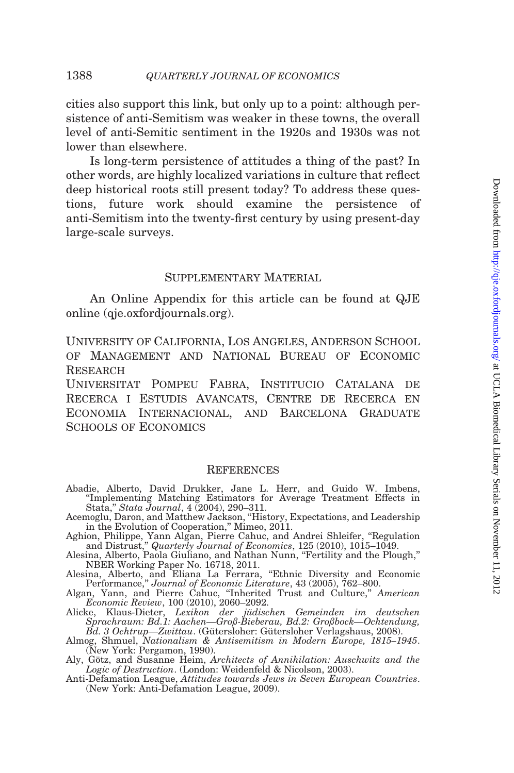<span id="page-49-0"></span>cities also support this link, but only up to a point: although persistence of anti-Semitism was weaker in these towns, the overall level of anti-Semitic sentiment in the 1920s and 1930s was not lower than elsewhere.

Is long-term persistence of attitudes a thing of the past? In other words, are highly localized variations in culture that reflect deep historical roots still present today? To address these questions, future work should examine the persistence of anti-Semitism into the twenty-first century by using present-day large-scale surveys.

### SUPPLEMENTARY MATERIAL

An Online Appendix for this article can be found at QJE online (qje.oxfordjournals.org).

University of California, Los Angeles, Anderson School of Management and National Bureau of Economic **RESEARCH** 

Universitat Pompeu Fabra, Institucio Catalana de Recerca i Estudis Avancats, Centre de Recerca en Economia Internacional, and Barcelona Graduate SCHOOLS OF ECONOMICS

#### **REFERENCES**

- Abadie, Alberto, David Drukker, Jane L. Herr, and Guido W. Imbens, ''Implementing Matching Estimators for Average Treatment Effects in Stata,'' Stata Journal, 4 (2004), 290–311.
- Acemoglu, Daron, and Matthew Jackson, ''History, Expectations, and Leadership
- in the Evolution of Cooperation,'' Mimeo, 2011. Aghion, Philippe, Yann Algan, Pierre Cahuc, and Andrei Shleifer, ''Regulation and Distrust," *Quarterly Journal of Economics*, 125 (2010), 1015–1049.<br>Alesina, Alberto, Paola Giuliano, and Nathan Nunn, "Fertility and the Plough,"
- NBER Working Paper No. 16718, 2011.
- Alesina, Alberto, and Eliana La Ferrara, ''Ethnic Diversity and Economic
- Performance," Journal of Economic Literature, 43 (2005), 762–800.<br>Algan, Yann, and Pierre Cahuc, "Inherited Trust and Culture," American<br>Economic Review, 100 (2010), 2060–2092.
- Alicke, Klaus-Dieter, *Lexikon der jüdischen Gemeinden im deutschen Sprachraum: Bd.1: Aachen*—Groß-Bieberau, Bd.2: Großbock—Ochtendung, Bd. 3 Ochtrup—Zwittau. (Gütersloher: Gütersloher Verlagshaus, 2008).<br>Almog, Shmuel, *N*
- 
- Aly, Götz, and Susanne Heim, Architects of Annihilation: Auschwitz and the Logic of Destruction. (London: Weidenfeld & Nicolson, 2003).<br>Anti-Defamation League, Attitudes towards Jews in Seven European Countries.
- (New York: Anti-Defamation League, 2009).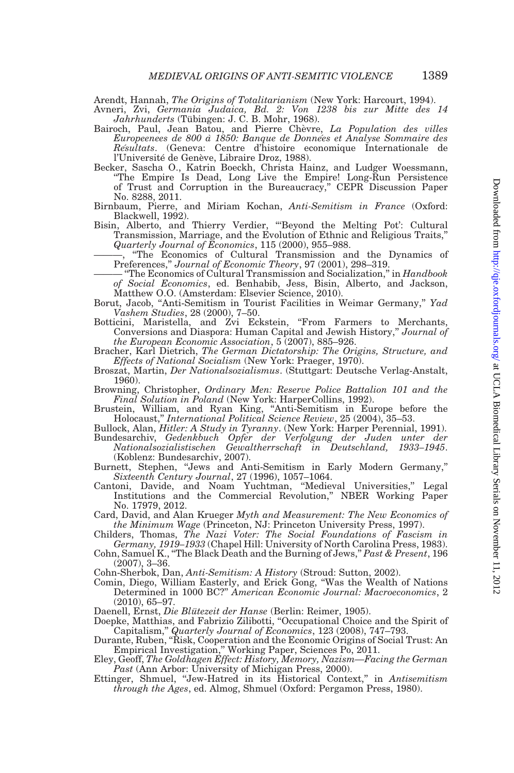<span id="page-50-0"></span>Arendt, Hannah, The Origins of Totalitarianism (New York: Harcourt, 1994).

- Avneri, Zvi, Germania Judaica, Bd. 2: Von 1238 bis zur Mitte des 14 Jahrhunderts (Tübingen: J. C. B. Mohr, 1968).
- Bairoch, Paul, Jean Batou, and Pierre Chèvre, La Population des villes Europeenees de 800 à 1850: Banque de Données et Analyse Sommaire des Résultats. (Geneva: Centre d'histoire economique Internationale de l'Université de Genève, Libraire Droz, 1988).
- Becker, Sascha O., Katrin Boeckh, Christa Hainz, and Ludger Woessmann, ''The Empire Is Dead, Long Live the Empire! Long-Run Persistence of Trust and Corruption in the Bureaucracy,'' CEPR Discussion Paper No. 8288, 2011.
- Birnbaum, Pierre, and Miriam Kochan, Anti-Semitism in France (Oxford: Blackwell, 1992).
- Bisin, Alberto, and Thierry Verdier, "Beyond the Melting Pot': Cultural Transmission, Marriage, and the Evolution of Ethnic and Religious Traits,'' Quarterly Journal of Economics, 115 (2000), 955–988.
	- "The Economics of Cultural Transmission and the Dynamics of
- Preferences," Journal of Economic Theory, 97 (2001), 298–319.<br>
"The Economics of Cultural Transmission and Socialization," in Handbook of Social Economics, ed. Benhabib, Jess, Bisin, Alberto, and Jackson, Matthew O.O. (Amsterdam: Elsevier Science, 2010).
- Borut, Jacob, "Anti-Semitism in Tourist Facilities in Weimar Germany," Yad Vashem Studies, 28 (2000), 7–50.
- Botticini, Maristella, and Zvi Eckstein, ''From Farmers to Merchants, Conversions and Diaspora: Human Capital and Jewish History,'' Journal of the European Economic Association, 5 (2007), 885–926.
- Bracher, Karl Dietrich, The German Dictatorship: The Origins, Structure, and Effects of National Socialism (New York: Praeger, 1970).
- Broszat, Martin, Der Nationalsozialismus. (Stuttgart: Deutsche Verlag-Anstalt, 1960).
- Browning, Christopher, Ordinary Men: Reserve Police Battalion 101 and the Final Solution in Poland (New York: HarperCollins, 1992).
- Brustein, William, and Ryan King, ''Anti-Semitism in Europe before the Holocaust,'' International Political Science Review, 25 (2004), 35–53.
- Bullock, Alan, *Hitler: A Study in Tyranny*. (New York: Harper Perennial, 1991).<br>Bundesarchiv, *Gedenkbuch Opfer der Verfolgung der Juden unter der*
- Nationalsozialistischen Gewaltherrschaft in Deutschland, 1933–1945. (Koblenz: Bundesarchiv, 2007).
- Burnett, Stephen, ''Jews and Anti-Semitism in Early Modern Germany,'' Sixteenth Century Journal, 27 (1996), 1057–1064.
- Cantoni, Davide, and Noam Yuchtman, ''Medieval Universities,'' Legal Institutions and the Commercial Revolution,'' NBER Working Paper No. 17979, 2012.
- Card, David, and Alan Krueger Myth and Measurement: The New Economics of the Minimum Wage (Princeton, NJ: Princeton University Press, 1997). Childers, Thomas, The Nazi Voter: The Social Foundations of Fascism in
- Germany, 1919–1933 (Chapel Hill: University of North Carolina Press, 1983).
- Cohn, Samuel K., ''The Black Death and the Burning of Jews,'' Past & Present, 196 (2007), 3–36.

Cohn-Sherbok, Dan, Anti-Semitism: A History (Stroud: Sutton, 2002).

Comin, Diego, William Easterly, and Erick Gong, ''Was the Wealth of Nations Determined in 1000 BC?'' American Economic Journal: Macroeconomics, 2 (2010), 65–97.

Daenell, Ernst, Die Blütezeit der Hanse (Berlin: Reimer, 1905).

- Doepke, Matthias, and Fabrizio Zilibotti, ''Occupational Choice and the Spirit of Capitalism,'' Quarterly Journal of Economics, 123 (2008), 747–793.
- Durante, Ruben, ''Risk, Cooperation and the Economic Origins of Social Trust: An
- Empirical Investigation,'' Working Paper, Sciences Po, 2011. Eley, Geoff, The Goldhagen Effect: History, Memory, Nazism—Facing the German Past (Ann Arbor: University of Michigan Press, 2000).
- Ettinger, Shmuel, "Jew-Hatred in its Historical Context," in Antisemitism through the Ages, ed. Almog, Shmuel (Oxford: Pergamon Press, 1980).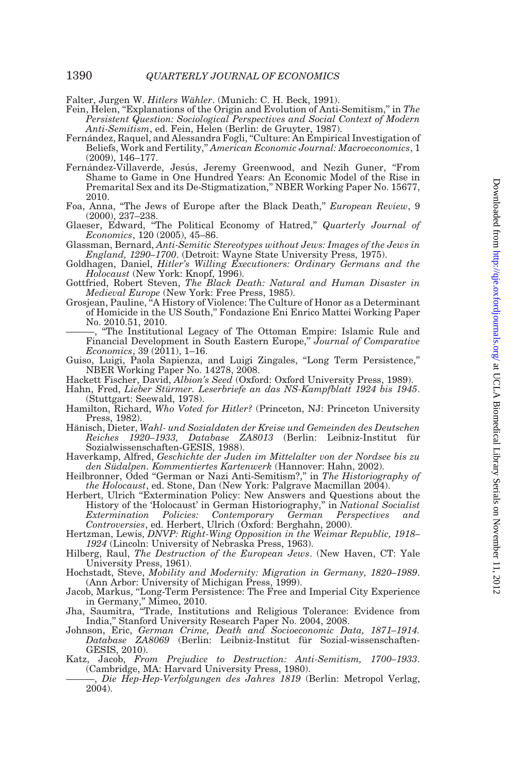<span id="page-51-0"></span>Falter, Jurgen W. *Hitlers Wähler*. (Munich: C. H. Beck, 1991).

- Fein, Helen, "Explanations of the Origin and Evolution of Anti-Semitism," in The Persistent Question: Sociological Perspectives and Social Context of Modern Anti-Semitism, ed. Fein, Helen (Berlin: de Gruyter, 1987).
- Fernández, Raquel, and Alessandra Fogli, "Culture: An Empirical Investigation of Beliefs, Work and Fertility,'' American Economic Journal: Macroeconomics, 1 (2009), 146–177.
- Fernández-Villaverde, Jesús, Jeremy Greenwood, and Nezih Guner, "From Shame to Game in One Hundred Years: An Economic Model of the Rise in Premarital Sex and its De-Stigmatization,'' NBER Working Paper No. 15677, 2010.
- Foa, Anna, "The Jews of Europe after the Black Death," *European Review*, 9 (2000), 237–238.
- Glaeser, Edward, "The Political Economy of Hatred," Quarterly Journal of Economics, 120 (2005), 45–86.
- Glassman, Bernard, Anti-Semitic Stereotypes without Jews: Images of the Jews in England, 1290–1700. (Detroit: Wayne State University Press, 1975).
- Goldhagen, Daniel, Hitler's Willing Executioners: Ordinary Germans and the Holocaust (New York: Knopf, 1996).
- Gottfried, Robert Steven, The Black Death: Natural and Human Disaster in Medieval Europe (New York: Free Press, 1985).
- Grosjean, Pauline, ''A History of Violence: The Culture of Honor as a Determinant of Homicide in the US South,'' Fondazione Eni Enrico Mattei Working Paper No. 2010.51, 2010.
	- ———, ''The Institutional Legacy of The Ottoman Empire: Islamic Rule and Financial Development in South Eastern Europe," Journal of Comparative  $Economics, 39 (2011), 1-16.$
- Guiso, Luigi, Paola Sapienza, and Luigi Zingales, ''Long Term Persistence,'' NBER Working Paper No. 14278, 2008.
- Hackett Fischer, David, Albion's Seed (Oxford: Oxford University Press, 1989).
- Hahn, Fred, Lieber Stürmer. Leserbriefe an das NS-Kampfblatt 1924 bis 1945. (Stuttgart: Seewald, 1978).
- Hamilton, Richard, Who Voted for Hitler? (Princeton, NJ: Princeton University Press, 1982).
- Hänisch, Dieter, Wahl- und Sozialdaten der Kreise und Gemeinden des Deutschen Reiches 1920–1933, Database ZA8013 (Berlin: Leibniz-Institut für Sozialwissenschaften-GESIS, 1988).
- Haverkamp, Alfred, Geschichte der Juden im Mittelalter von der Nordsee bis zu den Südalpen. Kommentiertes Kartenwerk (Hannover: Hahn, 2002).
- Heilbronner, Oded "German or Nazi Anti-Semitism?," in The Historiography of the Holocaust, ed. Stone, Dan (New York: Palgrave Macmillan 2004).
- Herbert, Ulrich "Extermination Policy: New Answers and Questions about the History of the 'Holocaust' in German Historiography," in National Socialist<br>Extermination Policies: Contemporary German Perspectives and Contemporary Controversies, ed. Herbert, Ulrich (Oxford: Berghahn, 2000).
- Hertzman, Lewis, DNVP: Right-Wing Opposition in the Weimar Republic, 1918– 1924 (Lincoln: University of Nebraska Press, 1963).
- Hilberg, Raul, The Destruction of the European Jews. (New Haven, CT: Yale University Press, 1961).
- Hochstadt, Steve, Mobility and Modernity: Migration in Germany, 1820–1989. (Ann Arbor: University of Michigan Press, 1999).
- Jacob, Markus, ''Long-Term Persistence: The Free and Imperial City Experience
- in Germany,'' Mimeo, 2010. Jha, Saumitra, ''Trade, Institutions and Religious Tolerance: Evidence from India,'' Stanford University Research Paper No. 2004, 2008.
- Johnson, Eric, German Crime, Death and Socioeconomic Data, 1871–1914.  $Database$  ZA8069 (Berlin: Leibniz-Institut für Sozial-wissenschaften-GESIS, 2010).
- Katz, Jacob, From Prejudice to Destruction: Anti-Semitism, 1700–1933.<br>(Cambridge, MA: Harvard University Press, 1980).
- , Die Hep-Hep-Verfolgungen des Jahres 1819 (Berlin: Metropol Verlag, 2004).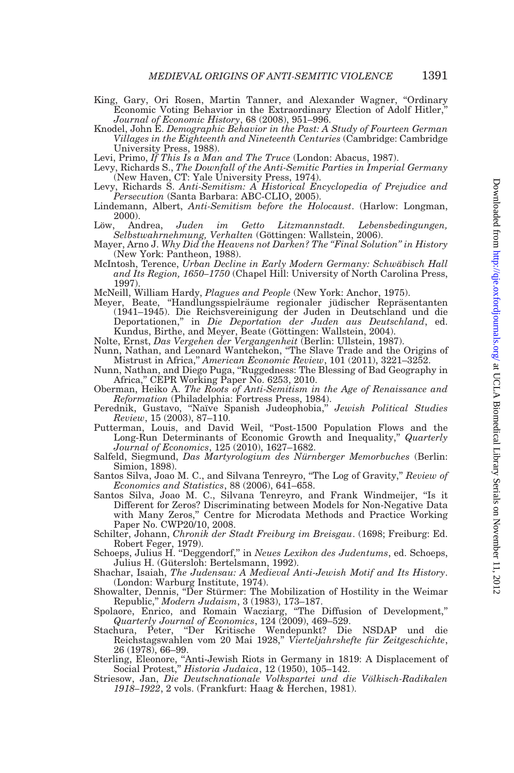- <span id="page-52-0"></span>King, Gary, Ori Rosen, Martin Tanner, and Alexander Wagner, ''Ordinary Economic Voting Behavior in the Extraordinary Election of Adolf Hitler,'' Journal of Economic History, 68 (2008), 951–996.
- Knodel, John E. Demographic Behavior in the Past: A Study of Fourteen German Villages in the Eighteenth and Nineteenth Centuries (Cambridge: Cambridge University Press, 1988).
- Levi, Primo, If This Is a Man and The Truce (London: Abacus, 1987).
- Levy, Richards S., The Downfall of the Anti-Semitic Parties in Imperial Germany (New Haven, CT: Yale University Press, 1974).
- Levy, Richards S. Anti-Semitism: A Historical Encyclopedia of Prejudice and Persecution (Santa Barbara: ABC-CLIO, 2005).
- Lindemann, Albert, Anti-Semitism before the Holocaust. (Harlow: Longman, 2000).<br>Löw, Andrea,
- Juden im Getto Litzmannstadt. Lebensbedingungen, Selbstwahrnehmung, Verhalten (Göttingen: Wallstein, 2006).
- Mayer, Arno J. Why Did the Heavens not Darken? The "Final Solution" in History (New York: Pantheon, 1988).
- McIntosh, Terence, Urban Decline in Early Modern Germany: Schwäbisch Hall and Its Region, 1650–1750 (Chapel Hill: University of North Carolina Press, 1997).

McNeill, William Hardy, *Plagues and People* (New York: Anchor, 1975).<br>Meyer, Beate, "Handlungsspielräume regionaler jüdischer Repräsentanten (1941–1945). Die Reichsvereinigung der Juden in Deutschland und die Deportationen,'' in Die Deportation der Juden aus Deutschland, ed. Kundus, Birthe, and Meyer, Beate (Göttingen: Wallstein, 2004).

- Nolte, Ernst, *Das Vergehen der Vergangenheit* (Berlin: Ullstein, 1987).<br>Nunn, Nathan, and Leonard Wantchekon, "The Slave Trade and the Origins of Mistrust in Africa,'' American Economic Review, 101 (2011), 3221–3252.
- Nunn, Nathan, and Diego Puga, ''Ruggedness: The Blessing of Bad Geography in Africa,'' CEPR Working Paper No. 6253, 2010.
- Oberman, Heiko A. The Roots of Anti-Semitism in the Age of Renaissance and
- Reformation (Philadelphia: Fortress Press, 1984).<br>Perednik, Gustavo, "Naïve Spanish Judeophobia," Jewish Political Studies Review, 15 (2003), 87–110.
- Putterman, Louis, and David Weil, ''Post-1500 Population Flows and the Long-Run Determinants of Economic Growth and Inequality," *Quarterly* Journal of Economics, 125 (2010), 1627–1682.
- Salfeld, Siegmund, Das Martyrologium des Nürnberger Memorbuches (Berlin: Simion, 1898).
- Santos Silva, Joao M. C., and Silvana Tenreyro, "The Log of Gravity," Review of Economics and Statistics, 88 (2006), 641–658.
- Santos Silva, Joao M. C., Silvana Tenreyro, and Frank Windmeijer, ''Is it Different for Zeros? Discriminating between Models for Non-Negative Data with Many Zeros,'' Centre for Microdata Methods and Practice Working Paper No. CWP20/10, 2008.
- Schilter, Johann, Chronik der Stadt Freiburg im Breisgau. (1698; Freiburg: Ed. Robert Feger, 1979).
- Schoeps, Julius H. "Deggendorf," in Neues Lexikon des Judentums, ed. Schoeps, Julius H. (Gütersloh: Bertelsmann, 1992).
- Shachar, Isaiah, The Judensau: A Medieval Anti-Jewish Motif and Its History. (London: Warburg Institute, 1974).
- Showalter, Dennis, "Der Stürmer: The Mobilization of Hostility in the Weimar
- Republic," *Modern Judaism*, 3 (1983), 173–187.<br>Spolaore, Enrico, and Romain Wacziarg, "The Diffusion of Development," Quarterly Journal of Economics, 124 (2009), 469–529.
- Stachura, Peter, ''Der Kritische Wendepunkt? Die NSDAP und die Reichstagswahlen vom 20 Mai 1928," Vierteljahrshefte für Zeitgeschichte, 26 (1978), 66–99.
- Sterling, Eleonore, ''Anti-Jewish Riots in Germany in 1819: A Displacement of Social Protest," *Historia Judaica*, 12 (1950), 105–142.
- Striesow, Jan, Die Deutschnationale Volkspartei und die Völkisch-Radikalen 1918–1922, 2 vols. (Frankfurt: Haag & Herchen, 1981).